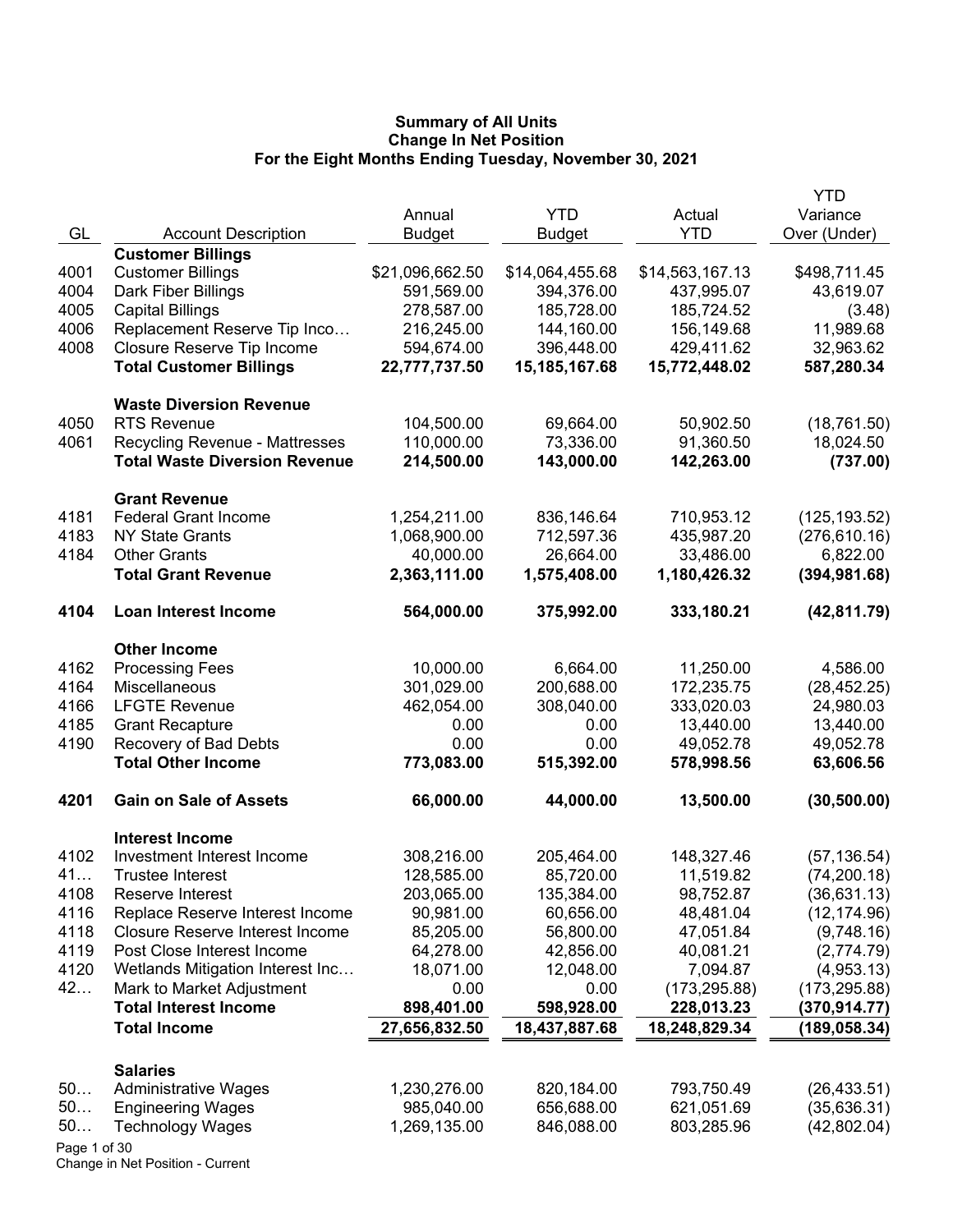|              |                                                      |                 |                  |                          | <b>YTD</b>    |
|--------------|------------------------------------------------------|-----------------|------------------|--------------------------|---------------|
|              |                                                      | Annual          | <b>YTD</b>       | Actual                   | Variance      |
| GL           | <b>Account Description</b>                           | <b>Budget</b>   | <b>Budget</b>    | <b>YTD</b>               | Over (Under)  |
|              | <b>Customer Billings</b>                             |                 |                  |                          |               |
| 4001         | <b>Customer Billings</b>                             | \$21,096,662.50 | \$14,064,455.68  | \$14,563,167.13          | \$498,711.45  |
| 4004         | Dark Fiber Billings                                  | 591,569.00      | 394,376.00       | 437,995.07               | 43,619.07     |
| 4005         | <b>Capital Billings</b>                              | 278,587.00      | 185,728.00       | 185,724.52               | (3.48)        |
| 4006         | Replacement Reserve Tip Inco                         | 216,245.00      | 144,160.00       | 156,149.68<br>429,411.62 | 11,989.68     |
| 4008         | Closure Reserve Tip Income                           | 594,674.00      | 396,448.00       |                          | 32,963.62     |
|              | <b>Total Customer Billings</b>                       | 22,777,737.50   | 15, 185, 167. 68 | 15,772,448.02            | 587,280.34    |
|              | <b>Waste Diversion Revenue</b>                       |                 |                  |                          |               |
| 4050         | <b>RTS Revenue</b>                                   | 104,500.00      | 69,664.00        | 50,902.50                | (18, 761.50)  |
| 4061         | <b>Recycling Revenue - Mattresses</b>                | 110,000.00      | 73,336.00        | 91,360.50                | 18,024.50     |
|              | <b>Total Waste Diversion Revenue</b>                 | 214,500.00      | 143,000.00       | 142,263.00               | (737.00)      |
|              | <b>Grant Revenue</b>                                 |                 |                  |                          |               |
| 4181         | <b>Federal Grant Income</b>                          | 1,254,211.00    | 836,146.64       | 710,953.12               | (125, 193.52) |
| 4183         | <b>NY State Grants</b>                               | 1,068,900.00    | 712,597.36       | 435,987.20               | (276, 610.16) |
| 4184         | <b>Other Grants</b>                                  | 40,000.00       | 26,664.00        | 33,486.00                | 6,822.00      |
|              | <b>Total Grant Revenue</b>                           | 2,363,111.00    | 1,575,408.00     | 1,180,426.32             | (394, 981.68) |
| 4104         | Loan Interest Income                                 | 564,000.00      | 375,992.00       | 333,180.21               | (42, 811.79)  |
|              | <b>Other Income</b>                                  |                 |                  |                          |               |
| 4162         | <b>Processing Fees</b>                               | 10,000.00       | 6,664.00         | 11,250.00                | 4,586.00      |
| 4164         | Miscellaneous                                        | 301,029.00      | 200,688.00       | 172,235.75               | (28, 452.25)  |
| 4166         | <b>LFGTE Revenue</b>                                 | 462,054.00      | 308,040.00       | 333,020.03               | 24,980.03     |
| 4185         | <b>Grant Recapture</b>                               | 0.00            | 0.00             | 13,440.00                | 13,440.00     |
| 4190         | Recovery of Bad Debts                                | 0.00            | 0.00             | 49,052.78                | 49,052.78     |
|              | <b>Total Other Income</b>                            | 773,083.00      | 515,392.00       | 578,998.56               | 63,606.56     |
| 4201         | <b>Gain on Sale of Assets</b>                        | 66,000.00       | 44,000.00        | 13,500.00                | (30, 500.00)  |
|              |                                                      |                 |                  |                          |               |
| 4102         | <b>Interest Income</b><br>Investment Interest Income | 308,216.00      | 205,464.00       | 148,327.46               | (57, 136.54)  |
| 41           | <b>Trustee Interest</b>                              | 128,585.00      | 85,720.00        | 11,519.82                | (74, 200.18)  |
| 4108         | Reserve Interest                                     | 203,065.00      | 135,384.00       | 98,752.87                | (36, 631.13)  |
| 4116         | Replace Reserve Interest Income                      | 90,981.00       | 60,656.00        | 48,481.04                | (12, 174.96)  |
| 4118         | <b>Closure Reserve Interest Income</b>               | 85,205.00       | 56,800.00        | 47,051.84                | (9,748.16)    |
| 4119         | Post Close Interest Income                           | 64,278.00       | 42,856.00        | 40,081.21                | (2,774.79)    |
| 4120         | Wetlands Mitigation Interest Inc                     | 18,071.00       | 12,048.00        | 7,094.87                 | (4,953.13)    |
| 42           | Mark to Market Adjustment                            | 0.00            | 0.00             | (173, 295.88)            | (173, 295.88) |
|              | <b>Total Interest Income</b>                         | 898,401.00      | 598,928.00       | 228,013.23               | (370,914.77)  |
|              | <b>Total Income</b>                                  | 27,656,832.50   | 18,437,887.68    | 18,248,829.34            | (189, 058.34) |
|              |                                                      |                 |                  |                          |               |
| 50           | <b>Salaries</b><br><b>Administrative Wages</b>       | 1,230,276.00    | 820,184.00       | 793,750.49               | (26, 433.51)  |
| 50           | <b>Engineering Wages</b>                             | 985,040.00      | 656,688.00       | 621,051.69               | (35,636.31)   |
| 50           | <b>Technology Wages</b>                              | 1,269,135.00    | 846,088.00       | 803,285.96               | (42,802.04)   |
| Page 1 of 30 |                                                      |                 |                  |                          |               |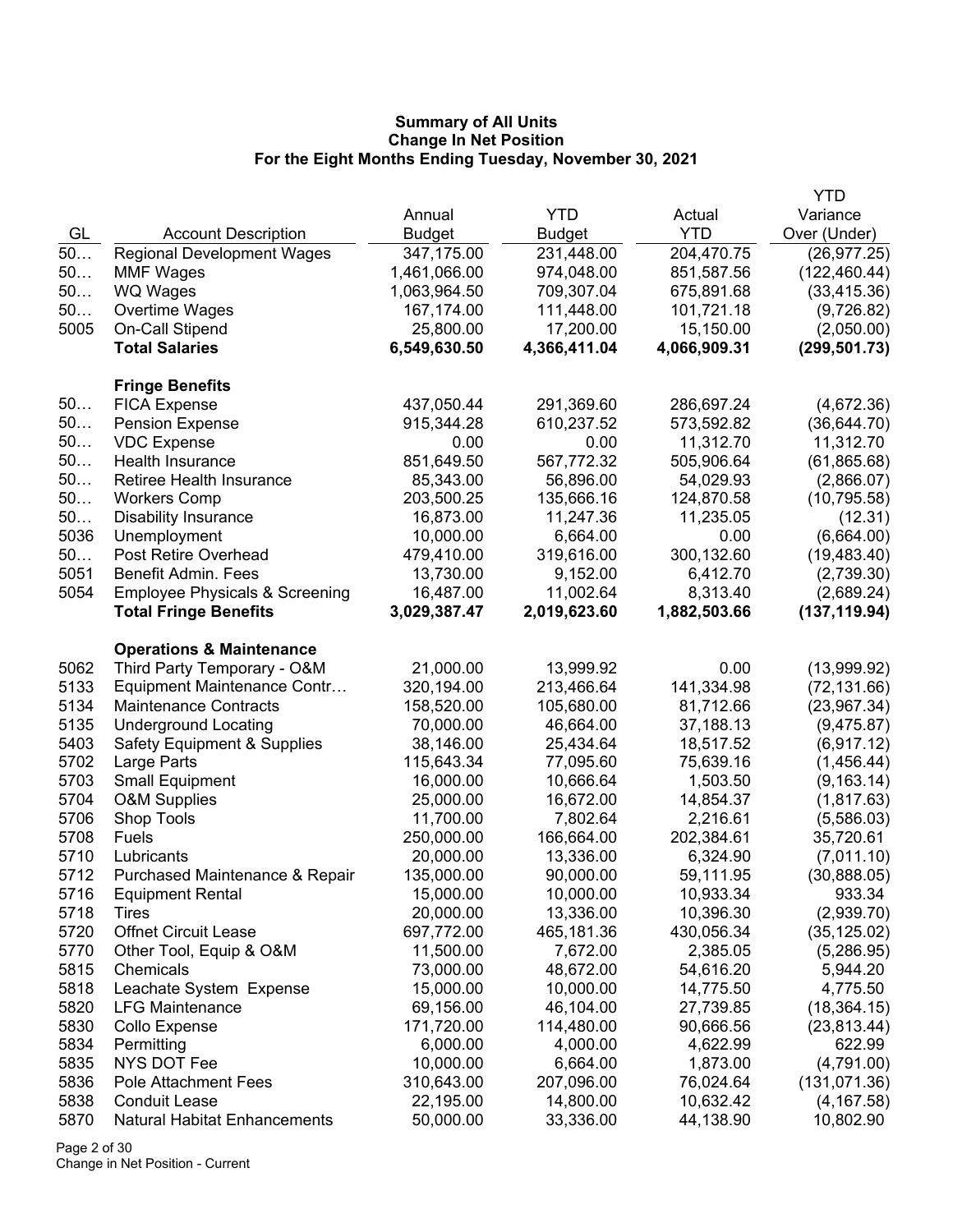|      |                                            |                        |              |              | <b>YTD</b>    |
|------|--------------------------------------------|------------------------|--------------|--------------|---------------|
|      |                                            | Annual                 | <b>YTD</b>   | Actual       | Variance      |
| GL   | <b>Account Description</b>                 | Budget                 | Budget       | <b>YTD</b>   | Over (Under)  |
| 50   | <b>Regional Development Wages</b>          | 347,175.00             | 231,448.00   | 204,470.75   | (26, 977.25)  |
| 50   | <b>MMF Wages</b>                           | 1,461,066.00           | 974,048.00   | 851,587.56   | (122, 460.44) |
| 50   | <b>WQ Wages</b>                            | 1,063,964.50           | 709,307.04   | 675,891.68   | (33, 415.36)  |
| 50   | Overtime Wages                             | 167,174.00             | 111,448.00   | 101,721.18   | (9,726.82)    |
| 5005 | On-Call Stipend                            | 25,800.00              | 17,200.00    | 15,150.00    | (2,050.00)    |
|      | <b>Total Salaries</b>                      | 6,549,630.50           | 4,366,411.04 | 4,066,909.31 | (299, 501.73) |
|      | <b>Fringe Benefits</b>                     |                        |              |              |               |
| 50   | <b>FICA Expense</b>                        | 437,050.44             | 291,369.60   | 286,697.24   | (4,672.36)    |
| 50   | <b>Pension Expense</b>                     | 915,344.28             | 610,237.52   | 573,592.82   | (36, 644.70)  |
| 50   | <b>VDC Expense</b>                         | 0.00                   | 0.00         | 11,312.70    | 11,312.70     |
| 50   | Health Insurance                           | 851,649.50             | 567,772.32   | 505,906.64   | (61, 865.68)  |
| 50   | <b>Retiree Health Insurance</b>            | 85,343.00              | 56,896.00    | 54,029.93    | (2,866.07)    |
| 50   | <b>Workers Comp</b>                        | 203,500.25             | 135,666.16   | 124,870.58   | (10, 795.58)  |
| 50   | <b>Disability Insurance</b>                | 16,873.00              | 11,247.36    | 11,235.05    | (12.31)       |
| 5036 | Unemployment                               | 10,000.00              | 6,664.00     | 0.00         | (6,664.00)    |
| 50   | <b>Post Retire Overhead</b>                | 479,410.00             | 319,616.00   | 300,132.60   | (19, 483.40)  |
| 5051 | Benefit Admin. Fees                        | 13,730.00              | 9,152.00     | 6,412.70     | (2,739.30)    |
| 5054 | <b>Employee Physicals &amp; Screening</b>  | 16,487.00              | 11,002.64    | 8,313.40     | (2,689.24)    |
|      | <b>Total Fringe Benefits</b>               | 3,029,387.47           | 2,019,623.60 | 1,882,503.66 | (137, 119.94) |
|      | <b>Operations &amp; Maintenance</b>        |                        |              |              |               |
| 5062 | Third Party Temporary - O&M                | 21,000.00              | 13,999.92    | 0.00         | (13,999.92)   |
| 5133 | Equipment Maintenance Contr                | 320,194.00             | 213,466.64   | 141,334.98   | (72, 131.66)  |
| 5134 | <b>Maintenance Contracts</b>               | 158,520.00             | 105,680.00   | 81,712.66    | (23,967.34)   |
| 5135 | <b>Underground Locating</b>                | 70,000.00              | 46,664.00    | 37,188.13    | (9,475.87)    |
| 5403 | <b>Safety Equipment &amp; Supplies</b>     | 38,146.00              | 25,434.64    | 18,517.52    | (6,917.12)    |
| 5702 | Large Parts                                | 115,643.34             | 77,095.60    | 75,639.16    | (1,456.44)    |
| 5703 | <b>Small Equipment</b>                     | 16,000.00              | 10,666.64    | 1,503.50     | (9, 163.14)   |
| 5704 | <b>O&amp;M Supplies</b>                    | 25,000.00              | 16,672.00    | 14,854.37    | (1, 817.63)   |
| 5706 | Shop Tools                                 | 11,700.00              | 7,802.64     | 2,216.61     | (5,586.03)    |
| 5708 | <b>Fuels</b>                               | 250,000.00             | 166,664.00   | 202,384.61   | 35,720.61     |
| 5710 | Lubricants                                 | 20,000.00              | 13,336.00    | 6,324.90     | (7,011.10)    |
| 5712 | Purchased Maintenance & Repair             | 135,000.00             | 90,000.00    | 59,111.95    | (30,888.05)   |
| 5716 | <b>Equipment Rental</b>                    | 15,000.00              | 10,000.00    | 10,933.34    | 933.34        |
| 5718 | Tires                                      | 20,000.00              | 13,336.00    | 10,396.30    | (2,939.70)    |
| 5720 | <b>Offnet Circuit Lease</b>                | 697,772.00             | 465,181.36   | 430,056.34   | (35, 125.02)  |
| 5770 | Other Tool, Equip & O&M                    | 11,500.00              | 7,672.00     | 2,385.05     | (5,286.95)    |
| 5815 | Chemicals                                  | 73,000.00              | 48,672.00    | 54,616.20    | 5,944.20      |
| 5818 | Leachate System Expense                    | 15,000.00              | 10,000.00    | 14,775.50    | 4,775.50      |
| 5820 | <b>LFG Maintenance</b>                     | 69,156.00              | 46,104.00    | 27,739.85    | (18, 364.15)  |
| 5830 | Collo Expense                              | 171,720.00             | 114,480.00   | 90,666.56    | (23, 813.44)  |
| 5834 | Permitting                                 | 6,000.00               | 4,000.00     | 4,622.99     | 622.99        |
| 5835 | NYS DOT Fee<br><b>Pole Attachment Fees</b> | 10,000.00              | 6,664.00     | 1,873.00     | (4,791.00)    |
| 5836 |                                            | 310,643.00             | 207,096.00   | 76,024.64    | (131, 071.36) |
| 5838 | <b>Conduit Lease</b>                       | 22,195.00<br>50,000.00 | 14,800.00    | 10,632.42    | (4, 167.58)   |
| 5870 | <b>Natural Habitat Enhancements</b>        |                        | 33,336.00    | 44,138.90    | 10,802.90     |

Page 2 of 30 Change in Net Position - Current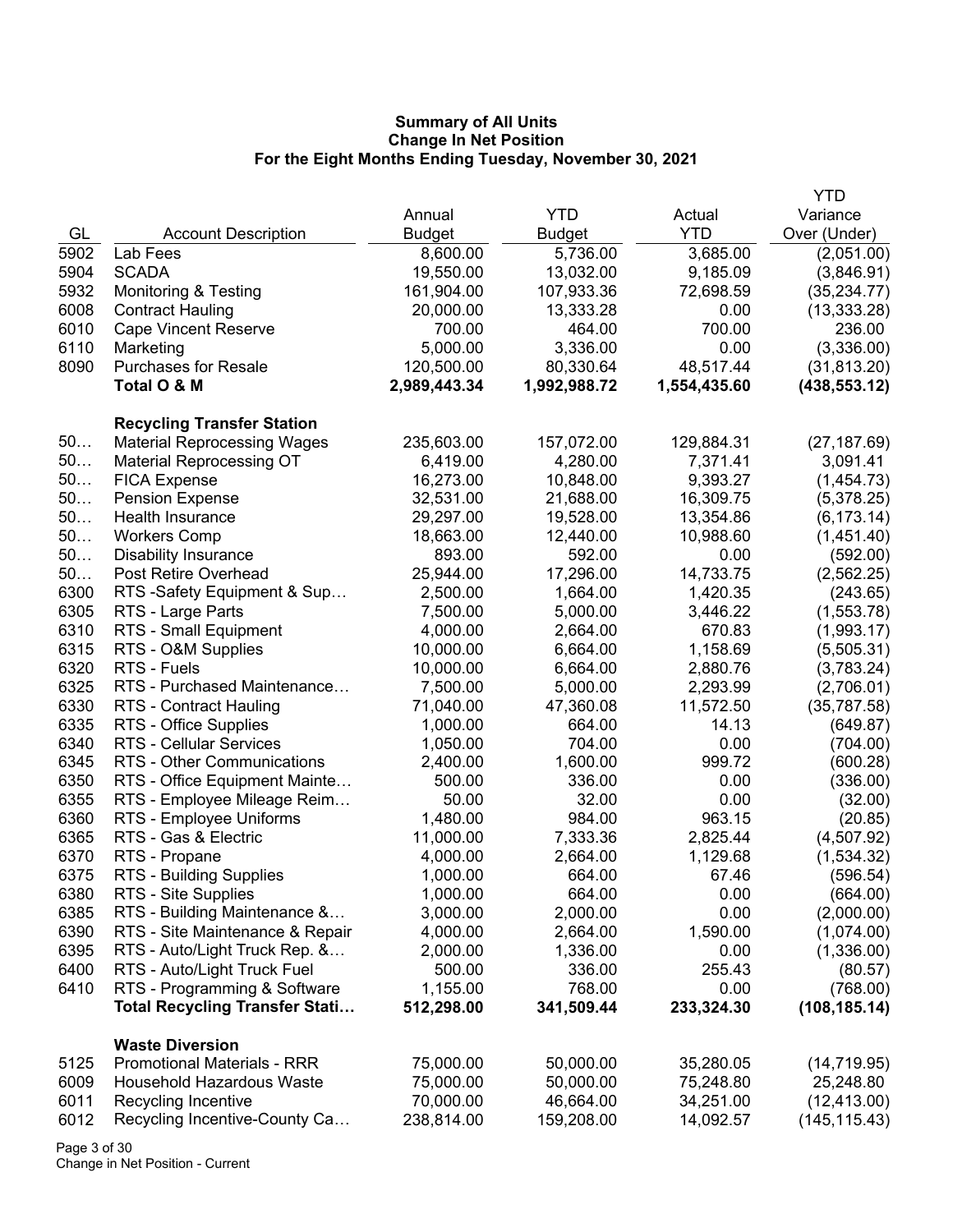|              |                                                                         |                      |                        |                    | YTD                       |
|--------------|-------------------------------------------------------------------------|----------------------|------------------------|--------------------|---------------------------|
|              |                                                                         | Annual               | <b>YTD</b>             | Actual             | Variance                  |
| GL           | <b>Account Description</b>                                              | <b>Budget</b>        | <b>Budget</b>          | <b>YTD</b>         | Over (Under)              |
| 5902         | Lab Fees                                                                | 8,600.00             | 5,736.00               | 3,685.00           | (2,051.00)                |
| 5904         | <b>SCADA</b>                                                            | 19,550.00            | 13,032.00              | 9,185.09           | (3,846.91)                |
| 5932         | Monitoring & Testing                                                    | 161,904.00           | 107,933.36             | 72,698.59          | (35, 234.77)              |
| 6008         | <b>Contract Hauling</b>                                                 | 20,000.00            | 13,333.28              | 0.00               | (13, 333.28)              |
| 6010         | <b>Cape Vincent Reserve</b>                                             | 700.00               | 464.00                 | 700.00             | 236.00                    |
| 6110         | Marketing                                                               | 5,000.00             | 3,336.00               | 0.00               | (3,336.00)                |
| 8090         | <b>Purchases for Resale</b>                                             | 120,500.00           | 80,330.64              | 48,517.44          | (31, 813.20)              |
|              | Total O & M                                                             | 2,989,443.34         | 1,992,988.72           | 1,554,435.60       | (438, 553.12)             |
|              |                                                                         |                      |                        |                    |                           |
| 50           | <b>Recycling Transfer Station</b><br><b>Material Reprocessing Wages</b> | 235,603.00           | 157,072.00             | 129,884.31         |                           |
| 50           |                                                                         | 6,419.00             | 4,280.00               | 7,371.41           | (27, 187.69)              |
| 50           | <b>Material Reprocessing OT</b>                                         | 16,273.00            | 10,848.00              | 9,393.27           | 3,091.41                  |
| 50           | <b>FICA Expense</b>                                                     | 32,531.00            |                        | 16,309.75          | (1,454.73)                |
| 50           | <b>Pension Expense</b><br>Health Insurance                              | 29,297.00            | 21,688.00<br>19,528.00 | 13,354.86          | (5,378.25)                |
| 50           |                                                                         | 18,663.00            |                        | 10,988.60          | (6, 173.14)<br>(1,451.40) |
| 50           | <b>Workers Comp</b><br><b>Disability Insurance</b>                      | 893.00               | 12,440.00<br>592.00    | 0.00               |                           |
| 50           | Post Retire Overhead                                                    | 25,944.00            | 17,296.00              | 14,733.75          | (592.00)                  |
| 6300         |                                                                         |                      | 1,664.00               |                    | (2, 562.25)               |
| 6305         | RTS -Safety Equipment & Sup                                             | 2,500.00<br>7,500.00 |                        | 1,420.35           | (243.65)                  |
| 6310         | RTS - Large Parts<br><b>RTS - Small Equipment</b>                       |                      | 5,000.00               | 3,446.22<br>670.83 | (1,553.78)                |
|              |                                                                         | 4,000.00             | 2,664.00               |                    | (1,993.17)                |
| 6315<br>6320 | RTS - O&M Supplies                                                      | 10,000.00            | 6,664.00               | 1,158.69           | (5,505.31)                |
| 6325         | RTS - Fuels<br>RTS - Purchased Maintenance                              | 10,000.00            | 6,664.00               | 2,880.76           | (3,783.24)                |
| 6330         |                                                                         | 7,500.00             | 5,000.00               | 2,293.99           | (2,706.01)                |
|              | RTS - Contract Hauling                                                  | 71,040.00            | 47,360.08              | 11,572.50          | (35, 787.58)              |
| 6335<br>6340 | RTS - Office Supplies                                                   | 1,000.00             | 664.00                 | 14.13<br>0.00      | (649.87)                  |
|              | <b>RTS - Cellular Services</b>                                          | 1,050.00             | 704.00                 | 999.72             | (704.00)                  |
| 6345         | RTS - Other Communications                                              | 2,400.00             | 1,600.00               |                    | (600.28)                  |
| 6350<br>6355 | RTS - Office Equipment Mainte                                           | 500.00               | 336.00                 | 0.00               | (336.00)                  |
|              | RTS - Employee Mileage Reim                                             | 50.00                | 32.00                  | 0.00               | (32.00)                   |
| 6360         | RTS - Employee Uniforms                                                 | 1,480.00             | 984.00                 | 963.15             | (20.85)                   |
| 6365         | RTS - Gas & Electric                                                    | 11,000.00            | 7,333.36               | 2,825.44           | (4,507.92)                |
| 6370         | RTS - Propane                                                           | 4,000.00             | 2,664.00               | 1,129.68           | (1,534.32)                |
| 6375         | <b>RTS - Building Supplies</b>                                          | 1,000.00             | 664.00                 | 67.46              | (596.54)                  |
| 6380         | RTS - Site Supplies                                                     | 1,000.00             | 664.00                 | 0.00               | (664.00)                  |
| 6385         | RTS - Building Maintenance &                                            | 3,000.00             | 2,000.00               | 0.00               | (2,000.00)                |
| 6390         | RTS - Site Maintenance & Repair                                         | 4,000.00             | 2,664.00               | 1,590.00           | (1,074.00)                |
| 6395         | RTS - Auto/Light Truck Rep. &                                           | 2,000.00             | 1,336.00               | 0.00               | (1,336.00)                |
| 6400         | RTS - Auto/Light Truck Fuel                                             | 500.00               | 336.00                 | 255.43             | (80.57)                   |
| 6410         | RTS - Programming & Software                                            | 1,155.00             | 768.00                 | 0.00               | (768.00)                  |
|              | <b>Total Recycling Transfer Stati</b>                                   | 512,298.00           | 341,509.44             | 233,324.30         | (108, 185.14)             |
|              | <b>Waste Diversion</b>                                                  |                      |                        |                    |                           |
| 5125         | <b>Promotional Materials - RRR</b>                                      | 75,000.00            | 50,000.00              | 35,280.05          | (14, 719.95)              |
| 6009         | <b>Household Hazardous Waste</b>                                        | 75,000.00            | 50,000.00              | 75,248.80          | 25,248.80                 |
| 6011         | Recycling Incentive                                                     | 70,000.00            | 46,664.00              | 34,251.00          | (12, 413.00)              |
| 6012         | Recycling Incentive-County Ca                                           | 238,814.00           | 159,208.00             | 14,092.57          | (145, 115.43)             |

Page 3 of 30 Change in Net Position - Current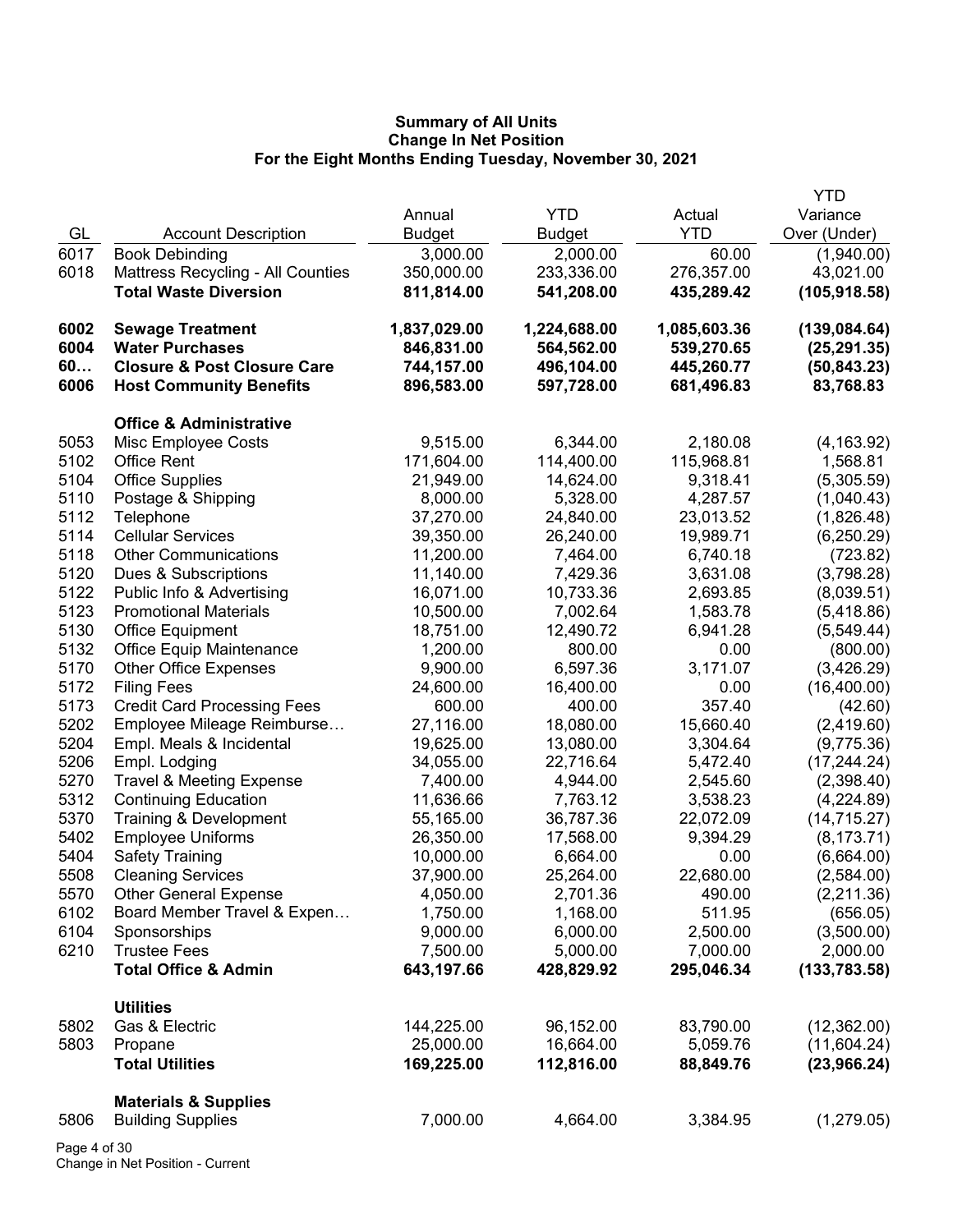|      |                                        |               |               |              | <b>YTD</b>    |
|------|----------------------------------------|---------------|---------------|--------------|---------------|
|      |                                        | Annual        | <b>YTD</b>    | Actual       | Variance      |
| GL   | <b>Account Description</b>             | <b>Budget</b> | <b>Budget</b> | <b>YTD</b>   | Over (Under)  |
| 6017 | <b>Book Debinding</b>                  | 3,000.00      | 2,000.00      | 60.00        | (1,940.00)    |
| 6018 | Mattress Recycling - All Counties      | 350,000.00    | 233,336.00    | 276,357.00   | 43,021.00     |
|      | <b>Total Waste Diversion</b>           | 811,814.00    | 541,208.00    | 435,289.42   | (105, 918.58) |
| 6002 | <b>Sewage Treatment</b>                | 1,837,029.00  | 1,224,688.00  | 1,085,603.36 | (139, 084.64) |
| 6004 | <b>Water Purchases</b>                 | 846,831.00    | 564,562.00    | 539,270.65   | (25, 291.35)  |
| 60   | <b>Closure &amp; Post Closure Care</b> | 744,157.00    | 496,104.00    | 445,260.77   | (50, 843.23)  |
| 6006 | <b>Host Community Benefits</b>         | 896,583.00    | 597,728.00    | 681,496.83   | 83,768.83     |
|      | <b>Office &amp; Administrative</b>     |               |               |              |               |
| 5053 | Misc Employee Costs                    | 9,515.00      | 6,344.00      | 2,180.08     | (4, 163.92)   |
| 5102 | <b>Office Rent</b>                     | 171,604.00    | 114,400.00    | 115,968.81   | 1,568.81      |
| 5104 | <b>Office Supplies</b>                 | 21,949.00     | 14,624.00     | 9,318.41     | (5,305.59)    |
| 5110 | Postage & Shipping                     | 8,000.00      | 5,328.00      | 4,287.57     | (1,040.43)    |
| 5112 | Telephone                              | 37,270.00     | 24,840.00     | 23,013.52    | (1,826.48)    |
| 5114 | <b>Cellular Services</b>               | 39,350.00     | 26,240.00     | 19,989.71    | (6,250.29)    |
| 5118 | <b>Other Communications</b>            | 11,200.00     | 7,464.00      | 6,740.18     | (723.82)      |
| 5120 | Dues & Subscriptions                   | 11,140.00     | 7,429.36      | 3,631.08     | (3,798.28)    |
| 5122 | Public Info & Advertising              | 16,071.00     | 10,733.36     | 2,693.85     | (8,039.51)    |
| 5123 | <b>Promotional Materials</b>           | 10,500.00     | 7,002.64      | 1,583.78     | (5,418.86)    |
| 5130 | <b>Office Equipment</b>                | 18,751.00     | 12,490.72     | 6,941.28     | (5,549.44)    |
| 5132 | <b>Office Equip Maintenance</b>        | 1,200.00      | 800.00        | 0.00         | (800.00)      |
| 5170 | <b>Other Office Expenses</b>           | 9,900.00      | 6,597.36      | 3,171.07     | (3,426.29)    |
| 5172 | <b>Filing Fees</b>                     | 24,600.00     | 16,400.00     | 0.00         | (16,400.00)   |
| 5173 | <b>Credit Card Processing Fees</b>     | 600.00        | 400.00        | 357.40       | (42.60)       |
| 5202 | Employee Mileage Reimburse             | 27,116.00     | 18,080.00     | 15,660.40    | (2,419.60)    |
| 5204 | Empl. Meals & Incidental               | 19,625.00     | 13,080.00     | 3,304.64     | (9,775.36)    |
| 5206 | Empl. Lodging                          | 34,055.00     | 22,716.64     | 5,472.40     | (17, 244.24)  |
| 5270 | <b>Travel &amp; Meeting Expense</b>    | 7,400.00      | 4,944.00      | 2,545.60     | (2,398.40)    |
| 5312 | <b>Continuing Education</b>            | 11,636.66     | 7,763.12      | 3,538.23     | (4,224.89)    |
| 5370 | Training & Development                 | 55,165.00     | 36,787.36     | 22,072.09    | (14, 715.27)  |
| 5402 | <b>Employee Uniforms</b>               | 26,350.00     | 17,568.00     | 9,394.29     | (8, 173.71)   |
| 5404 | <b>Safety Training</b>                 | 10,000.00     | 6,664.00      | 0.00         | (6,664.00)    |
| 5508 | <b>Cleaning Services</b>               | 37,900.00     | 25,264.00     | 22,680.00    | (2,584.00)    |
| 5570 | <b>Other General Expense</b>           | 4,050.00      | 2,701.36      | 490.00       | (2,211.36)    |
| 6102 | Board Member Travel & Expen            | 1,750.00      | 1,168.00      | 511.95       | (656.05)      |
| 6104 | Sponsorships                           | 9,000.00      | 6,000.00      | 2,500.00     | (3,500.00)    |
| 6210 | <b>Trustee Fees</b>                    | 7,500.00      | 5,000.00      | 7,000.00     | 2,000.00      |
|      | <b>Total Office &amp; Admin</b>        | 643,197.66    | 428,829.92    | 295,046.34   | (133, 783.58) |
|      | <b>Utilities</b>                       |               |               |              |               |
| 5802 | Gas & Electric                         | 144,225.00    | 96,152.00     | 83,790.00    | (12,362.00)   |
| 5803 | Propane                                | 25,000.00     | 16,664.00     | 5,059.76     | (11,604.24)   |
|      | <b>Total Utilities</b>                 | 169,225.00    | 112,816.00    | 88,849.76    | (23,966.24)   |
|      | <b>Materials &amp; Supplies</b>        |               |               |              |               |
| 5806 | <b>Building Supplies</b>               | 7,000.00      | 4,664.00      | 3,384.95     | (1,279.05)    |
|      |                                        |               |               |              |               |

Page 4 of 30 Change in Net Position - Current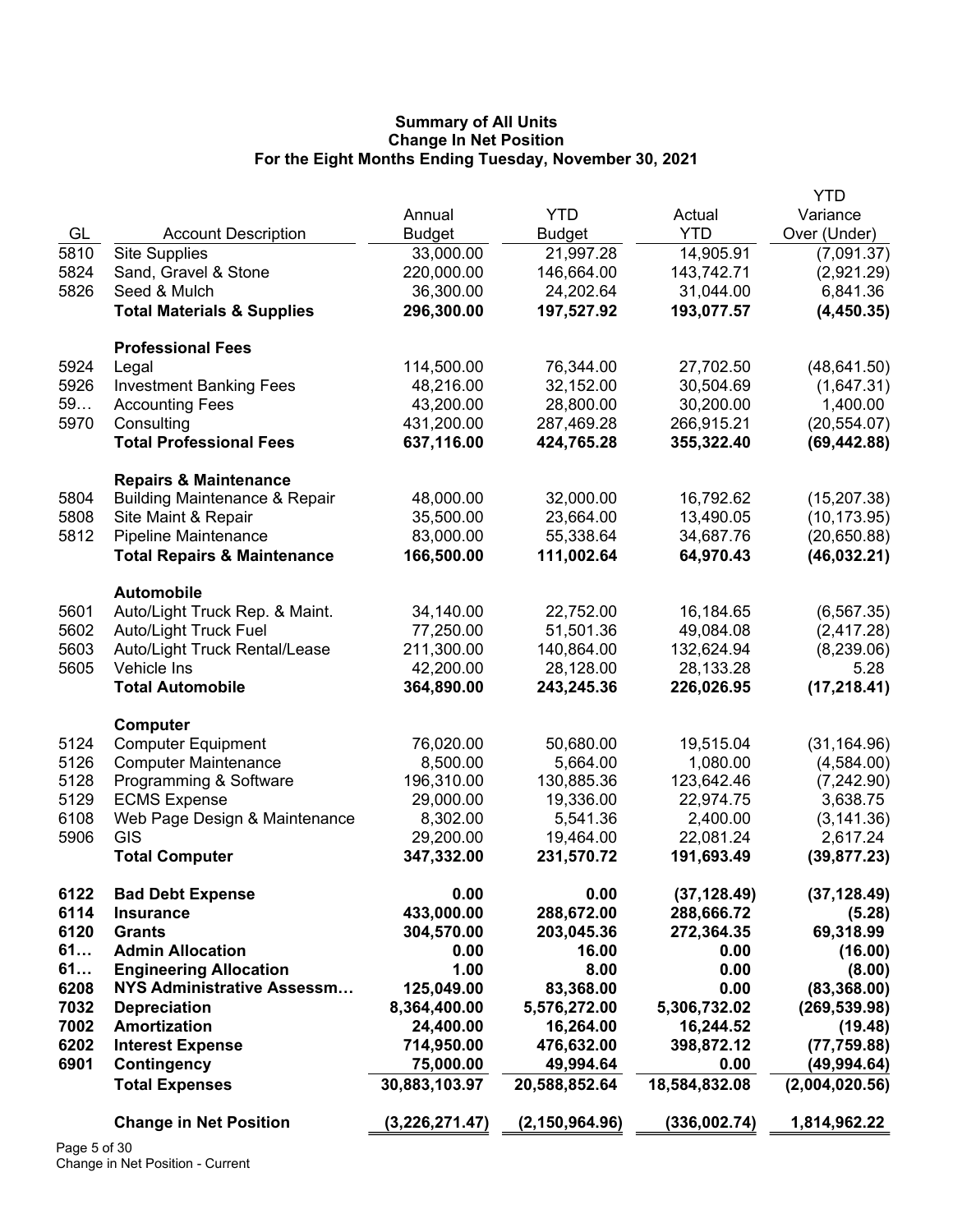|              |                                          |                |                  |               | <b>YTD</b>     |
|--------------|------------------------------------------|----------------|------------------|---------------|----------------|
|              |                                          | Annual         | <b>YTD</b>       | Actual        | Variance       |
| GL           | <b>Account Description</b>               | <b>Budget</b>  | <b>Budget</b>    | <b>YTD</b>    | Over (Under)   |
| 5810         | <b>Site Supplies</b>                     | 33,000.00      | 21,997.28        | 14,905.91     | (7,091.37)     |
| 5824         | Sand, Gravel & Stone                     | 220,000.00     | 146,664.00       | 143,742.71    | (2,921.29)     |
| 5826         | Seed & Mulch                             | 36,300.00      | 24,202.64        | 31,044.00     | 6,841.36       |
|              | <b>Total Materials &amp; Supplies</b>    | 296,300.00     | 197,527.92       | 193,077.57    | (4,450.35)     |
|              |                                          |                |                  |               |                |
|              | <b>Professional Fees</b>                 |                |                  |               |                |
| 5924         | Legal                                    | 114,500.00     | 76,344.00        | 27,702.50     | (48, 641.50)   |
| 5926         | <b>Investment Banking Fees</b>           | 48,216.00      | 32,152.00        | 30,504.69     | (1,647.31)     |
| 59           | <b>Accounting Fees</b>                   | 43,200.00      | 28,800.00        | 30,200.00     | 1,400.00       |
| 5970         | Consulting                               | 431,200.00     | 287,469.28       | 266,915.21    | (20, 554.07)   |
|              | <b>Total Professional Fees</b>           | 637,116.00     | 424,765.28       | 355,322.40    | (69, 442.88)   |
|              |                                          |                |                  |               |                |
|              | <b>Repairs &amp; Maintenance</b>         |                |                  |               |                |
| 5804         | <b>Building Maintenance &amp; Repair</b> | 48,000.00      | 32,000.00        | 16,792.62     | (15, 207.38)   |
| 5808         | Site Maint & Repair                      | 35,500.00      | 23,664.00        | 13,490.05     | (10, 173.95)   |
| 5812         | Pipeline Maintenance                     | 83,000.00      | 55,338.64        | 34,687.76     | (20,650.88)    |
|              | <b>Total Repairs &amp; Maintenance</b>   | 166,500.00     | 111,002.64       | 64,970.43     | (46, 032.21)   |
|              |                                          |                |                  |               |                |
|              | <b>Automobile</b>                        |                |                  |               |                |
| 5601         | Auto/Light Truck Rep. & Maint.           | 34,140.00      | 22,752.00        | 16,184.65     | (6, 567.35)    |
| 5602         | <b>Auto/Light Truck Fuel</b>             | 77,250.00      | 51,501.36        | 49,084.08     | (2,417.28)     |
| 5603         | Auto/Light Truck Rental/Lease            | 211,300.00     | 140,864.00       | 132,624.94    | (8,239.06)     |
| 5605         | Vehicle Ins                              | 42,200.00      | 28,128.00        | 28,133.28     | 5.28           |
|              | <b>Total Automobile</b>                  | 364,890.00     | 243,245.36       | 226,026.95    | (17, 218.41)   |
|              |                                          |                |                  |               |                |
|              | Computer                                 |                |                  |               |                |
| 5124         | <b>Computer Equipment</b>                | 76,020.00      | 50,680.00        | 19,515.04     | (31, 164.96)   |
| 5126         | <b>Computer Maintenance</b>              | 8,500.00       | 5,664.00         | 1,080.00      | (4,584.00)     |
| 5128         | Programming & Software                   | 196,310.00     | 130,885.36       | 123,642.46    | (7,242.90)     |
| 5129         | <b>ECMS Expense</b>                      | 29,000.00      | 19,336.00        | 22,974.75     | 3,638.75       |
| 6108         | Web Page Design & Maintenance            | 8,302.00       | 5,541.36         | 2,400.00      | (3, 141.36)    |
| 5906         | GIS                                      | 29,200.00      | 19,464.00        | 22,081.24     | 2,617.24       |
|              | <b>Total Computer</b>                    | 347,332.00     | 231,570.72       | 191,693.49    | (39, 877.23)   |
|              |                                          |                |                  |               |                |
| 6122         | <b>Bad Debt Expense</b>                  | 0.00           | 0.00             | (37, 128.49)  | (37, 128.49)   |
| 6114         | <b>Insurance</b>                         | 433,000.00     | 288,672.00       | 288,666.72    | (5.28)         |
| 6120         | <b>Grants</b>                            | 304,570.00     | 203,045.36       | 272,364.35    | 69,318.99      |
| 61           | <b>Admin Allocation</b>                  | 0.00           | 16.00            | 0.00          | (16.00)        |
| 61           | <b>Engineering Allocation</b>            | 1.00           | 8.00             | 0.00          | (8.00)         |
| 6208         | <b>NYS Administrative Assessm</b>        | 125,049.00     | 83,368.00        | 0.00          | (83, 368.00)   |
| 7032         | <b>Depreciation</b>                      | 8,364,400.00   | 5,576,272.00     | 5,306,732.02  | (269, 539.98)  |
| 7002         | <b>Amortization</b>                      | 24,400.00      | 16,264.00        | 16,244.52     | (19.48)        |
| 6202         | <b>Interest Expense</b>                  | 714,950.00     | 476,632.00       | 398,872.12    | (77, 759.88)   |
| 6901         | Contingency                              | 75,000.00      | 49,994.64        | 0.00          | (49, 994.64)   |
|              | <b>Total Expenses</b>                    | 30,883,103.97  | 20,588,852.64    | 18,584,832.08 | (2,004,020.56) |
|              |                                          |                |                  |               |                |
|              | <b>Change in Net Position</b>            | (3,226,271.47) | (2, 150, 964.96) | (336,002.74)  | 1,814,962.22   |
| $DaoE$ of 20 |                                          |                |                  |               |                |

Page 5 of 30 Change in Net Position - Current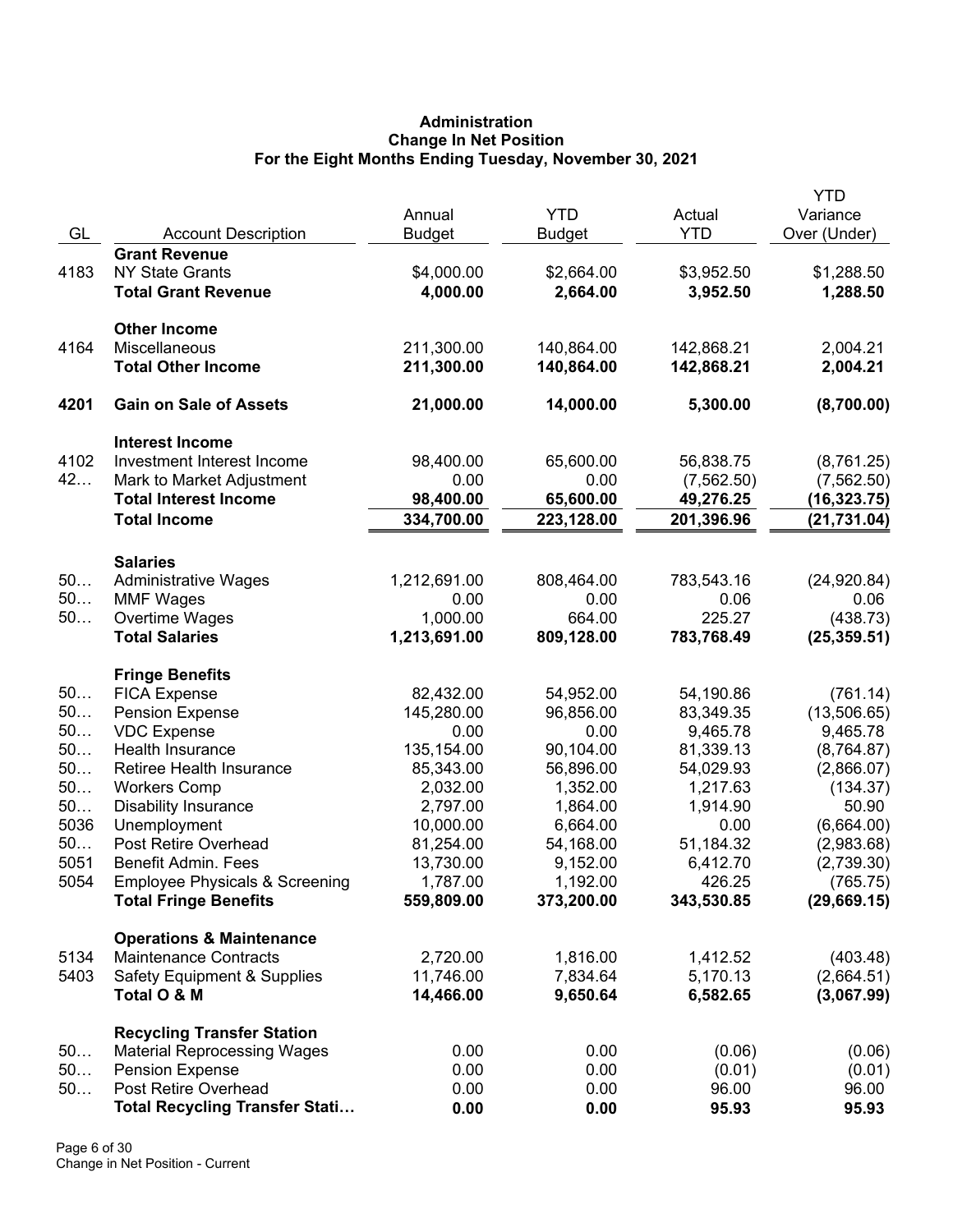# **Administration Change In Net Position For the Eight Months Ending Tuesday, November 30, 2021**

| <b>YTD</b><br>Actual<br>Annual<br>GL<br><b>YTD</b><br>Over (Under)<br><b>Account Description</b><br><b>Budget</b><br><b>Budget</b><br><b>Grant Revenue</b><br>4183<br><b>NY State Grants</b><br>\$4,000.00<br>\$3,952.50<br>\$2,664.00<br>4,000.00<br><b>Total Grant Revenue</b><br>2,664.00<br>3,952.50 | Variance<br>\$1,288.50<br>1,288.50<br>2,004.21<br>2,004.21 |
|----------------------------------------------------------------------------------------------------------------------------------------------------------------------------------------------------------------------------------------------------------------------------------------------------------|------------------------------------------------------------|
|                                                                                                                                                                                                                                                                                                          |                                                            |
|                                                                                                                                                                                                                                                                                                          |                                                            |
|                                                                                                                                                                                                                                                                                                          |                                                            |
|                                                                                                                                                                                                                                                                                                          |                                                            |
|                                                                                                                                                                                                                                                                                                          |                                                            |
| <b>Other Income</b>                                                                                                                                                                                                                                                                                      |                                                            |
| Miscellaneous<br>4164<br>211,300.00<br>140,864.00<br>142,868.21                                                                                                                                                                                                                                          |                                                            |
| 211,300.00<br><b>Total Other Income</b><br>140,864.00<br>142,868.21                                                                                                                                                                                                                                      |                                                            |
| 4201<br><b>Gain on Sale of Assets</b><br>21,000.00<br>14,000.00<br>5,300.00                                                                                                                                                                                                                              | (8,700.00)                                                 |
| <b>Interest Income</b>                                                                                                                                                                                                                                                                                   |                                                            |
| 4102<br>Investment Interest Income<br>98,400.00<br>65,600.00<br>56,838.75                                                                                                                                                                                                                                | (8,761.25)                                                 |
| 42<br>Mark to Market Adjustment<br>0.00<br>0.00<br>(7, 562.50)                                                                                                                                                                                                                                           | (7, 562.50)                                                |
| <b>Total Interest Income</b><br>98,400.00<br>49,276.25<br>65,600.00                                                                                                                                                                                                                                      | (16,323.75)                                                |
| 334,700.00<br>201,396.96<br><b>Total Income</b><br>223,128.00                                                                                                                                                                                                                                            | (21, 731.04)                                               |
|                                                                                                                                                                                                                                                                                                          |                                                            |
| <b>Salaries</b><br>50<br><b>Administrative Wages</b>                                                                                                                                                                                                                                                     | (24, 920.84)                                               |
| 1,212,691.00<br>808,464.00<br>783,543.16<br>50<br>0.00<br>0.06<br>0.00                                                                                                                                                                                                                                   | 0.06                                                       |
| <b>MMF Wages</b><br>50<br>225.27<br>Overtime Wages<br>1,000.00<br>664.00                                                                                                                                                                                                                                 | (438.73)                                                   |
| <b>Total Salaries</b><br>1,213,691.00<br>809,128.00<br>783,768.49                                                                                                                                                                                                                                        | (25, 359.51)                                               |
|                                                                                                                                                                                                                                                                                                          |                                                            |
| <b>Fringe Benefits</b>                                                                                                                                                                                                                                                                                   |                                                            |
| 50<br>82,432.00<br><b>FICA Expense</b><br>54,952.00<br>54,190.86                                                                                                                                                                                                                                         | (761.14)                                                   |
| 50<br><b>Pension Expense</b><br>145,280.00<br>96,856.00<br>83,349.35                                                                                                                                                                                                                                     | (13,506.65)                                                |
| 50<br><b>VDC Expense</b><br>0.00<br>9,465.78<br>0.00                                                                                                                                                                                                                                                     | 9,465.78                                                   |
| 50<br>Health Insurance<br>135,154.00<br>90,104.00<br>81,339.13                                                                                                                                                                                                                                           | (8,764.87)                                                 |
| 50<br>Retiree Health Insurance<br>85,343.00<br>56,896.00<br>54,029.93                                                                                                                                                                                                                                    | (2,866.07)                                                 |
| 50<br><b>Workers Comp</b><br>1,352.00<br>1,217.63<br>2,032.00                                                                                                                                                                                                                                            | (134.37)                                                   |
| 50<br><b>Disability Insurance</b><br>2,797.00<br>1,864.00<br>1,914.90                                                                                                                                                                                                                                    | 50.90                                                      |
| 5036<br>Unemployment<br>0.00<br>10,000.00<br>6,664.00                                                                                                                                                                                                                                                    | (6,664.00)                                                 |
| 50<br>Post Retire Overhead<br>81,254.00<br>54,168.00<br>51,184.32                                                                                                                                                                                                                                        | (2,983.68)                                                 |
| 5051<br>Benefit Admin. Fees<br>13,730.00<br>9,152.00<br>6,412.70                                                                                                                                                                                                                                         | (2,739.30)                                                 |
| 5054<br><b>Employee Physicals &amp; Screening</b><br>1,787.00<br>1,192.00<br>426.25                                                                                                                                                                                                                      | (765.75)                                                   |
| <b>Total Fringe Benefits</b><br>559,809.00<br>373,200.00<br>343,530.85                                                                                                                                                                                                                                   | (29,669.15)                                                |
| <b>Operations &amp; Maintenance</b>                                                                                                                                                                                                                                                                      |                                                            |
| <b>Maintenance Contracts</b><br>2,720.00<br>1,816.00<br>1,412.52<br>5134                                                                                                                                                                                                                                 | (403.48)                                                   |
| 5403<br>11,746.00<br>7,834.64<br>5,170.13<br><b>Safety Equipment &amp; Supplies</b>                                                                                                                                                                                                                      | (2,664.51)                                                 |
| 14,466.00<br>9,650.64<br>6,582.65<br>Total O & M                                                                                                                                                                                                                                                         | (3,067.99)                                                 |
| <b>Recycling Transfer Station</b>                                                                                                                                                                                                                                                                        |                                                            |
| 50<br><b>Material Reprocessing Wages</b><br>0.00<br>0.00<br>(0.06)                                                                                                                                                                                                                                       | (0.06)                                                     |
| 50<br><b>Pension Expense</b><br>0.00<br>0.00<br>(0.01)                                                                                                                                                                                                                                                   | (0.01)                                                     |
| 50<br>Post Retire Overhead<br>96.00<br>0.00<br>0.00                                                                                                                                                                                                                                                      | 96.00                                                      |
| <b>Total Recycling Transfer Stati</b><br>95.93<br>0.00<br>0.00                                                                                                                                                                                                                                           | 95.93                                                      |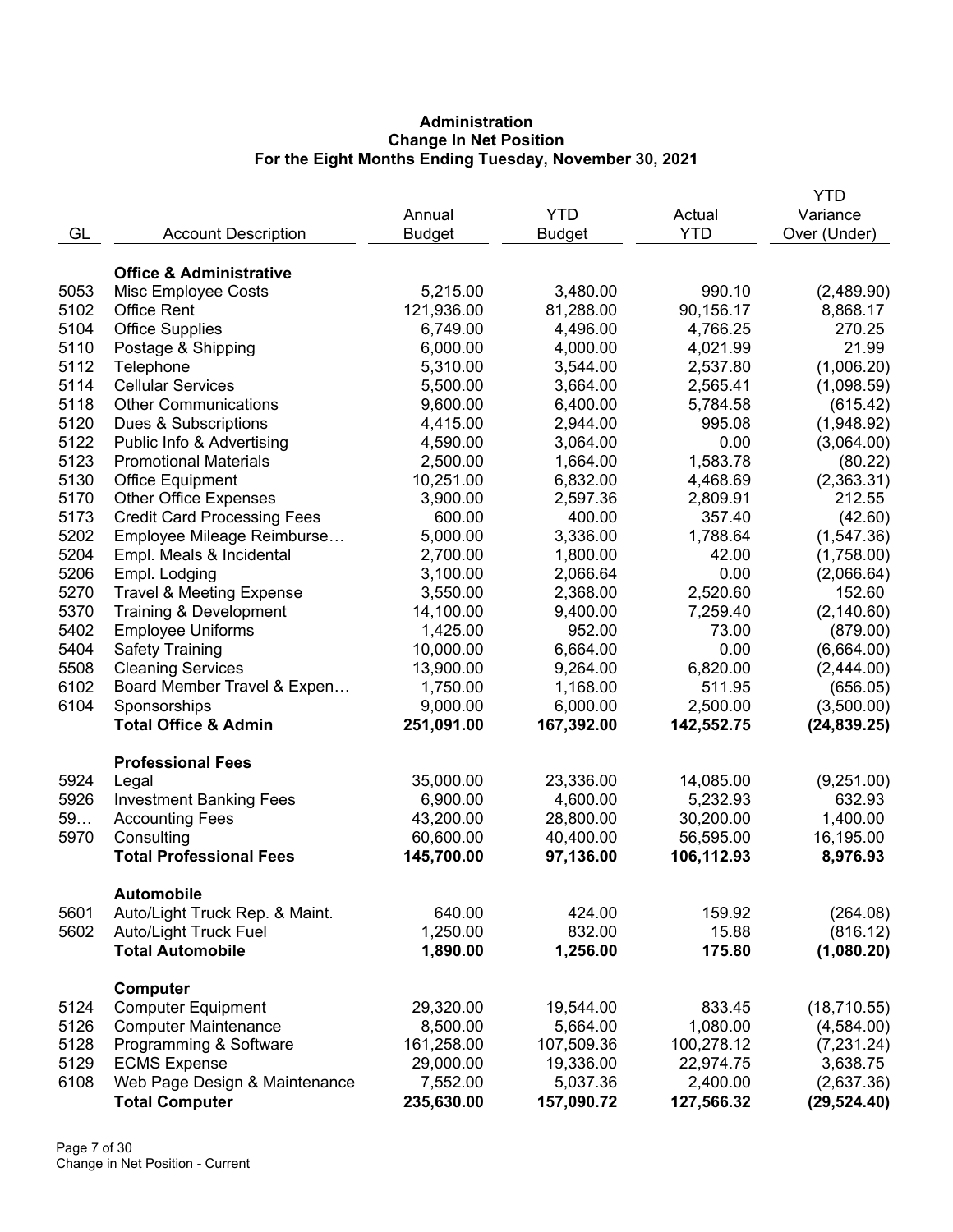# **Administration Change In Net Position For the Eight Months Ending Tuesday, November 30, 2021**

|      |                                              |               |               |            | YTD          |
|------|----------------------------------------------|---------------|---------------|------------|--------------|
|      |                                              | Annual        | <b>YTD</b>    | Actual     | Variance     |
| GL   | <b>Account Description</b>                   | <b>Budget</b> | <b>Budget</b> | <b>YTD</b> | Over (Under) |
|      |                                              |               |               |            |              |
|      | <b>Office &amp; Administrative</b>           |               |               |            |              |
| 5053 | <b>Misc Employee Costs</b>                   | 5,215.00      | 3,480.00      | 990.10     | (2,489.90)   |
| 5102 | <b>Office Rent</b>                           | 121,936.00    | 81,288.00     | 90,156.17  | 8,868.17     |
| 5104 | <b>Office Supplies</b>                       | 6,749.00      | 4,496.00      | 4,766.25   | 270.25       |
| 5110 | Postage & Shipping                           | 6,000.00      | 4,000.00      | 4,021.99   | 21.99        |
| 5112 | Telephone                                    | 5,310.00      | 3,544.00      | 2,537.80   | (1,006.20)   |
| 5114 | <b>Cellular Services</b>                     | 5,500.00      | 3,664.00      | 2,565.41   | (1,098.59)   |
| 5118 | <b>Other Communications</b>                  | 9,600.00      | 6,400.00      | 5,784.58   | (615.42)     |
| 5120 | Dues & Subscriptions                         | 4,415.00      | 2,944.00      | 995.08     | (1,948.92)   |
| 5122 | Public Info & Advertising                    | 4,590.00      | 3,064.00      | 0.00       | (3,064.00)   |
| 5123 | <b>Promotional Materials</b>                 | 2,500.00      | 1,664.00      | 1,583.78   | (80.22)      |
| 5130 | <b>Office Equipment</b>                      | 10,251.00     | 6,832.00      | 4,468.69   | (2,363.31)   |
| 5170 | <b>Other Office Expenses</b>                 | 3,900.00      | 2,597.36      | 2,809.91   | 212.55       |
| 5173 | <b>Credit Card Processing Fees</b>           | 600.00        | 400.00        | 357.40     | (42.60)      |
| 5202 | Employee Mileage Reimburse                   | 5,000.00      | 3,336.00      | 1,788.64   | (1, 547.36)  |
| 5204 | Empl. Meals & Incidental                     | 2,700.00      | 1,800.00      | 42.00      | (1,758.00)   |
| 5206 | Empl. Lodging                                | 3,100.00      | 2,066.64      | 0.00       | (2,066.64)   |
| 5270 | <b>Travel &amp; Meeting Expense</b>          | 3,550.00      | 2,368.00      | 2,520.60   | 152.60       |
| 5370 | Training & Development                       | 14,100.00     | 9,400.00      | 7,259.40   | (2, 140.60)  |
| 5402 | <b>Employee Uniforms</b>                     | 1,425.00      | 952.00        | 73.00      | (879.00)     |
| 5404 | <b>Safety Training</b>                       | 10,000.00     | 6,664.00      | 0.00       | (6,664.00)   |
| 5508 | <b>Cleaning Services</b>                     | 13,900.00     | 9,264.00      | 6,820.00   | (2,444.00)   |
| 6102 | Board Member Travel & Expen                  | 1,750.00      | 1,168.00      | 511.95     | (656.05)     |
| 6104 | Sponsorships                                 | 9,000.00      | 6,000.00      | 2,500.00   | (3,500.00)   |
|      | <b>Total Office &amp; Admin</b>              | 251,091.00    | 167,392.00    | 142,552.75 | (24, 839.25) |
|      |                                              |               |               |            |              |
|      | <b>Professional Fees</b>                     |               |               |            |              |
| 5924 | Legal                                        | 35,000.00     | 23,336.00     | 14,085.00  | (9,251.00)   |
| 5926 | <b>Investment Banking Fees</b>               | 6,900.00      | 4,600.00      | 5,232.93   | 632.93       |
| 59   | <b>Accounting Fees</b>                       | 43,200.00     | 28,800.00     | 30,200.00  | 1,400.00     |
| 5970 | Consulting                                   | 60,600.00     | 40,400.00     | 56,595.00  | 16,195.00    |
|      | <b>Total Professional Fees</b>               | 145,700.00    | 97,136.00     | 106,112.93 | 8,976.93     |
|      |                                              |               |               |            |              |
|      | <b>Automobile</b>                            |               |               |            |              |
| 5601 | Auto/Light Truck Rep. & Maint.               | 640.00        | 424.00        | 159.92     | (264.08)     |
| 5602 | Auto/Light Truck Fuel                        | 1,250.00      | 832.00        | 15.88      | (816.12)     |
|      | <b>Total Automobile</b>                      | 1,890.00      | 1,256.00      | 175.80     | (1,080.20)   |
|      |                                              |               |               |            |              |
| 5124 | <b>Computer</b><br><b>Computer Equipment</b> | 29,320.00     | 19,544.00     | 833.45     | (18, 710.55) |
| 5126 | <b>Computer Maintenance</b>                  | 8,500.00      | 5,664.00      | 1,080.00   | (4,584.00)   |
| 5128 | Programming & Software                       | 161,258.00    | 107,509.36    | 100,278.12 | (7, 231.24)  |
| 5129 | <b>ECMS Expense</b>                          | 29,000.00     | 19,336.00     | 22,974.75  | 3,638.75     |
| 6108 | Web Page Design & Maintenance                | 7,552.00      | 5,037.36      | 2,400.00   | (2,637.36)   |
|      | <b>Total Computer</b>                        |               |               |            |              |
|      |                                              | 235,630.00    | 157,090.72    | 127,566.32 | (29, 524.40) |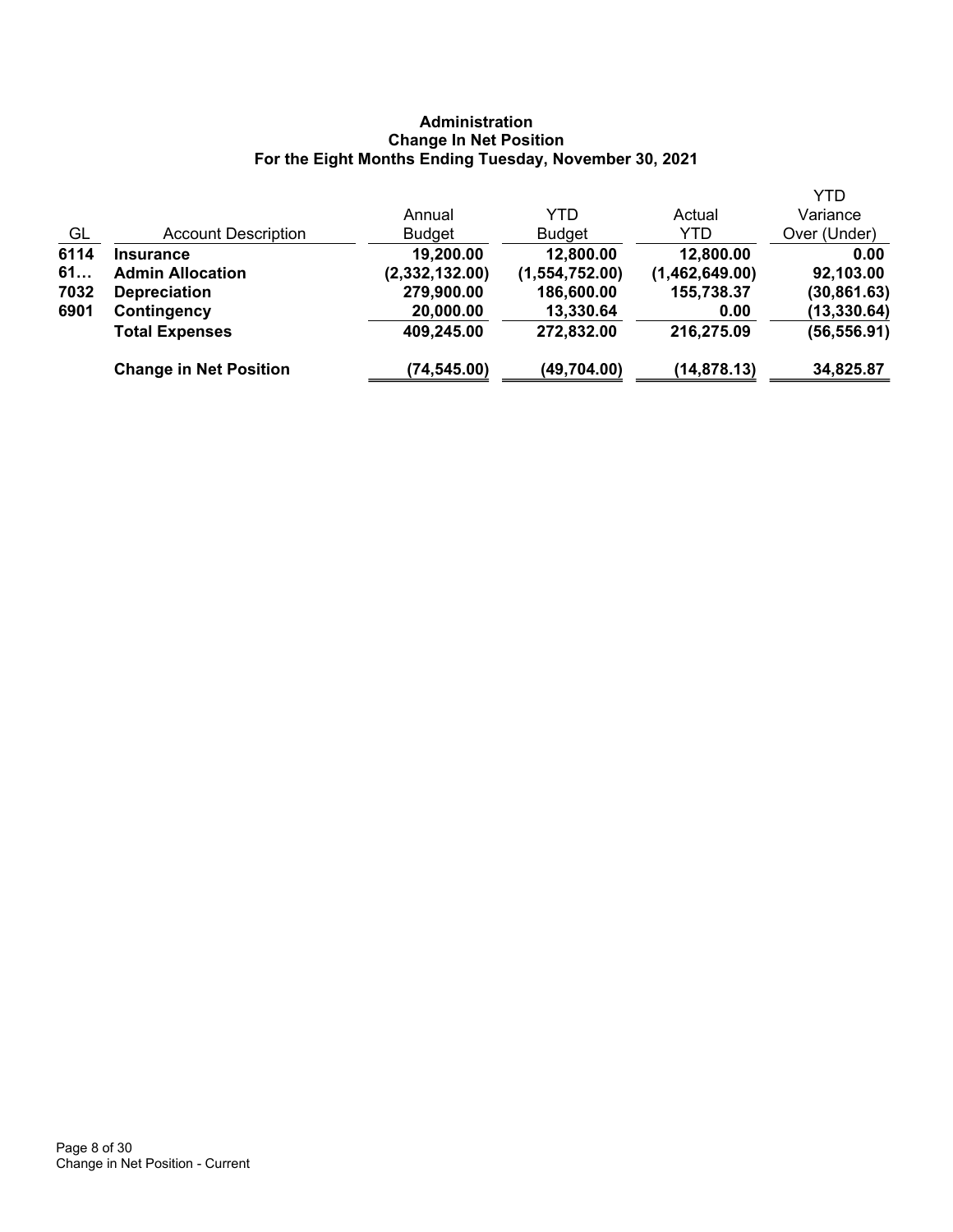# **Administration Change In Net Position For the Eight Months Ending Tuesday, November 30, 2021**

|      |                               | Annual         | YTD            | Actual         | <b>YTD</b><br>Variance |
|------|-------------------------------|----------------|----------------|----------------|------------------------|
| GL   | <b>Account Description</b>    | <b>Budget</b>  | <b>Budget</b>  | YTD            | Over (Under)           |
| 6114 | <b>Insurance</b>              | 19,200.00      | 12,800.00      | 12,800.00      | 0.00                   |
| 61   | <b>Admin Allocation</b>       | (2,332,132.00) | (1,554,752.00) | (1,462,649.00) | 92,103.00              |
| 7032 | <b>Depreciation</b>           | 279,900.00     | 186,600.00     | 155,738.37     | (30, 861.63)           |
| 6901 | Contingency                   | 20,000.00      | 13,330.64      | 0.00           | (13, 330.64)           |
|      | <b>Total Expenses</b>         | 409,245.00     | 272,832.00     | 216,275.09     | (56, 556.91)           |
|      | <b>Change in Net Position</b> | (74,545.00)    | (49,704.00)    | (14, 878.13)   | 34,825.87              |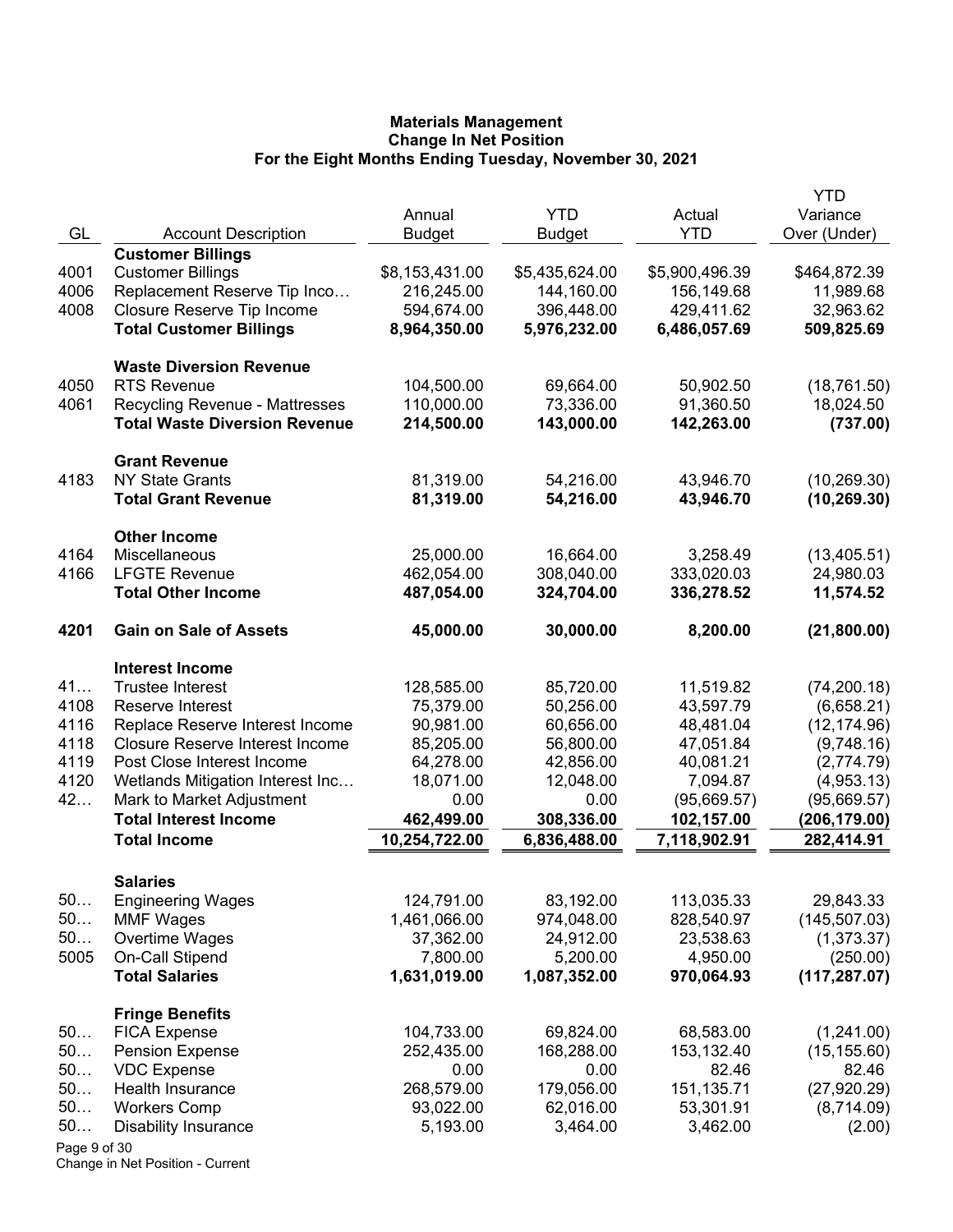|              |                                        |                |                |                | YTD           |
|--------------|----------------------------------------|----------------|----------------|----------------|---------------|
|              |                                        | Annual         | <b>YTD</b>     | Actual         | Variance      |
| GL           | <b>Account Description</b>             | <b>Budget</b>  | <b>Budget</b>  | <b>YTD</b>     | Over (Under)  |
|              | <b>Customer Billings</b>               |                |                |                |               |
| 4001         | <b>Customer Billings</b>               | \$8,153,431.00 | \$5,435,624.00 | \$5,900,496.39 | \$464,872.39  |
| 4006         | Replacement Reserve Tip Inco           | 216,245.00     | 144,160.00     | 156,149.68     | 11,989.68     |
| 4008         | Closure Reserve Tip Income             | 594,674.00     | 396,448.00     | 429,411.62     | 32,963.62     |
|              | <b>Total Customer Billings</b>         | 8,964,350.00   | 5,976,232.00   | 6,486,057.69   | 509,825.69    |
|              | <b>Waste Diversion Revenue</b>         |                |                |                |               |
| 4050         | <b>RTS Revenue</b>                     | 104,500.00     | 69,664.00      | 50,902.50      | (18, 761.50)  |
| 4061         | <b>Recycling Revenue - Mattresses</b>  | 110,000.00     | 73,336.00      | 91,360.50      | 18,024.50     |
|              | <b>Total Waste Diversion Revenue</b>   | 214,500.00     | 143,000.00     | 142,263.00     | (737.00)      |
|              | <b>Grant Revenue</b>                   |                |                |                |               |
| 4183         | <b>NY State Grants</b>                 | 81,319.00      | 54,216.00      | 43,946.70      | (10, 269.30)  |
|              | <b>Total Grant Revenue</b>             | 81,319.00      | 54,216.00      | 43,946.70      | (10, 269.30)  |
|              | <b>Other Income</b>                    |                |                |                |               |
| 4164         | Miscellaneous                          | 25,000.00      | 16,664.00      | 3,258.49       | (13, 405.51)  |
| 4166         | <b>LFGTE Revenue</b>                   | 462,054.00     | 308,040.00     | 333,020.03     | 24,980.03     |
|              | <b>Total Other Income</b>              | 487,054.00     | 324,704.00     | 336,278.52     | 11,574.52     |
| 4201         | <b>Gain on Sale of Assets</b>          | 45,000.00      | 30,000.00      | 8,200.00       | (21,800.00)   |
|              | <b>Interest Income</b>                 |                |                |                |               |
| 41           | <b>Trustee Interest</b>                | 128,585.00     | 85,720.00      | 11,519.82      | (74, 200.18)  |
| 4108         | Reserve Interest                       | 75,379.00      | 50,256.00      | 43,597.79      | (6,658.21)    |
| 4116         | Replace Reserve Interest Income        | 90,981.00      | 60,656.00      | 48,481.04      | (12, 174.96)  |
| 4118         | <b>Closure Reserve Interest Income</b> | 85,205.00      | 56,800.00      | 47,051.84      | (9,748.16)    |
| 4119         | Post Close Interest Income             | 64,278.00      | 42,856.00      | 40,081.21      | (2,774.79)    |
| 4120         | Wetlands Mitigation Interest Inc       | 18,071.00      | 12,048.00      | 7,094.87       | (4,953.13)    |
| 42           | Mark to Market Adjustment              | 0.00           | 0.00           | (95,669.57)    | (95,669.57)   |
|              | <b>Total Interest Income</b>           | 462,499.00     | 308,336.00     | 102,157.00     | (206,179.00)  |
|              | <b>Total Income</b>                    | 10,254,722.00  | 6,836,488.00   | 7,118,902.91   | 282,414.91    |
|              | <b>Salaries</b>                        |                |                |                |               |
| 50           | <b>Engineering Wages</b>               | 124,791.00     | 83,192.00      | 113,035.33     | 29,843.33     |
| 50           | <b>MMF Wages</b>                       | 1,461,066.00   | 974,048.00     | 828,540.97     | (145, 507.03) |
| 50           | Overtime Wages                         | 37,362.00      | 24,912.00      | 23,538.63      | (1,373.37)    |
| 5005         | On-Call Stipend                        | 7,800.00       | 5,200.00       | 4,950.00       | (250.00)      |
|              | <b>Total Salaries</b>                  | 1,631,019.00   | 1,087,352.00   | 970,064.93     | (117, 287.07) |
|              | <b>Fringe Benefits</b>                 |                |                |                |               |
| 50           | <b>FICA Expense</b>                    | 104,733.00     | 69,824.00      | 68,583.00      | (1,241.00)    |
| 50           | <b>Pension Expense</b>                 | 252,435.00     | 168,288.00     | 153,132.40     | (15, 155.60)  |
| 50           | <b>VDC Expense</b>                     | 0.00           | 0.00           | 82.46          | 82.46         |
| 50           | Health Insurance                       | 268,579.00     | 179,056.00     | 151,135.71     | (27, 920.29)  |
| 50           | <b>Workers Comp</b>                    | 93,022.00      | 62,016.00      | 53,301.91      | (8,714.09)    |
| 50           | <b>Disability Insurance</b>            | 5,193.00       | 3,464.00       | 3,462.00       | (2.00)        |
| Page 9 of 30 |                                        |                |                |                |               |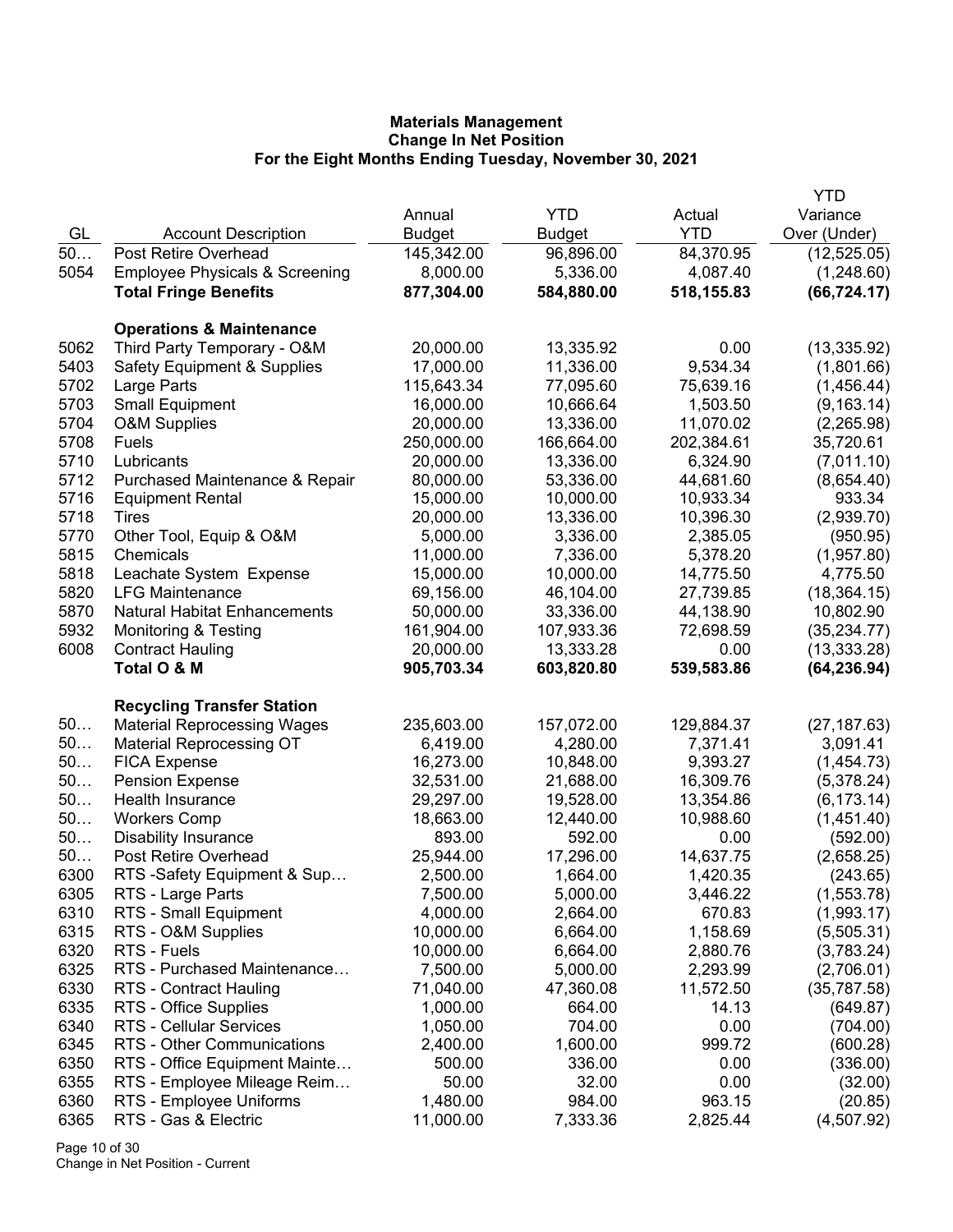|      |                                           |               |               |            | <b>YTD</b>   |
|------|-------------------------------------------|---------------|---------------|------------|--------------|
|      |                                           | Annual        | <b>YTD</b>    | Actual     | Variance     |
| GL   | <b>Account Description</b>                | <b>Budget</b> | <b>Budget</b> | <b>YTD</b> | Over (Under) |
| $50$ | Post Retire Overhead                      | 145,342.00    | 96,896.00     | 84,370.95  | (12, 525.05) |
| 5054 | <b>Employee Physicals &amp; Screening</b> | 8,000.00      | 5,336.00      | 4,087.40   | (1,248.60)   |
|      | <b>Total Fringe Benefits</b>              | 877,304.00    | 584,880.00    | 518,155.83 | (66, 724.17) |
|      | <b>Operations &amp; Maintenance</b>       |               |               |            |              |
| 5062 | Third Party Temporary - O&M               | 20,000.00     | 13,335.92     | 0.00       | (13, 335.92) |
| 5403 | <b>Safety Equipment &amp; Supplies</b>    | 17,000.00     | 11,336.00     | 9,534.34   | (1,801.66)   |
| 5702 | Large Parts                               | 115,643.34    | 77,095.60     | 75,639.16  | (1,456.44)   |
| 5703 | <b>Small Equipment</b>                    | 16,000.00     | 10,666.64     | 1,503.50   | (9, 163.14)  |
| 5704 | <b>O&amp;M Supplies</b>                   | 20,000.00     | 13,336.00     | 11,070.02  | (2,265.98)   |
| 5708 | Fuels                                     | 250,000.00    | 166,664.00    | 202,384.61 | 35,720.61    |
| 5710 | Lubricants                                | 20,000.00     | 13,336.00     | 6,324.90   | (7,011.10)   |
| 5712 | Purchased Maintenance & Repair            | 80,000.00     | 53,336.00     | 44,681.60  | (8,654.40)   |
| 5716 | <b>Equipment Rental</b>                   | 15,000.00     | 10,000.00     | 10,933.34  | 933.34       |
| 5718 | Tires                                     | 20,000.00     | 13,336.00     | 10,396.30  | (2,939.70)   |
| 5770 | Other Tool, Equip & O&M                   | 5,000.00      | 3,336.00      | 2,385.05   | (950.95)     |
| 5815 | Chemicals                                 | 11,000.00     | 7,336.00      | 5,378.20   | (1,957.80)   |
| 5818 | Leachate System Expense                   | 15,000.00     | 10,000.00     | 14,775.50  | 4,775.50     |
| 5820 | <b>LFG Maintenance</b>                    | 69,156.00     | 46,104.00     | 27,739.85  | (18, 364.15) |
| 5870 | <b>Natural Habitat Enhancements</b>       | 50,000.00     | 33,336.00     | 44,138.90  | 10,802.90    |
| 5932 | <b>Monitoring &amp; Testing</b>           | 161,904.00    | 107,933.36    | 72,698.59  | (35, 234.77) |
| 6008 | <b>Contract Hauling</b>                   | 20,000.00     | 13,333.28     | 0.00       | (13, 333.28) |
|      | Total O & M                               | 905,703.34    | 603,820.80    | 539,583.86 | (64, 236.94) |
|      | <b>Recycling Transfer Station</b>         |               |               |            |              |
| 50   | <b>Material Reprocessing Wages</b>        | 235,603.00    | 157,072.00    | 129,884.37 | (27, 187.63) |
| 50   | <b>Material Reprocessing OT</b>           | 6,419.00      | 4,280.00      | 7,371.41   | 3,091.41     |
| 50   | <b>FICA Expense</b>                       | 16,273.00     | 10,848.00     | 9,393.27   | (1,454.73)   |
| 50   | <b>Pension Expense</b>                    | 32,531.00     | 21,688.00     | 16,309.76  | (5,378.24)   |
| 50   | Health Insurance                          | 29,297.00     | 19,528.00     | 13,354.86  | (6, 173.14)  |
| 50   | <b>Workers Comp</b>                       | 18,663.00     | 12,440.00     | 10,988.60  | (1,451.40)   |
| 50   | <b>Disability Insurance</b>               | 893.00        | 592.00        | 0.00       | (592.00)     |
| 50   | <b>Post Retire Overhead</b>               | 25,944.00     | 17,296.00     | 14,637.75  | (2,658.25)   |
| 6300 | RTS-Safety Equipment & Sup                | 2,500.00      | 1,664.00      | 1,420.35   | (243.65)     |
| 6305 | RTS - Large Parts                         | 7,500.00      | 5,000.00      | 3,446.22   | (1,553.78)   |
| 6310 | RTS - Small Equipment                     | 4,000.00      | 2,664.00      | 670.83     | (1,993.17)   |
| 6315 | RTS - O&M Supplies                        | 10,000.00     | 6,664.00      | 1,158.69   | (5,505.31)   |
| 6320 | RTS - Fuels                               | 10,000.00     | 6,664.00      | 2,880.76   | (3,783.24)   |
| 6325 | RTS - Purchased Maintenance               | 7,500.00      | 5,000.00      | 2,293.99   | (2,706.01)   |
| 6330 | <b>RTS - Contract Hauling</b>             | 71,040.00     | 47,360.08     | 11,572.50  | (35,787.58)  |
| 6335 | RTS - Office Supplies                     | 1,000.00      | 664.00        | 14.13      | (649.87)     |
| 6340 | RTS - Cellular Services                   | 1,050.00      | 704.00        | 0.00       | (704.00)     |
| 6345 | RTS - Other Communications                | 2,400.00      | 1,600.00      | 999.72     | (600.28)     |
| 6350 | RTS - Office Equipment Mainte             | 500.00        | 336.00        | 0.00       | (336.00)     |
| 6355 | RTS - Employee Mileage Reim               | 50.00         | 32.00         | 0.00       | (32.00)      |
| 6360 | RTS - Employee Uniforms                   | 1,480.00      | 984.00        | 963.15     | (20.85)      |
| 6365 | RTS - Gas & Electric                      | 11,000.00     | 7,333.36      | 2,825.44   | (4,507.92)   |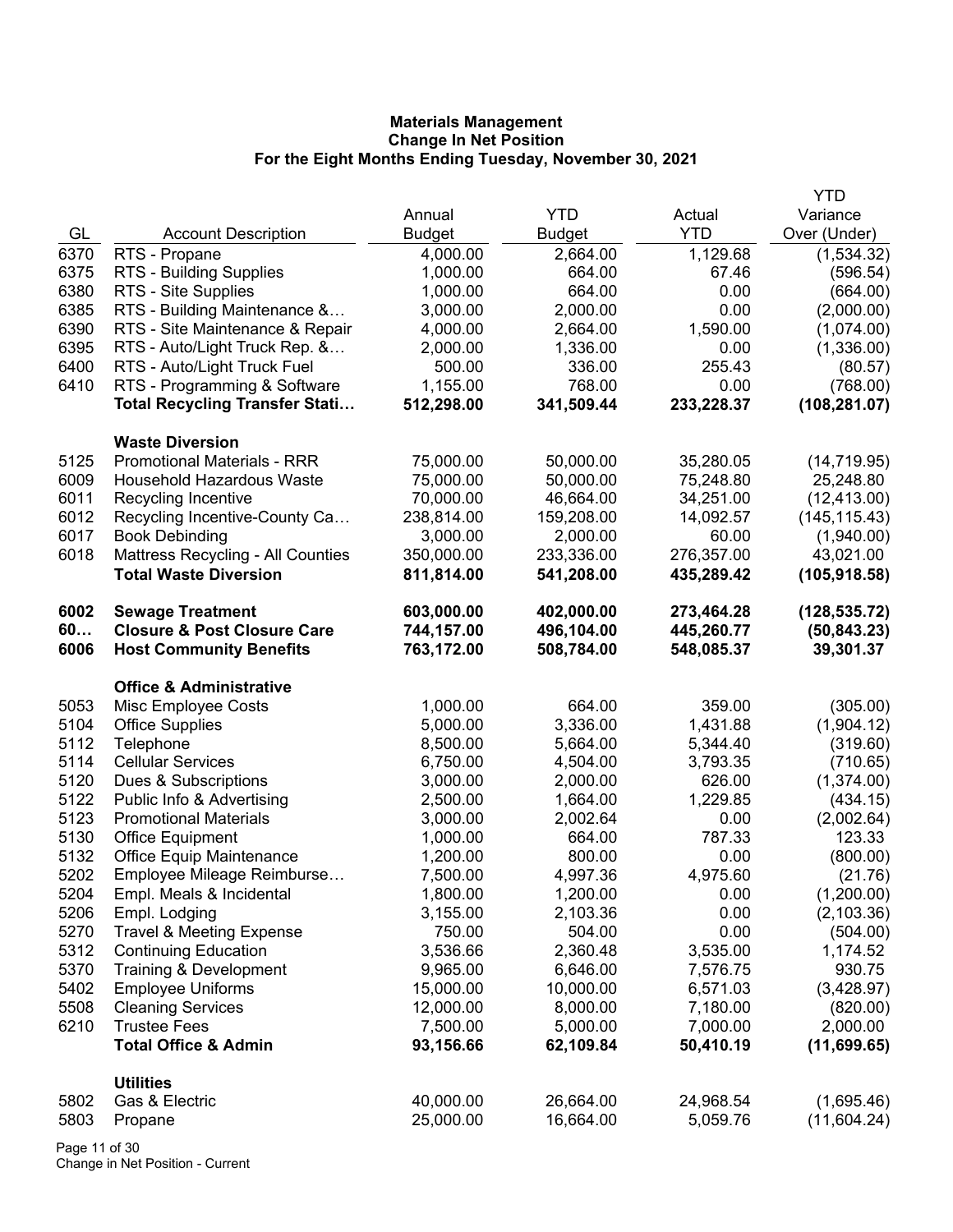|      |                                        |               |               |            | <b>YTD</b>    |
|------|----------------------------------------|---------------|---------------|------------|---------------|
|      |                                        | Annual        | <b>YTD</b>    | Actual     | Variance      |
| GL   | <b>Account Description</b>             | <b>Budget</b> | <b>Budget</b> | <b>YTD</b> | Over (Under)  |
| 6370 | RTS - Propane                          | 4,000.00      | 2,664.00      | 1,129.68   | (1,534.32)    |
| 6375 | RTS - Building Supplies                | 1,000.00      | 664.00        | 67.46      | (596.54)      |
| 6380 | RTS - Site Supplies                    | 1,000.00      | 664.00        | 0.00       | (664.00)      |
| 6385 | RTS - Building Maintenance &           | 3,000.00      | 2,000.00      | 0.00       | (2,000.00)    |
| 6390 | RTS - Site Maintenance & Repair        | 4,000.00      | 2,664.00      | 1,590.00   | (1,074.00)    |
| 6395 | RTS - Auto/Light Truck Rep. &          | 2,000.00      | 1,336.00      | 0.00       | (1,336.00)    |
| 6400 | RTS - Auto/Light Truck Fuel            | 500.00        | 336.00        | 255.43     | (80.57)       |
| 6410 | RTS - Programming & Software           | 1,155.00      | 768.00        | 0.00       | (768.00)      |
|      | <b>Total Recycling Transfer Stati</b>  | 512,298.00    | 341,509.44    | 233,228.37 | (108, 281.07) |
|      | <b>Waste Diversion</b>                 |               |               |            |               |
| 5125 | <b>Promotional Materials - RRR</b>     | 75,000.00     | 50,000.00     | 35,280.05  | (14, 719.95)  |
| 6009 | <b>Household Hazardous Waste</b>       | 75,000.00     | 50,000.00     | 75,248.80  | 25,248.80     |
| 6011 | Recycling Incentive                    | 70,000.00     | 46,664.00     | 34,251.00  | (12, 413.00)  |
| 6012 | Recycling Incentive-County Ca          | 238,814.00    | 159,208.00    | 14,092.57  | (145, 115.43) |
| 6017 | <b>Book Debinding</b>                  | 3,000.00      | 2,000.00      | 60.00      | (1,940.00)    |
| 6018 | Mattress Recycling - All Counties      | 350,000.00    | 233,336.00    | 276,357.00 | 43,021.00     |
|      | <b>Total Waste Diversion</b>           | 811,814.00    | 541,208.00    | 435,289.42 | (105, 918.58) |
| 6002 | <b>Sewage Treatment</b>                | 603,000.00    | 402,000.00    | 273,464.28 | (128, 535.72) |
| 60   | <b>Closure &amp; Post Closure Care</b> | 744,157.00    | 496,104.00    | 445,260.77 | (50, 843.23)  |
| 6006 | <b>Host Community Benefits</b>         | 763,172.00    | 508,784.00    | 548,085.37 | 39,301.37     |
|      | <b>Office &amp; Administrative</b>     |               |               |            |               |
| 5053 | Misc Employee Costs                    | 1,000.00      | 664.00        | 359.00     | (305.00)      |
| 5104 | <b>Office Supplies</b>                 | 5,000.00      | 3,336.00      | 1,431.88   | (1,904.12)    |
| 5112 | Telephone                              | 8,500.00      | 5,664.00      | 5,344.40   | (319.60)      |
| 5114 | <b>Cellular Services</b>               | 6,750.00      | 4,504.00      | 3,793.35   | (710.65)      |
| 5120 | Dues & Subscriptions                   | 3,000.00      | 2,000.00      | 626.00     | (1,374.00)    |
| 5122 | Public Info & Advertising              | 2,500.00      | 1,664.00      | 1,229.85   | (434.15)      |
| 5123 | <b>Promotional Materials</b>           | 3,000.00      | 2,002.64      | 0.00       | (2,002.64)    |
| 5130 | <b>Office Equipment</b>                | 1,000.00      | 664.00        | 787.33     | 123.33        |
| 5132 | <b>Office Equip Maintenance</b>        | 1,200.00      | 800.00        | 0.00       | (800.00)      |
| 5202 | Employee Mileage Reimburse             | 7,500.00      | 4,997.36      | 4,975.60   | (21.76)       |
| 5204 | Empl. Meals & Incidental               | 1,800.00      | 1,200.00      | 0.00       | (1,200.00)    |
| 5206 | Empl. Lodging                          | 3,155.00      | 2,103.36      | 0.00       | (2, 103.36)   |
| 5270 | <b>Travel &amp; Meeting Expense</b>    | 750.00        | 504.00        | 0.00       | (504.00)      |
| 5312 | <b>Continuing Education</b>            | 3,536.66      | 2,360.48      | 3,535.00   | 1,174.52      |
| 5370 | Training & Development                 | 9,965.00      | 6,646.00      | 7,576.75   | 930.75        |
| 5402 | <b>Employee Uniforms</b>               | 15,000.00     | 10,000.00     | 6,571.03   | (3,428.97)    |
| 5508 | <b>Cleaning Services</b>               | 12,000.00     | 8,000.00      | 7,180.00   | (820.00)      |
| 6210 | <b>Trustee Fees</b>                    | 7,500.00      | 5,000.00      | 7,000.00   | 2,000.00      |
|      | <b>Total Office &amp; Admin</b>        | 93,156.66     | 62,109.84     | 50,410.19  | (11,699.65)   |
|      | <b>Utilities</b>                       |               |               |            |               |
| 5802 | Gas & Electric                         | 40,000.00     | 26,664.00     | 24,968.54  | (1,695.46)    |
| 5803 | Propane                                | 25,000.00     | 16,664.00     | 5,059.76   | (11,604.24)   |

Page 11 of 30 Change in Net Position - Current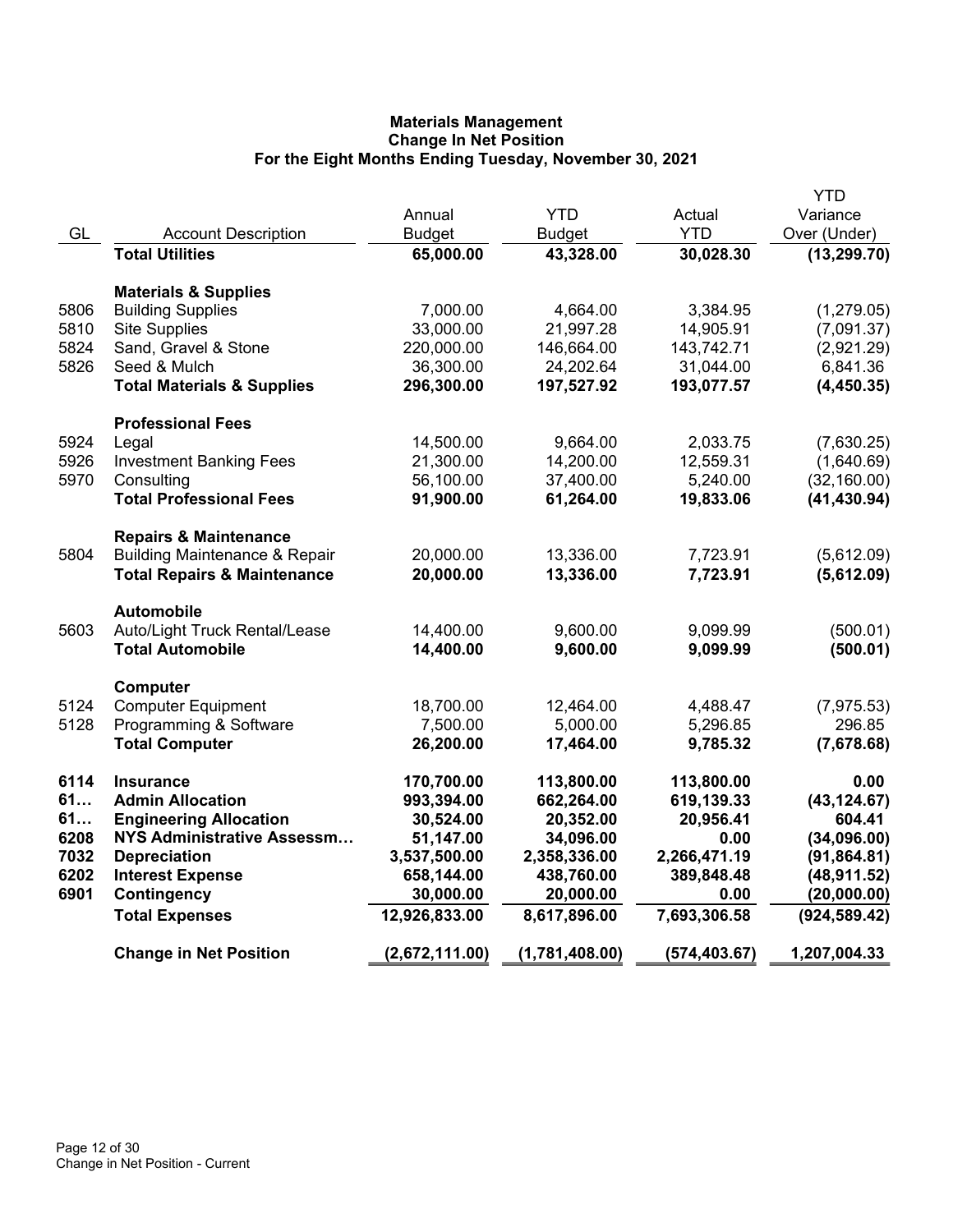|      |                                          |                |                |              | YTD           |
|------|------------------------------------------|----------------|----------------|--------------|---------------|
|      |                                          | Annual         | <b>YTD</b>     | Actual       | Variance      |
| GL   | <b>Account Description</b>               | <b>Budget</b>  | <b>Budget</b>  | <b>YTD</b>   | Over (Under)  |
|      | <b>Total Utilities</b>                   | 65,000.00      | 43,328.00      | 30,028.30    | (13, 299.70)  |
|      | <b>Materials &amp; Supplies</b>          |                |                |              |               |
| 5806 | <b>Building Supplies</b>                 | 7,000.00       | 4,664.00       | 3,384.95     | (1,279.05)    |
| 5810 | <b>Site Supplies</b>                     | 33,000.00      | 21,997.28      | 14,905.91    | (7,091.37)    |
| 5824 | Sand, Gravel & Stone                     | 220,000.00     | 146,664.00     | 143,742.71   | (2,921.29)    |
| 5826 | Seed & Mulch                             | 36,300.00      | 24,202.64      | 31,044.00    | 6,841.36      |
|      | <b>Total Materials &amp; Supplies</b>    | 296,300.00     | 197,527.92     | 193,077.57   | (4,450.35)    |
|      | <b>Professional Fees</b>                 |                |                |              |               |
| 5924 | Legal                                    | 14,500.00      | 9,664.00       | 2,033.75     | (7,630.25)    |
| 5926 | <b>Investment Banking Fees</b>           | 21,300.00      | 14,200.00      | 12,559.31    | (1,640.69)    |
| 5970 | Consulting                               | 56,100.00      | 37,400.00      | 5,240.00     | (32, 160.00)  |
|      | <b>Total Professional Fees</b>           | 91,900.00      | 61,264.00      | 19,833.06    | (41, 430.94)  |
|      | <b>Repairs &amp; Maintenance</b>         |                |                |              |               |
| 5804 | <b>Building Maintenance &amp; Repair</b> | 20,000.00      | 13,336.00      | 7,723.91     | (5,612.09)    |
|      | <b>Total Repairs &amp; Maintenance</b>   | 20,000.00      | 13,336.00      | 7,723.91     | (5,612.09)    |
|      | <b>Automobile</b>                        |                |                |              |               |
| 5603 | Auto/Light Truck Rental/Lease            | 14,400.00      | 9,600.00       | 9,099.99     | (500.01)      |
|      | <b>Total Automobile</b>                  | 14,400.00      | 9,600.00       | 9,099.99     | (500.01)      |
|      | Computer                                 |                |                |              |               |
| 5124 | <b>Computer Equipment</b>                | 18,700.00      | 12,464.00      | 4,488.47     | (7,975.53)    |
| 5128 | Programming & Software                   | 7,500.00       | 5,000.00       | 5,296.85     | 296.85        |
|      | <b>Total Computer</b>                    | 26,200.00      | 17,464.00      | 9,785.32     | (7,678.68)    |
| 6114 | <b>Insurance</b>                         | 170,700.00     | 113,800.00     | 113,800.00   | 0.00          |
| 61   | <b>Admin Allocation</b>                  | 993,394.00     | 662,264.00     | 619,139.33   | (43, 124.67)  |
| 61   | <b>Engineering Allocation</b>            | 30,524.00      | 20,352.00      | 20,956.41    | 604.41        |
| 6208 | <b>NYS Administrative Assessm</b>        | 51,147.00      | 34,096.00      | 0.00         | (34,096.00)   |
| 7032 | <b>Depreciation</b>                      | 3,537,500.00   | 2,358,336.00   | 2,266,471.19 | (91, 864.81)  |
| 6202 | <b>Interest Expense</b>                  | 658,144.00     | 438,760.00     | 389,848.48   | (48, 911.52)  |
| 6901 | <b>Contingency</b>                       | 30,000.00      | 20,000.00      | 0.00         | (20,000.00)   |
|      | <b>Total Expenses</b>                    | 12,926,833.00  | 8,617,896.00   | 7,693,306.58 | (924, 589.42) |
|      | <b>Change in Net Position</b>            | (2,672,111.00) | (1,781,408.00) | (574,403.67) | 1,207,004.33  |
|      |                                          |                |                |              |               |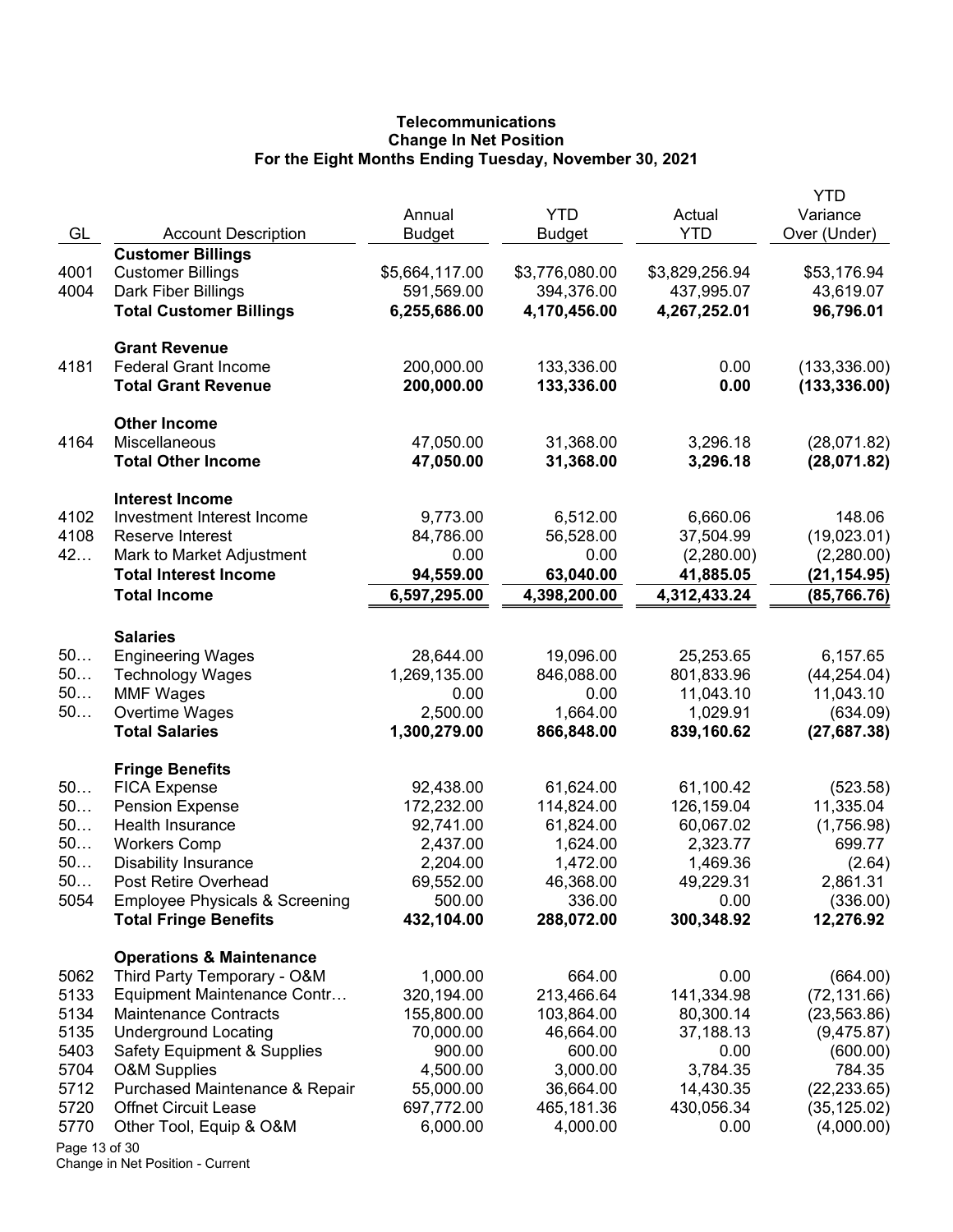# **Telecommunications Change In Net Position For the Eight Months Ending Tuesday, November 30, 2021**

| GL            | <b>Account Description</b>                         | Annual<br><b>Budget</b> | <b>YTD</b><br>Budget  | Actual<br><b>YTD</b>  | YTD<br>Variance<br>Over (Under) |
|---------------|----------------------------------------------------|-------------------------|-----------------------|-----------------------|---------------------------------|
|               | <b>Customer Billings</b>                           |                         |                       |                       |                                 |
| 4001          | <b>Customer Billings</b>                           | \$5,664,117.00          | \$3,776,080.00        | \$3,829,256.94        | \$53,176.94                     |
| 4004          | Dark Fiber Billings                                | 591,569.00              | 394,376.00            | 437,995.07            | 43,619.07                       |
|               | <b>Total Customer Billings</b>                     | 6,255,686.00            | 4,170,456.00          | 4,267,252.01          | 96,796.01                       |
|               | <b>Grant Revenue</b>                               |                         |                       |                       |                                 |
| 4181          | <b>Federal Grant Income</b>                        | 200,000.00              | 133,336.00            | 0.00                  | (133, 336.00)                   |
|               | <b>Total Grant Revenue</b>                         | 200,000.00              | 133,336.00            | 0.00                  | (133, 336.00)                   |
|               | <b>Other Income</b>                                |                         |                       |                       |                                 |
| 4164          | Miscellaneous                                      | 47,050.00               | 31,368.00             | 3,296.18              | (28,071.82)                     |
|               | <b>Total Other Income</b>                          | 47,050.00               | 31,368.00             | 3,296.18              | (28,071.82)                     |
|               | <b>Interest Income</b>                             |                         |                       |                       |                                 |
| 4102          | Investment Interest Income                         | 9,773.00                | 6,512.00              | 6,660.06              | 148.06                          |
| 4108          | Reserve Interest                                   | 84,786.00               | 56,528.00             | 37,504.99             | (19,023.01)                     |
| 42            | Mark to Market Adjustment                          | 0.00                    | 0.00                  | (2,280.00)            | (2,280.00)                      |
|               | <b>Total Interest Income</b>                       | 94,559.00               | 63,040.00             | 41,885.05             | (21,154.95)                     |
|               | <b>Total Income</b>                                | 6,597,295.00            | 4,398,200.00          | 4,312,433.24          | (85, 766.76)                    |
|               | <b>Salaries</b>                                    |                         |                       |                       |                                 |
| 50            | <b>Engineering Wages</b>                           | 28,644.00               | 19,096.00             | 25,253.65             | 6,157.65                        |
| 50            | <b>Technology Wages</b>                            | 1,269,135.00            | 846,088.00            | 801,833.96            | (44, 254.04)                    |
| 50            | <b>MMF Wages</b>                                   | 0.00                    | 0.00                  | 11,043.10             | 11,043.10                       |
| $50$          | Overtime Wages                                     | 2,500.00                | 1,664.00              | 1,029.91              | (634.09)                        |
|               | <b>Total Salaries</b>                              | 1,300,279.00            | 866,848.00            | 839,160.62            | (27, 687.38)                    |
|               | <b>Fringe Benefits</b>                             |                         |                       |                       |                                 |
| 50            | <b>FICA Expense</b>                                | 92,438.00               | 61,624.00             | 61,100.42             | (523.58)                        |
| 50<br>50      | <b>Pension Expense</b><br>Health Insurance         | 172,232.00              | 114,824.00            | 126,159.04            | 11,335.04                       |
| 50            |                                                    | 92,741.00<br>2,437.00   | 61,824.00<br>1,624.00 | 60,067.02<br>2,323.77 | (1,756.98)<br>699.77            |
| 50            | <b>Workers Comp</b><br><b>Disability Insurance</b> | 2,204.00                | 1,472.00              | 1,469.36              | (2.64)                          |
| 50            | Post Retire Overhead                               | 69,552.00               | 46,368.00             | 49,229.31             | 2,861.31                        |
| 5054          | <b>Employee Physicals &amp; Screening</b>          | 500.00                  | 336.00                | 0.00                  | (336.00)                        |
|               | <b>Total Fringe Benefits</b>                       | 432,104.00              | 288,072.00            | 300,348.92            | 12,276.92                       |
|               | <b>Operations &amp; Maintenance</b>                |                         |                       |                       |                                 |
| 5062          | Third Party Temporary - O&M                        | 1,000.00                | 664.00                | 0.00                  | (664.00)                        |
| 5133          | Equipment Maintenance Contr                        | 320,194.00              | 213,466.64            | 141,334.98            | (72, 131.66)                    |
| 5134          | <b>Maintenance Contracts</b>                       | 155,800.00              | 103,864.00            | 80,300.14             | (23, 563.86)                    |
| 5135          | <b>Underground Locating</b>                        | 70,000.00               | 46,664.00             | 37,188.13             | (9,475.87)                      |
| 5403          | <b>Safety Equipment &amp; Supplies</b>             | 900.00                  | 600.00                | 0.00                  | (600.00)                        |
| 5704          | <b>O&amp;M Supplies</b>                            | 4,500.00                | 3,000.00              | 3,784.35              | 784.35                          |
| 5712          | Purchased Maintenance & Repair                     | 55,000.00               | 36,664.00             | 14,430.35             | (22, 233.65)                    |
| 5720          | <b>Offnet Circuit Lease</b>                        | 697,772.00              | 465,181.36            | 430,056.34            | (35, 125.02)                    |
| 5770          | Other Tool, Equip & O&M                            | 6,000.00                | 4,000.00              | 0.00                  | (4,000.00)                      |
| Page 13 of 30 |                                                    |                         |                       |                       |                                 |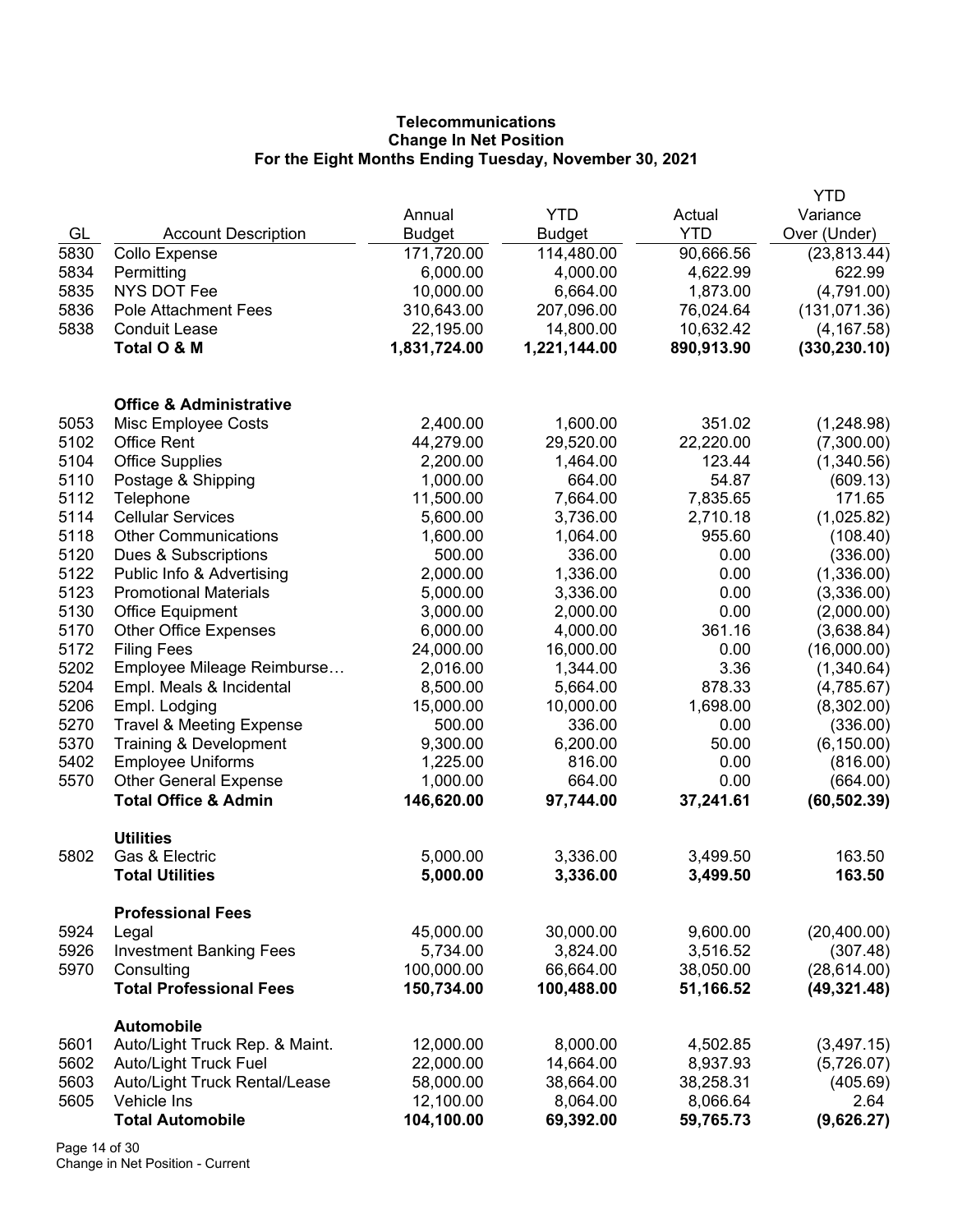# **Telecommunications Change In Net Position For the Eight Months Ending Tuesday, November 30, 2021**

|      |                                                     |               |               |            | YTD           |
|------|-----------------------------------------------------|---------------|---------------|------------|---------------|
|      |                                                     | Annual        | <b>YTD</b>    | Actual     | Variance      |
| GL   | <b>Account Description</b>                          | <b>Budget</b> | <b>Budget</b> | <b>YTD</b> | Over (Under)  |
| 5830 | Collo Expense                                       | 171,720.00    | 114,480.00    | 90,666.56  | (23, 813.44)  |
| 5834 | Permitting                                          | 6,000.00      | 4,000.00      | 4,622.99   | 622.99        |
| 5835 | NYS DOT Fee                                         | 10,000.00     | 6,664.00      | 1,873.00   | (4,791.00)    |
| 5836 | Pole Attachment Fees                                | 310,643.00    | 207,096.00    | 76,024.64  | (131, 071.36) |
| 5838 | <b>Conduit Lease</b>                                | 22,195.00     | 14,800.00     | 10,632.42  | (4, 167.58)   |
|      | Total O & M                                         | 1,831,724.00  | 1,221,144.00  | 890,913.90 | (330, 230.10) |
|      | <b>Office &amp; Administrative</b>                  |               |               |            |               |
| 5053 | Misc Employee Costs                                 | 2,400.00      | 1,600.00      | 351.02     | (1,248.98)    |
| 5102 | <b>Office Rent</b>                                  | 44,279.00     | 29,520.00     | 22,220.00  | (7,300.00)    |
| 5104 | <b>Office Supplies</b>                              | 2,200.00      | 1,464.00      | 123.44     | (1,340.56)    |
| 5110 | Postage & Shipping                                  | 1,000.00      | 664.00        | 54.87      | (609.13)      |
| 5112 | Telephone                                           | 11,500.00     | 7,664.00      | 7,835.65   | 171.65        |
| 5114 | <b>Cellular Services</b>                            | 5,600.00      | 3,736.00      | 2,710.18   | (1,025.82)    |
| 5118 | <b>Other Communications</b>                         | 1,600.00      | 1,064.00      | 955.60     | (108.40)      |
| 5120 | Dues & Subscriptions                                | 500.00        | 336.00        | 0.00       | (336.00)      |
| 5122 | Public Info & Advertising                           | 2,000.00      | 1,336.00      | 0.00       | (1,336.00)    |
| 5123 | <b>Promotional Materials</b>                        | 5,000.00      | 3,336.00      | 0.00       | (3,336.00)    |
| 5130 | <b>Office Equipment</b>                             | 3,000.00      | 2,000.00      | 0.00       | (2,000.00)    |
| 5170 | <b>Other Office Expenses</b>                        | 6,000.00      | 4,000.00      | 361.16     | (3,638.84)    |
| 5172 | <b>Filing Fees</b>                                  | 24,000.00     | 16,000.00     | 0.00       | (16,000.00)   |
| 5202 | Employee Mileage Reimburse                          | 2,016.00      | 1,344.00      | 3.36       | (1,340.64)    |
| 5204 | Empl. Meals & Incidental                            | 8,500.00      | 5,664.00      | 878.33     | (4,785.67)    |
| 5206 | Empl. Lodging                                       | 15,000.00     | 10,000.00     | 1,698.00   | (8,302.00)    |
| 5270 | <b>Travel &amp; Meeting Expense</b>                 | 500.00        | 336.00        | 0.00       | (336.00)      |
| 5370 | Training & Development                              | 9,300.00      | 6,200.00      | 50.00      | (6, 150.00)   |
| 5402 | <b>Employee Uniforms</b>                            | 1,225.00      | 816.00        | 0.00       | (816.00)      |
| 5570 | <b>Other General Expense</b>                        | 1,000.00      | 664.00        | 0.00       | (664.00)      |
|      | <b>Total Office &amp; Admin</b>                     | 146,620.00    | 97,744.00     | 37,241.61  | (60, 502.39)  |
| 5802 | <b>Utilities</b><br>Gas & Electric                  | 5,000.00      | 3,336.00      | 3,499.50   | 163.50        |
|      | <b>Total Utilities</b>                              | 5,000.00      | 3,336.00      | 3,499.50   | 163.50        |
|      | <b>Professional Fees</b>                            |               |               |            |               |
| 5924 | Legal                                               | 45,000.00     | 30,000.00     | 9,600.00   | (20, 400.00)  |
| 5926 | <b>Investment Banking Fees</b>                      | 5,734.00      | 3,824.00      | 3,516.52   | (307.48)      |
| 5970 | Consulting                                          | 100,000.00    | 66,664.00     | 38,050.00  | (28, 614.00)  |
|      | <b>Total Professional Fees</b>                      | 150,734.00    | 100,488.00    | 51,166.52  | (49, 321.48)  |
| 5601 | <b>Automobile</b><br>Auto/Light Truck Rep. & Maint. | 12,000.00     | 8,000.00      | 4,502.85   | (3,497.15)    |
| 5602 | Auto/Light Truck Fuel                               | 22,000.00     | 14,664.00     | 8,937.93   | (5,726.07)    |
| 5603 | Auto/Light Truck Rental/Lease                       | 58,000.00     | 38,664.00     | 38,258.31  | (405.69)      |
| 5605 | Vehicle Ins                                         | 12,100.00     | 8,064.00      | 8,066.64   | 2.64          |
|      | <b>Total Automobile</b>                             | 104,100.00    | 69,392.00     | 59,765.73  | (9,626.27)    |
|      |                                                     |               |               |            |               |

Page 14 of 30 Change in Net Position - Current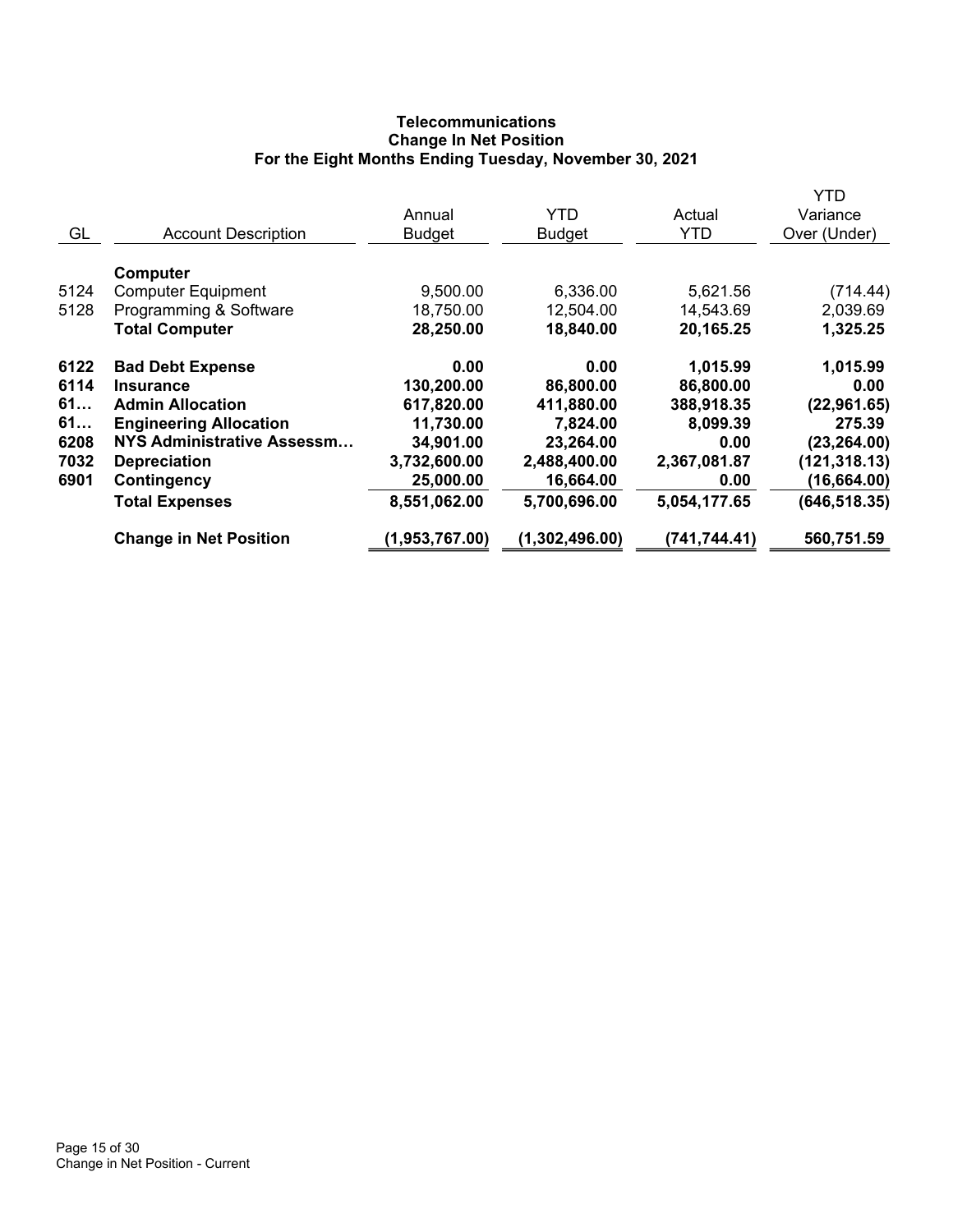# **Telecommunications Change In Net Position For the Eight Months Ending Tuesday, November 30, 2021**

|      |                                   |                |                |               | YTD           |
|------|-----------------------------------|----------------|----------------|---------------|---------------|
|      |                                   | Annual         | <b>YTD</b>     | Actual        | Variance      |
| GL   | <b>Account Description</b>        | <b>Budget</b>  | <b>Budget</b>  | <b>YTD</b>    | Over (Under)  |
|      | Computer                          |                |                |               |               |
| 5124 | <b>Computer Equipment</b>         | 9,500.00       | 6,336.00       | 5,621.56      | (714.44)      |
| 5128 | Programming & Software            | 18,750.00      | 12,504.00      | 14,543.69     | 2,039.69      |
|      | <b>Total Computer</b>             | 28,250.00      | 18,840.00      | 20,165.25     | 1,325.25      |
| 6122 | <b>Bad Debt Expense</b>           | 0.00           | 0.00           | 1,015.99      | 1,015.99      |
| 6114 | Insurance                         | 130,200.00     | 86,800.00      | 86,800.00     | 0.00          |
| 61   | <b>Admin Allocation</b>           | 617,820.00     | 411,880.00     | 388,918.35    | (22, 961.65)  |
| 61   | <b>Engineering Allocation</b>     | 11,730.00      | 7,824.00       | 8,099.39      | 275.39        |
| 6208 | <b>NYS Administrative Assessm</b> | 34,901.00      | 23,264.00      | 0.00          | (23, 264.00)  |
| 7032 | <b>Depreciation</b>               | 3,732,600.00   | 2,488,400.00   | 2,367,081.87  | (121, 318.13) |
| 6901 | Contingency                       | 25,000.00      | 16,664.00      | 0.00          | (16, 664.00)  |
|      | <b>Total Expenses</b>             | 8,551,062.00   | 5,700,696.00   | 5,054,177.65  | (646, 518.35) |
|      | <b>Change in Net Position</b>     | (1,953,767.00) | (1,302,496.00) | (741, 744.41) | 560,751.59    |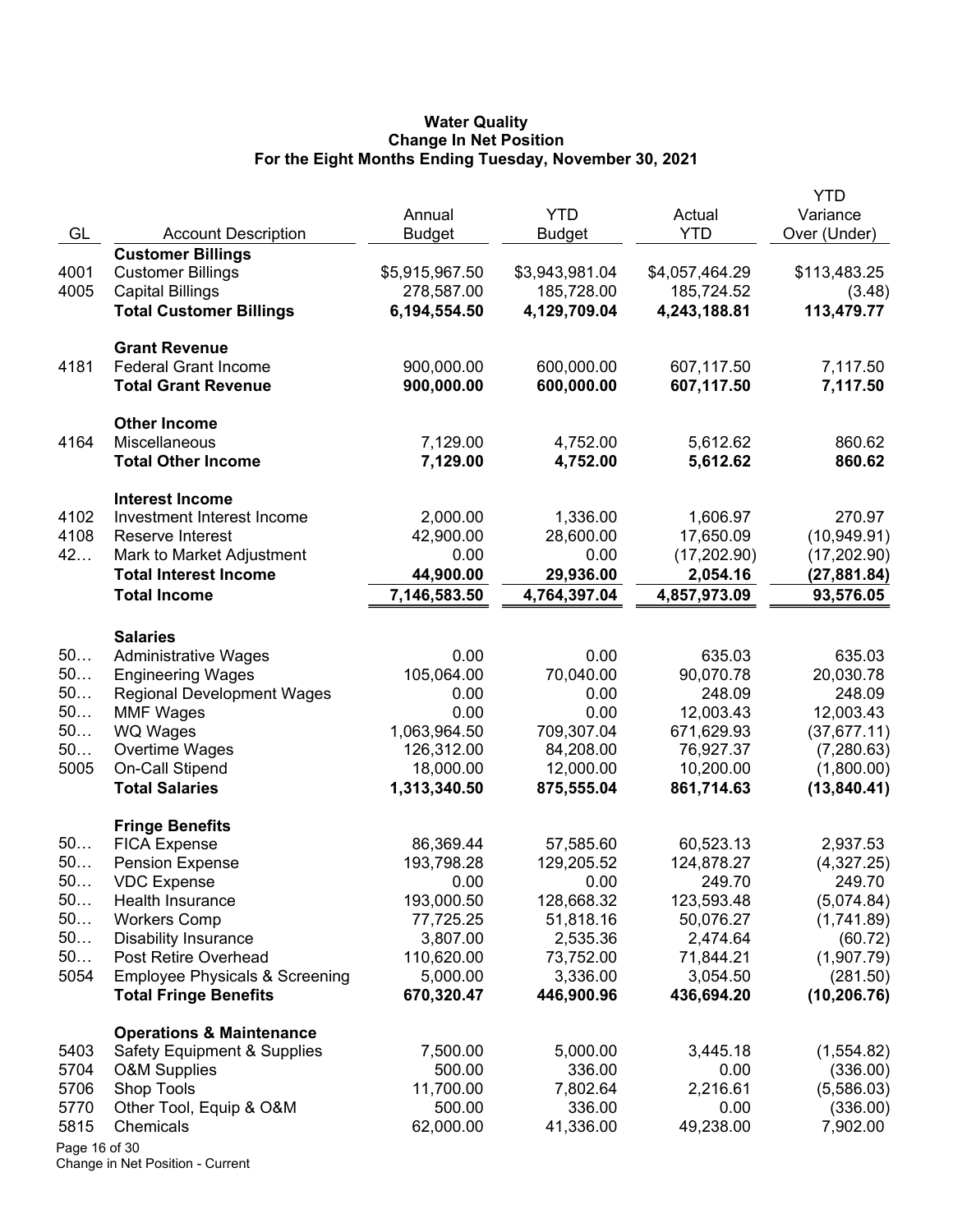### **Water Quality Change In Net Position For the Eight Months Ending Tuesday, November 30, 2021**

| GL            | <b>Account Description</b>                    | Annual<br><b>Budget</b> | <b>YTD</b><br><b>Budget</b> | Actual<br><b>YTD</b>    | YTD<br>Variance<br>Over (Under) |
|---------------|-----------------------------------------------|-------------------------|-----------------------------|-------------------------|---------------------------------|
|               | <b>Customer Billings</b>                      |                         |                             |                         |                                 |
| 4001          | <b>Customer Billings</b>                      | \$5,915,967.50          | \$3,943,981.04              | \$4,057,464.29          | \$113,483.25                    |
| 4005          | <b>Capital Billings</b>                       | 278,587.00              | 185,728.00                  | 185,724.52              | (3.48)                          |
|               | <b>Total Customer Billings</b>                | 6,194,554.50            | 4,129,709.04                | 4,243,188.81            | 113,479.77                      |
|               | <b>Grant Revenue</b>                          |                         |                             |                         |                                 |
| 4181          | <b>Federal Grant Income</b>                   | 900,000.00              | 600,000.00                  | 607,117.50              | 7,117.50                        |
|               | <b>Total Grant Revenue</b>                    | 900,000.00              | 600,000.00                  | 607,117.50              | 7,117.50                        |
|               | <b>Other Income</b>                           |                         |                             |                         |                                 |
| 4164          | Miscellaneous                                 | 7,129.00                | 4,752.00                    | 5,612.62                | 860.62                          |
|               | <b>Total Other Income</b>                     | 7,129.00                | 4,752.00                    | 5,612.62                | 860.62                          |
|               | <b>Interest Income</b>                        |                         |                             |                         |                                 |
| 4102          | Investment Interest Income                    | 2,000.00                | 1,336.00                    | 1,606.97                | 270.97                          |
| 4108          | Reserve Interest                              | 42,900.00               | 28,600.00                   | 17,650.09               | (10, 949.91)                    |
| 42            | Mark to Market Adjustment                     | 0.00                    | 0.00                        | (17, 202.90)            | (17,202.90)                     |
|               | <b>Total Interest Income</b>                  | 44,900.00               | 29,936.00                   | 2,054.16                | (27,881.84)                     |
|               | <b>Total Income</b>                           | 7,146,583.50            | 4,764,397.04                | 4,857,973.09            | 93,576.05                       |
|               | <b>Salaries</b>                               |                         |                             |                         |                                 |
| 50            | <b>Administrative Wages</b>                   | 0.00                    | 0.00                        | 635.03                  | 635.03                          |
| 50            | <b>Engineering Wages</b>                      | 105,064.00              | 70,040.00                   | 90,070.78               | 20,030.78                       |
| 50            | <b>Regional Development Wages</b>             | 0.00                    | 0.00                        | 248.09                  | 248.09                          |
| 50            | <b>MMF Wages</b>                              | 0.00                    | 0.00                        | 12,003.43               | 12,003.43                       |
| 50<br>50      | WQ Wages                                      | 1,063,964.50            | 709,307.04                  | 671,629.93<br>76,927.37 | (37, 677.11)                    |
| 5005          | Overtime Wages<br><b>On-Call Stipend</b>      | 126,312.00<br>18,000.00 | 84,208.00<br>12,000.00      | 10,200.00               | (7,280.63)<br>(1,800.00)        |
|               | <b>Total Salaries</b>                         | 1,313,340.50            | 875,555.04                  | 861,714.63              | (13, 840.41)                    |
|               |                                               |                         |                             |                         |                                 |
| 50            | <b>Fringe Benefits</b><br><b>FICA Expense</b> | 86,369.44               | 57,585.60                   | 60,523.13               | 2,937.53                        |
| 50            | <b>Pension Expense</b>                        | 193,798.28              | 129,205.52                  | 124,878.27              | (4,327.25)                      |
| 50.           | <b>VDC Expense</b>                            | 0.00                    | 0.00                        | 249.70                  | 249.70                          |
| 50            | Health Insurance                              | 193,000.50              | 128,668.32                  | 123,593.48              | (5,074.84)                      |
| 50            | <b>Workers Comp</b>                           | 77,725.25               | 51,818.16                   | 50,076.27               | (1,741.89)                      |
| 50            | <b>Disability Insurance</b>                   | 3,807.00                | 2,535.36                    | 2,474.64                | (60.72)                         |
| 50            | Post Retire Overhead                          | 110,620.00              | 73,752.00                   | 71,844.21               | (1,907.79)                      |
| 5054          | <b>Employee Physicals &amp; Screening</b>     | 5,000.00                | 3,336.00                    | 3,054.50                | (281.50)                        |
|               | <b>Total Fringe Benefits</b>                  | 670,320.47              | 446,900.96                  | 436,694.20              | (10, 206.76)                    |
|               | <b>Operations &amp; Maintenance</b>           |                         |                             |                         |                                 |
| 5403          | <b>Safety Equipment &amp; Supplies</b>        | 7,500.00                | 5,000.00                    | 3,445.18                | (1,554.82)                      |
| 5704          | <b>O&amp;M Supplies</b>                       | 500.00                  | 336.00                      | 0.00                    | (336.00)                        |
| 5706          | Shop Tools                                    | 11,700.00               | 7,802.64                    | 2,216.61                | (5,586.03)                      |
| 5770          | Other Tool, Equip & O&M                       | 500.00                  | 336.00                      | 0.00                    | (336.00)                        |
| 5815          | Chemicals                                     | 62,000.00               | 41,336.00                   | 49,238.00               | 7,902.00                        |
| Page 16 of 30 |                                               |                         |                             |                         |                                 |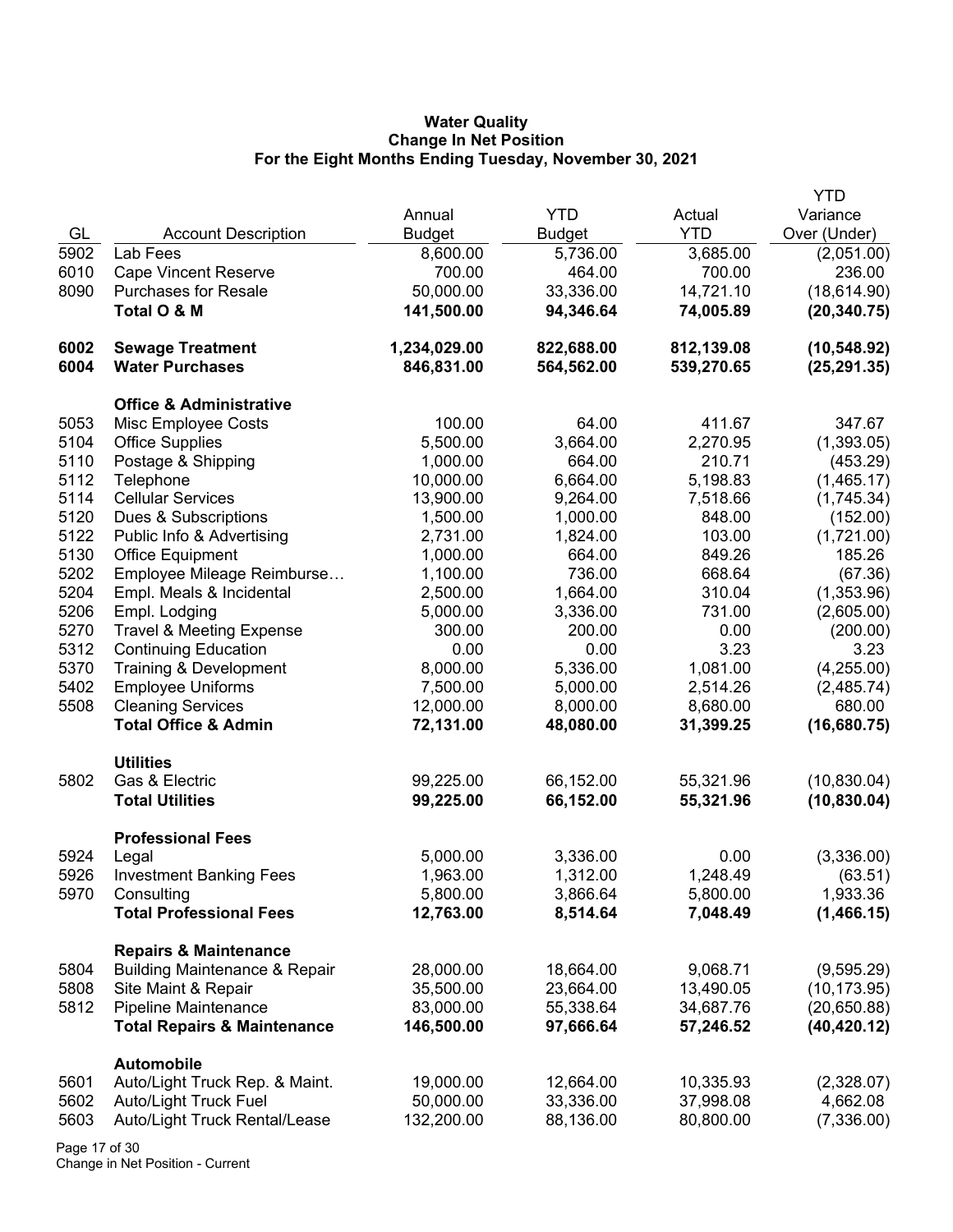## **Water Quality Change In Net Position For the Eight Months Ending Tuesday, November 30, 2021**

|      |                                          |               |               |            | <b>YTD</b>   |
|------|------------------------------------------|---------------|---------------|------------|--------------|
|      |                                          | Annual        | <b>YTD</b>    | Actual     | Variance     |
| GL   | <b>Account Description</b>               | <b>Budget</b> | <b>Budget</b> | <b>YTD</b> | Over (Under) |
| 5902 | Lab Fees                                 | 8,600.00      | 5,736.00      | 3,685.00   | (2,051.00)   |
| 6010 | <b>Cape Vincent Reserve</b>              | 700.00        | 464.00        | 700.00     | 236.00       |
| 8090 | <b>Purchases for Resale</b>              | 50,000.00     | 33,336.00     | 14,721.10  | (18, 614.90) |
|      | Total O & M                              | 141,500.00    | 94,346.64     | 74,005.89  | (20, 340.75) |
|      |                                          |               |               |            |              |
| 6002 | <b>Sewage Treatment</b>                  | 1,234,029.00  | 822,688.00    | 812,139.08 | (10, 548.92) |
| 6004 | <b>Water Purchases</b>                   | 846,831.00    | 564,562.00    | 539,270.65 | (25, 291.35) |
|      |                                          |               |               |            |              |
|      | <b>Office &amp; Administrative</b>       |               |               |            |              |
| 5053 | Misc Employee Costs                      | 100.00        | 64.00         | 411.67     | 347.67       |
| 5104 | <b>Office Supplies</b>                   | 5,500.00      | 3,664.00      | 2,270.95   | (1,393.05)   |
| 5110 | Postage & Shipping                       | 1,000.00      | 664.00        | 210.71     | (453.29)     |
| 5112 | Telephone                                | 10,000.00     | 6,664.00      | 5,198.83   | (1,465.17)   |
| 5114 | <b>Cellular Services</b>                 | 13,900.00     | 9,264.00      | 7,518.66   | (1,745.34)   |
| 5120 | Dues & Subscriptions                     | 1,500.00      | 1,000.00      | 848.00     | (152.00)     |
| 5122 | Public Info & Advertising                | 2,731.00      | 1,824.00      | 103.00     | (1,721.00)   |
| 5130 | <b>Office Equipment</b>                  | 1,000.00      | 664.00        | 849.26     | 185.26       |
| 5202 | Employee Mileage Reimburse               | 1,100.00      | 736.00        | 668.64     | (67.36)      |
| 5204 | Empl. Meals & Incidental                 | 2,500.00      | 1,664.00      | 310.04     | (1,353.96)   |
| 5206 | Empl. Lodging                            | 5,000.00      | 3,336.00      | 731.00     | (2,605.00)   |
| 5270 | <b>Travel &amp; Meeting Expense</b>      | 300.00        | 200.00        | 0.00       | (200.00)     |
| 5312 | <b>Continuing Education</b>              | 0.00          | 0.00          | 3.23       | 3.23         |
| 5370 | Training & Development                   | 8,000.00      | 5,336.00      | 1,081.00   | (4,255.00)   |
| 5402 | <b>Employee Uniforms</b>                 | 7,500.00      | 5,000.00      | 2,514.26   | (2,485.74)   |
| 5508 | <b>Cleaning Services</b>                 | 12,000.00     | 8,000.00      | 8,680.00   | 680.00       |
|      | <b>Total Office &amp; Admin</b>          | 72,131.00     | 48,080.00     | 31,399.25  | (16,680.75)  |
|      |                                          |               |               |            |              |
|      | <b>Utilities</b>                         |               |               |            |              |
| 5802 | Gas & Electric                           | 99,225.00     | 66,152.00     | 55,321.96  | (10, 830.04) |
|      | <b>Total Utilities</b>                   | 99,225.00     | 66,152.00     | 55,321.96  | (10, 830.04) |
|      |                                          |               |               |            |              |
|      | <b>Professional Fees</b>                 |               |               |            |              |
| 5924 | Legal                                    | 5,000.00      | 3,336.00      | 0.00       | (3,336.00)   |
| 5926 | <b>Investment Banking Fees</b>           | 1,963.00      | 1,312.00      | 1,248.49   | (63.51)      |
| 5970 | Consulting                               | 5,800.00      | 3,866.64      | 5,800.00   | 1,933.36     |
|      | <b>Total Professional Fees</b>           | 12,763.00     | 8,514.64      | 7,048.49   | (1,466.15)   |
|      |                                          |               |               |            |              |
|      | <b>Repairs &amp; Maintenance</b>         |               |               |            |              |
| 5804 | <b>Building Maintenance &amp; Repair</b> | 28,000.00     | 18,664.00     | 9,068.71   | (9,595.29)   |
| 5808 | Site Maint & Repair                      | 35,500.00     | 23,664.00     | 13,490.05  | (10, 173.95) |
| 5812 | Pipeline Maintenance                     | 83,000.00     | 55,338.64     | 34,687.76  | (20,650.88)  |
|      | <b>Total Repairs &amp; Maintenance</b>   | 146,500.00    | 97,666.64     | 57,246.52  | (40, 420.12) |
|      |                                          |               |               |            |              |
|      | <b>Automobile</b>                        |               |               |            |              |
| 5601 | Auto/Light Truck Rep. & Maint.           | 19,000.00     | 12,664.00     | 10,335.93  | (2,328.07)   |
| 5602 | <b>Auto/Light Truck Fuel</b>             | 50,000.00     | 33,336.00     | 37,998.08  | 4,662.08     |
| 5603 | Auto/Light Truck Rental/Lease            | 132,200.00    | 88,136.00     | 80,800.00  | (7,336.00)   |

Page 17 of 30 Change in Net Position - Current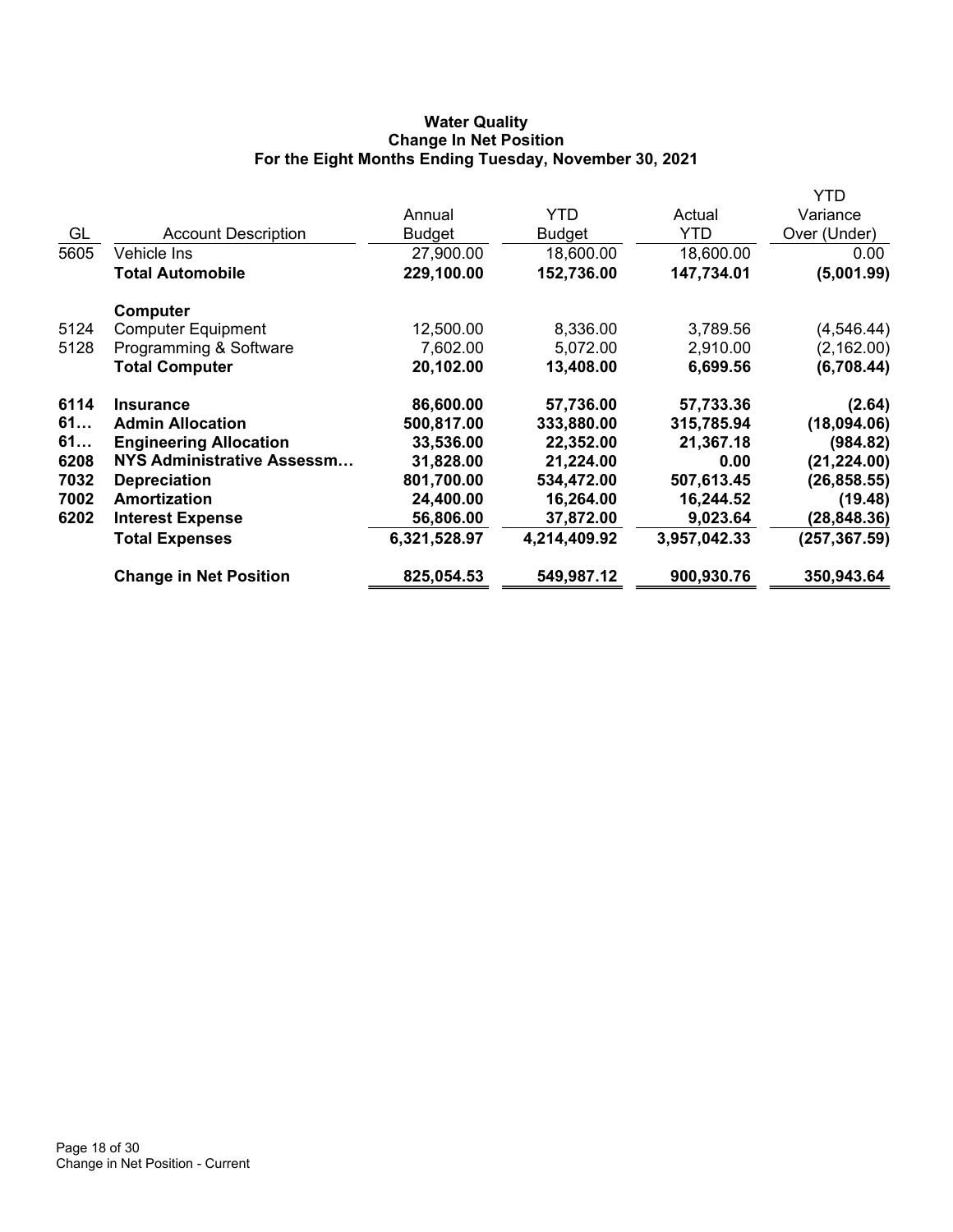# **Water Quality Change In Net Position For the Eight Months Ending Tuesday, November 30, 2021**

|      |                               |               |               |              | YTD           |
|------|-------------------------------|---------------|---------------|--------------|---------------|
|      |                               | Annual        | <b>YTD</b>    | Actual       | Variance      |
| GL   | <b>Account Description</b>    | <b>Budget</b> | <b>Budget</b> | YTD          | Over (Under)  |
| 5605 | Vehicle Ins                   | 27,900.00     | 18,600.00     | 18,600.00    | 0.00          |
|      | <b>Total Automobile</b>       | 229,100.00    | 152,736.00    | 147,734.01   | (5,001.99)    |
|      | Computer                      |               |               |              |               |
| 5124 | <b>Computer Equipment</b>     | 12,500.00     | 8,336.00      | 3,789.56     | (4, 546.44)   |
| 5128 | Programming & Software        | 7,602.00      | 5,072.00      | 2,910.00     | (2, 162.00)   |
|      | <b>Total Computer</b>         | 20,102.00     | 13,408.00     | 6,699.56     | (6,708.44)    |
| 6114 | <b>Insurance</b>              | 86,600.00     | 57,736.00     | 57,733.36    | (2.64)        |
| 61   | <b>Admin Allocation</b>       | 500,817.00    | 333,880.00    | 315,785.94   | (18,094.06)   |
| 61   | <b>Engineering Allocation</b> | 33,536.00     | 22,352.00     | 21,367.18    | (984.82)      |
| 6208 | NYS Administrative Assessm    | 31,828.00     | 21,224.00     | 0.00         | (21, 224.00)  |
| 7032 | <b>Depreciation</b>           | 801,700.00    | 534,472.00    | 507,613.45   | (26, 858.55)  |
| 7002 | Amortization                  | 24,400.00     | 16,264.00     | 16,244.52    | (19.48)       |
| 6202 | <b>Interest Expense</b>       | 56,806.00     | 37,872.00     | 9,023.64     | (28, 848.36)  |
|      | <b>Total Expenses</b>         | 6,321,528.97  | 4,214,409.92  | 3,957,042.33 | (257, 367.59) |
|      | <b>Change in Net Position</b> | 825,054.53    | 549,987.12    | 900,930.76   | 350,943.64    |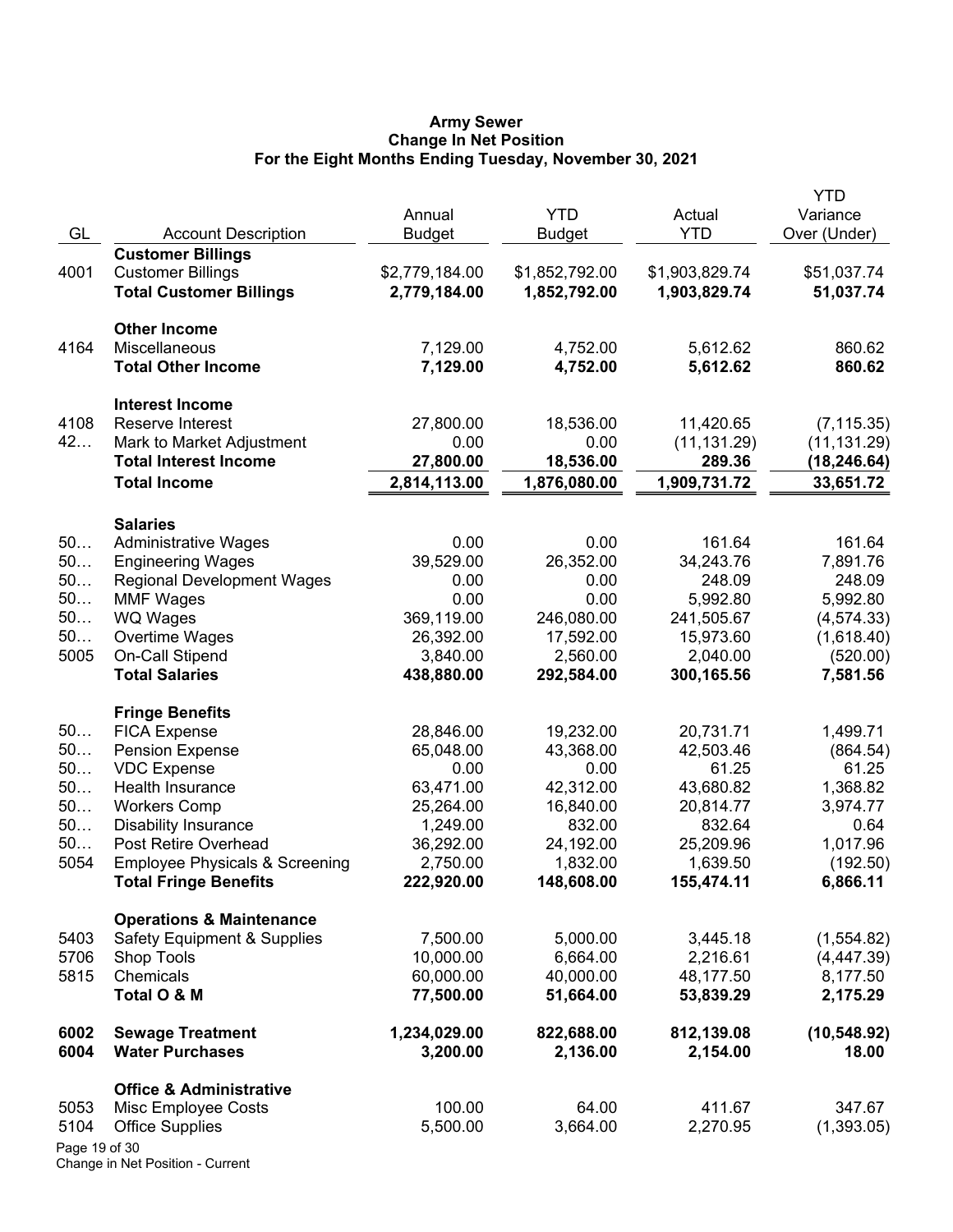### **Army Sewer Change In Net Position For the Eight Months Ending Tuesday, November 30, 2021**

| GL            | <b>Account Description</b>                                 | Annual<br><b>Budget</b>        | <b>YTD</b><br><b>Budget</b>    | Actual<br><b>YTD</b>           | YTD<br>Variance<br>Over (Under) |
|---------------|------------------------------------------------------------|--------------------------------|--------------------------------|--------------------------------|---------------------------------|
|               | <b>Customer Billings</b>                                   |                                |                                |                                |                                 |
| 4001          | <b>Customer Billings</b><br><b>Total Customer Billings</b> | \$2,779,184.00<br>2,779,184.00 | \$1,852,792.00<br>1,852,792.00 | \$1,903,829.74<br>1,903,829.74 | \$51,037.74<br>51,037.74        |
|               | <b>Other Income</b>                                        |                                |                                |                                |                                 |
| 4164          | Miscellaneous                                              | 7,129.00                       | 4,752.00                       | 5,612.62                       | 860.62                          |
|               | <b>Total Other Income</b>                                  | 7,129.00                       | 4,752.00                       | 5,612.62                       | 860.62                          |
|               | <b>Interest Income</b>                                     |                                |                                |                                |                                 |
| 4108          | Reserve Interest                                           | 27,800.00                      | 18,536.00                      | 11,420.65                      | (7, 115.35)                     |
| 42            | Mark to Market Adjustment                                  | 0.00                           | 0.00                           | (11, 131.29)                   | (11, 131.29)                    |
|               | <b>Total Interest Income</b>                               | 27,800.00                      | 18,536.00                      | 289.36                         | (18,246.64)                     |
|               | <b>Total Income</b>                                        | 2,814,113.00                   | 1,876,080.00                   | 1,909,731.72                   | 33,651.72                       |
|               | <b>Salaries</b>                                            |                                |                                |                                |                                 |
| 50            | <b>Administrative Wages</b>                                | 0.00                           | 0.00                           | 161.64                         | 161.64                          |
| 50            | <b>Engineering Wages</b>                                   | 39,529.00                      | 26,352.00                      | 34,243.76                      | 7,891.76                        |
| 50            | <b>Regional Development Wages</b>                          | 0.00                           | 0.00                           | 248.09                         | 248.09                          |
| 50<br>50      | <b>MMF Wages</b>                                           | 0.00<br>369,119.00             | 0.00<br>246,080.00             | 5,992.80<br>241,505.67         | 5,992.80                        |
| 50            | WQ Wages<br>Overtime Wages                                 | 26,392.00                      | 17,592.00                      | 15,973.60                      | (4, 574.33)<br>(1,618.40)       |
| 5005          | On-Call Stipend                                            | 3,840.00                       | 2,560.00                       | 2,040.00                       | (520.00)                        |
|               | <b>Total Salaries</b>                                      | 438,880.00                     | 292,584.00                     | 300,165.56                     | 7,581.56                        |
|               | <b>Fringe Benefits</b>                                     |                                |                                |                                |                                 |
| 50            | <b>FICA Expense</b>                                        | 28,846.00                      | 19,232.00                      | 20,731.71                      | 1,499.71                        |
| 50            | <b>Pension Expense</b>                                     | 65,048.00                      | 43,368.00                      | 42,503.46                      | (864.54)                        |
| 50            | <b>VDC Expense</b>                                         | 0.00                           | 0.00                           | 61.25                          | 61.25                           |
| 50            | Health Insurance                                           | 63,471.00                      | 42,312.00                      | 43,680.82                      | 1,368.82                        |
| 50            | <b>Workers Comp</b>                                        | 25,264.00                      | 16,840.00                      | 20,814.77                      | 3,974.77                        |
| 50            | <b>Disability Insurance</b>                                | 1,249.00                       | 832.00                         | 832.64                         | 0.64                            |
| 50            | Post Retire Overhead                                       | 36,292.00                      | 24,192.00                      | 25,209.96                      | 1,017.96                        |
| 5054          | <b>Employee Physicals &amp; Screening</b>                  | 2,750.00                       | 1,832.00                       | 1,639.50                       | (192.50)                        |
|               | <b>Total Fringe Benefits</b>                               | 222,920.00                     | 148,608.00                     | 155,474.11                     | 6,866.11                        |
|               | <b>Operations &amp; Maintenance</b>                        |                                |                                |                                |                                 |
| 5403          | <b>Safety Equipment &amp; Supplies</b>                     | 7,500.00                       | 5,000.00                       | 3,445.18                       | (1,554.82)                      |
| 5706          | Shop Tools                                                 | 10,000.00                      | 6,664.00                       | 2,216.61                       | (4,447.39)                      |
| 5815          | Chemicals                                                  | 60,000.00                      | 40,000.00                      | 48,177.50                      | 8,177.50                        |
|               | Total O & M                                                | 77,500.00                      | 51,664.00                      | 53,839.29                      | 2,175.29                        |
| 6002          | <b>Sewage Treatment</b>                                    | 1,234,029.00                   | 822,688.00                     | 812,139.08                     | (10, 548.92)                    |
| 6004          | <b>Water Purchases</b>                                     | 3,200.00                       | 2,136.00                       | 2,154.00                       | 18.00                           |
|               | <b>Office &amp; Administrative</b>                         |                                |                                |                                |                                 |
| 5053          | Misc Employee Costs                                        | 100.00                         | 64.00                          | 411.67                         | 347.67                          |
| 5104          | <b>Office Supplies</b>                                     | 5,500.00                       | 3,664.00                       | 2,270.95                       | (1,393.05)                      |
| Page 19 of 30 |                                                            |                                |                                |                                |                                 |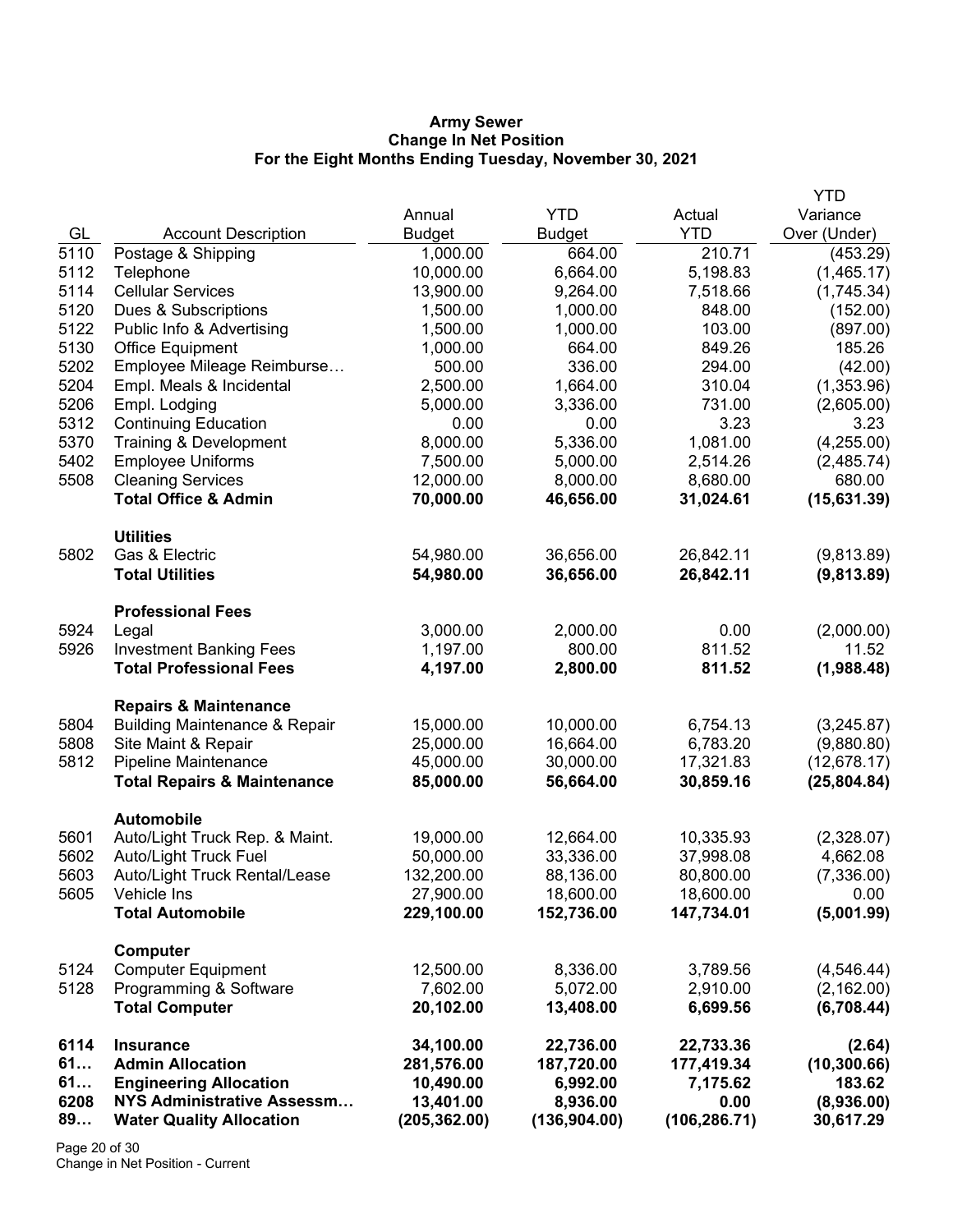### **Army Sewer Change In Net Position For the Eight Months Ending Tuesday, November 30, 2021**

|      |                                          |               |               |               | <b>YTD</b>   |
|------|------------------------------------------|---------------|---------------|---------------|--------------|
|      |                                          | Annual        | <b>YTD</b>    | Actual        | Variance     |
| GL   | <b>Account Description</b>               | <b>Budget</b> | <b>Budget</b> | <b>YTD</b>    | Over (Under) |
| 5110 | Postage & Shipping                       | 1,000.00      | 664.00        | 210.71        | (453.29)     |
| 5112 | Telephone                                | 10,000.00     | 6,664.00      | 5,198.83      | (1,465.17)   |
| 5114 | <b>Cellular Services</b>                 | 13,900.00     | 9,264.00      | 7,518.66      | (1,745.34)   |
| 5120 | Dues & Subscriptions                     | 1,500.00      | 1,000.00      | 848.00        | (152.00)     |
| 5122 | Public Info & Advertising                | 1,500.00      | 1,000.00      | 103.00        | (897.00)     |
| 5130 | <b>Office Equipment</b>                  | 1,000.00      | 664.00        | 849.26        | 185.26       |
| 5202 | Employee Mileage Reimburse               | 500.00        | 336.00        | 294.00        | (42.00)      |
| 5204 | Empl. Meals & Incidental                 | 2,500.00      | 1,664.00      | 310.04        | (1,353.96)   |
| 5206 | Empl. Lodging                            | 5,000.00      | 3,336.00      | 731.00        | (2,605.00)   |
| 5312 | <b>Continuing Education</b>              | 0.00          | 0.00          | 3.23          | 3.23         |
| 5370 | Training & Development                   | 8,000.00      | 5,336.00      | 1,081.00      | (4,255.00)   |
| 5402 | <b>Employee Uniforms</b>                 | 7,500.00      | 5,000.00      | 2,514.26      | (2,485.74)   |
| 5508 | <b>Cleaning Services</b>                 | 12,000.00     | 8,000.00      | 8,680.00      | 680.00       |
|      | <b>Total Office &amp; Admin</b>          | 70,000.00     | 46,656.00     | 31,024.61     | (15,631.39)  |
|      | <b>Utilities</b>                         |               |               |               |              |
| 5802 | Gas & Electric                           | 54,980.00     | 36,656.00     | 26,842.11     | (9,813.89)   |
|      | <b>Total Utilities</b>                   | 54,980.00     | 36,656.00     | 26,842.11     | (9,813.89)   |
|      | <b>Professional Fees</b>                 |               |               |               |              |
| 5924 | Legal                                    | 3,000.00      | 2,000.00      | 0.00          | (2,000.00)   |
| 5926 | <b>Investment Banking Fees</b>           | 1,197.00      | 800.00        | 811.52        | 11.52        |
|      | <b>Total Professional Fees</b>           | 4,197.00      | 2,800.00      | 811.52        | (1,988.48)   |
|      | <b>Repairs &amp; Maintenance</b>         |               |               |               |              |
| 5804 | <b>Building Maintenance &amp; Repair</b> | 15,000.00     | 10,000.00     | 6,754.13      | (3,245.87)   |
| 5808 | Site Maint & Repair                      | 25,000.00     | 16,664.00     | 6,783.20      | (9,880.80)   |
| 5812 | Pipeline Maintenance                     | 45,000.00     | 30,000.00     | 17,321.83     | (12,678.17)  |
|      | <b>Total Repairs &amp; Maintenance</b>   | 85,000.00     | 56,664.00     | 30,859.16     | (25, 804.84) |
|      | <b>Automobile</b>                        |               |               |               |              |
| 5601 | Auto/Light Truck Rep. & Maint.           | 19,000.00     | 12,664.00     | 10,335.93     | (2,328.07)   |
| 5602 | Auto/Light Truck Fuel                    | 50,000.00     | 33,336.00     | 37,998.08     | 4,662.08     |
| 5603 | Auto/Light Truck Rental/Lease            | 132,200.00    | 88,136.00     | 80,800.00     | (7,336.00)   |
| 5605 | Vehicle Ins                              | 27,900.00     | 18,600.00     | 18,600.00     | 0.00         |
|      | <b>Total Automobile</b>                  | 229,100.00    | 152,736.00    | 147,734.01    | (5,001.99)   |
|      | <b>Computer</b>                          |               |               |               |              |
| 5124 | <b>Computer Equipment</b>                | 12,500.00     | 8,336.00      | 3,789.56      | (4,546.44)   |
| 5128 | Programming & Software                   | 7,602.00      | 5,072.00      | 2,910.00      | (2, 162.00)  |
|      | <b>Total Computer</b>                    | 20,102.00     | 13,408.00     | 6,699.56      | (6,708.44)   |
| 6114 | <b>Insurance</b>                         | 34,100.00     | 22,736.00     | 22,733.36     | (2.64)       |
| 61   | <b>Admin Allocation</b>                  | 281,576.00    | 187,720.00    | 177,419.34    | (10, 300.66) |
| 61   | <b>Engineering Allocation</b>            | 10,490.00     | 6,992.00      | 7,175.62      | 183.62       |
| 6208 | NYS Administrative Assessm               | 13,401.00     | 8,936.00      | 0.00          | (8,936.00)   |
| 89   | <b>Water Quality Allocation</b>          | (205, 362.00) | (136, 904.00) | (106, 286.71) | 30,617.29    |

Page 20 of 30 Change in Net Position - Current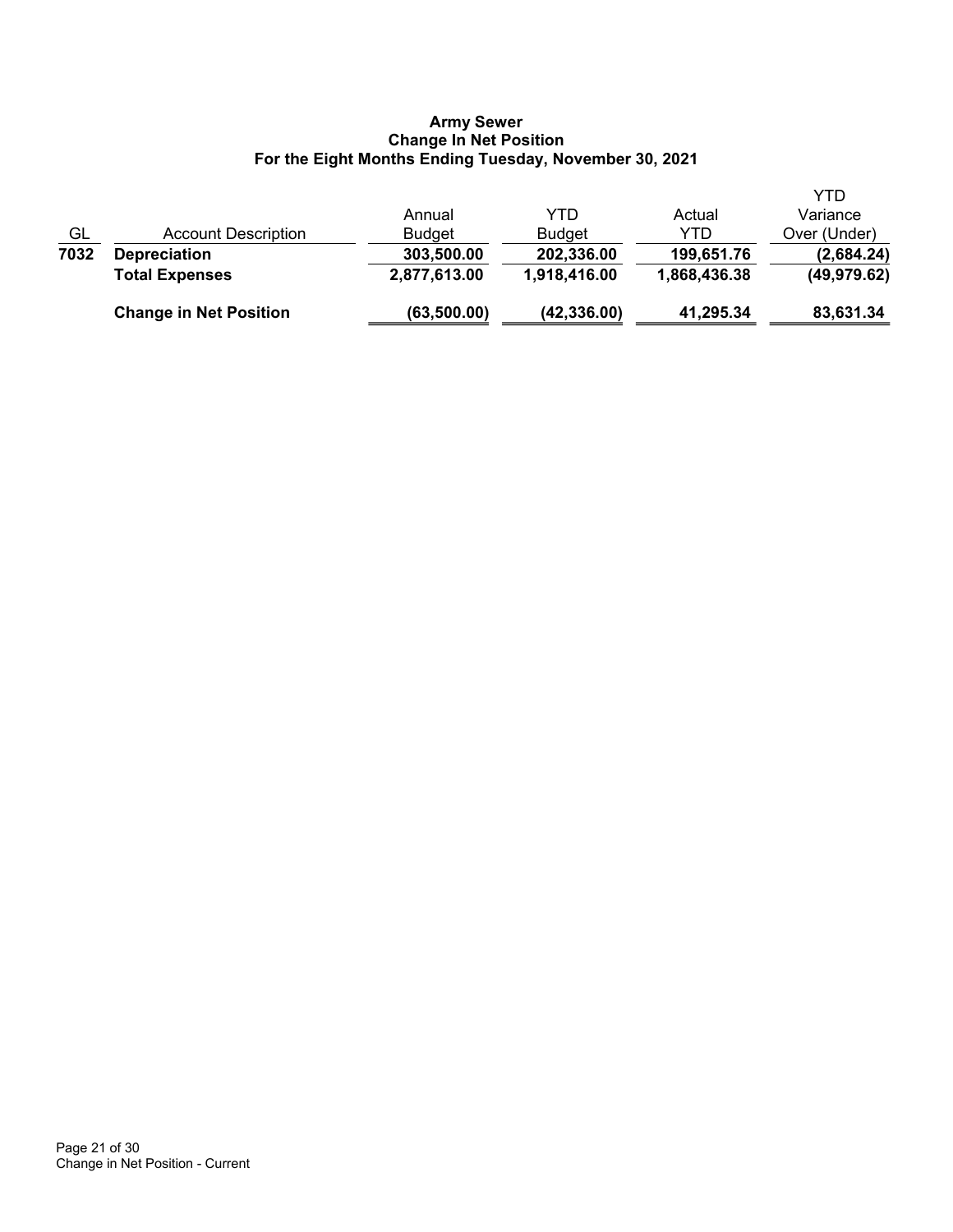# **Army Sewer Change In Net Position For the Eight Months Ending Tuesday, November 30, 2021**

|      | <b>Change in Net Position</b> | (63, 500.00)  | (42, 336.00)  | 41,295.34    | 83,631.34    |
|------|-------------------------------|---------------|---------------|--------------|--------------|
|      | <b>Total Expenses</b>         | 2,877,613.00  | 1,918,416.00  | 1,868,436.38 | (49, 979.62) |
| 7032 | <b>Depreciation</b>           | 303,500.00    | 202,336.00    | 199,651.76   | (2,684.24)   |
| GL   | Account Description           | <b>Budget</b> | <b>Budget</b> | YTD          | Over (Under) |
|      |                               | Annual        | YTD           | Actual       | Variance     |
|      |                               |               |               |              | <b>YTD</b>   |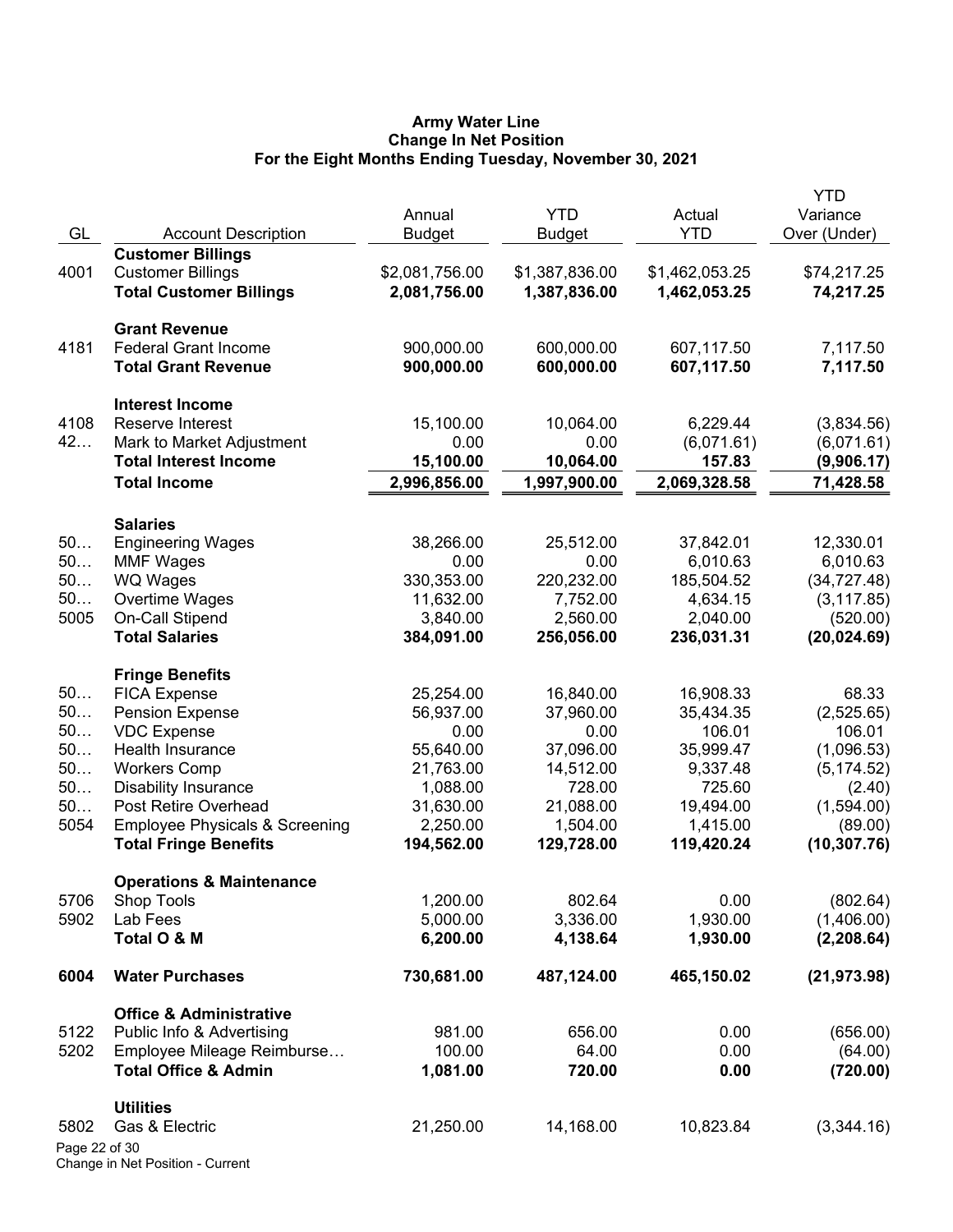### **Army Water Line Change In Net Position For the Eight Months Ending Tuesday, November 30, 2021**

|               |                                           | Annual         | <b>YTD</b>     | Actual         | <b>YTD</b><br>Variance |
|---------------|-------------------------------------------|----------------|----------------|----------------|------------------------|
| GL            | <b>Account Description</b>                | <b>Budget</b>  | <b>Budget</b>  | <b>YTD</b>     | Over (Under)           |
|               | <b>Customer Billings</b>                  |                |                |                |                        |
| 4001          | <b>Customer Billings</b>                  | \$2,081,756.00 | \$1,387,836.00 | \$1,462,053.25 | \$74,217.25            |
|               | <b>Total Customer Billings</b>            | 2,081,756.00   | 1,387,836.00   | 1,462,053.25   | 74,217.25              |
|               | <b>Grant Revenue</b>                      |                |                |                |                        |
| 4181          | <b>Federal Grant Income</b>               | 900,000.00     | 600,000.00     | 607,117.50     | 7,117.50               |
|               | <b>Total Grant Revenue</b>                | 900,000.00     | 600,000.00     | 607,117.50     | 7,117.50               |
|               | <b>Interest Income</b>                    |                |                |                |                        |
| 4108          | Reserve Interest                          | 15,100.00      | 10,064.00      | 6,229.44       | (3,834.56)             |
| 42            | Mark to Market Adjustment                 | 0.00           | 0.00           | (6,071.61)     | (6,071.61)             |
|               | <b>Total Interest Income</b>              | 15,100.00      | 10,064.00      | 157.83         | (9,906.17)             |
|               | <b>Total Income</b>                       | 2,996,856.00   | 1,997,900.00   | 2,069,328.58   | 71,428.58              |
|               |                                           |                |                |                |                        |
|               | <b>Salaries</b>                           |                |                |                |                        |
| 50            | <b>Engineering Wages</b>                  | 38,266.00      | 25,512.00      | 37,842.01      | 12,330.01              |
| 50            | <b>MMF Wages</b>                          | 0.00           | 0.00           | 6,010.63       | 6,010.63               |
| 50            | WQ Wages                                  | 330,353.00     | 220,232.00     | 185,504.52     | (34, 727.48)           |
| 50            | Overtime Wages                            | 11,632.00      | 7,752.00       | 4,634.15       | (3, 117.85)            |
| 5005          | <b>On-Call Stipend</b>                    | 3,840.00       | 2,560.00       | 2,040.00       | (520.00)               |
|               | <b>Total Salaries</b>                     | 384,091.00     | 256,056.00     | 236,031.31     | (20, 024.69)           |
|               | <b>Fringe Benefits</b>                    |                |                |                |                        |
| 50            | <b>FICA Expense</b>                       | 25,254.00      | 16,840.00      | 16,908.33      | 68.33                  |
| 50            | <b>Pension Expense</b>                    | 56,937.00      | 37,960.00      | 35,434.35      | (2,525.65)             |
| 50            | <b>VDC Expense</b>                        | 0.00           | 0.00           | 106.01         | 106.01                 |
| 50            | Health Insurance                          | 55,640.00      | 37,096.00      | 35,999.47      | (1,096.53)             |
| 50            | <b>Workers Comp</b>                       | 21,763.00      | 14,512.00      | 9,337.48       | (5, 174.52)            |
| 50            | <b>Disability Insurance</b>               | 1,088.00       | 728.00         | 725.60         | (2.40)                 |
| 50            | Post Retire Overhead                      | 31,630.00      | 21,088.00      | 19,494.00      | (1,594.00)             |
| 5054          | <b>Employee Physicals &amp; Screening</b> | 2,250.00       | 1,504.00       | 1,415.00       | (89.00)                |
|               | <b>Total Fringe Benefits</b>              | 194,562.00     | 129,728.00     | 119,420.24     | (10, 307.76)           |
|               | <b>Operations &amp; Maintenance</b>       |                |                |                |                        |
| 5706          | Shop Tools                                | 1,200.00       | 802.64         | 0.00           | (802.64)               |
| 5902          | Lab Fees                                  | 5,000.00       | 3,336.00       | 1,930.00       | (1,406.00)             |
|               | Total O & M                               | 6,200.00       | 4,138.64       | 1,930.00       | (2, 208.64)            |
| 6004          | <b>Water Purchases</b>                    | 730,681.00     | 487,124.00     | 465,150.02     | (21, 973.98)           |
|               | <b>Office &amp; Administrative</b>        |                |                |                |                        |
| 5122          | Public Info & Advertising                 | 981.00         | 656.00         | 0.00           | (656.00)               |
| 5202          | Employee Mileage Reimburse                | 100.00         | 64.00          | 0.00           | (64.00)                |
|               | <b>Total Office &amp; Admin</b>           | 1,081.00       | 720.00         | 0.00           | (720.00)               |
|               | <b>Utilities</b>                          |                |                |                |                        |
| 5802          | Gas & Electric                            | 21,250.00      | 14,168.00      | 10,823.84      | (3,344.16)             |
| Page 22 of 30 |                                           |                |                |                |                        |
|               |                                           |                |                |                |                        |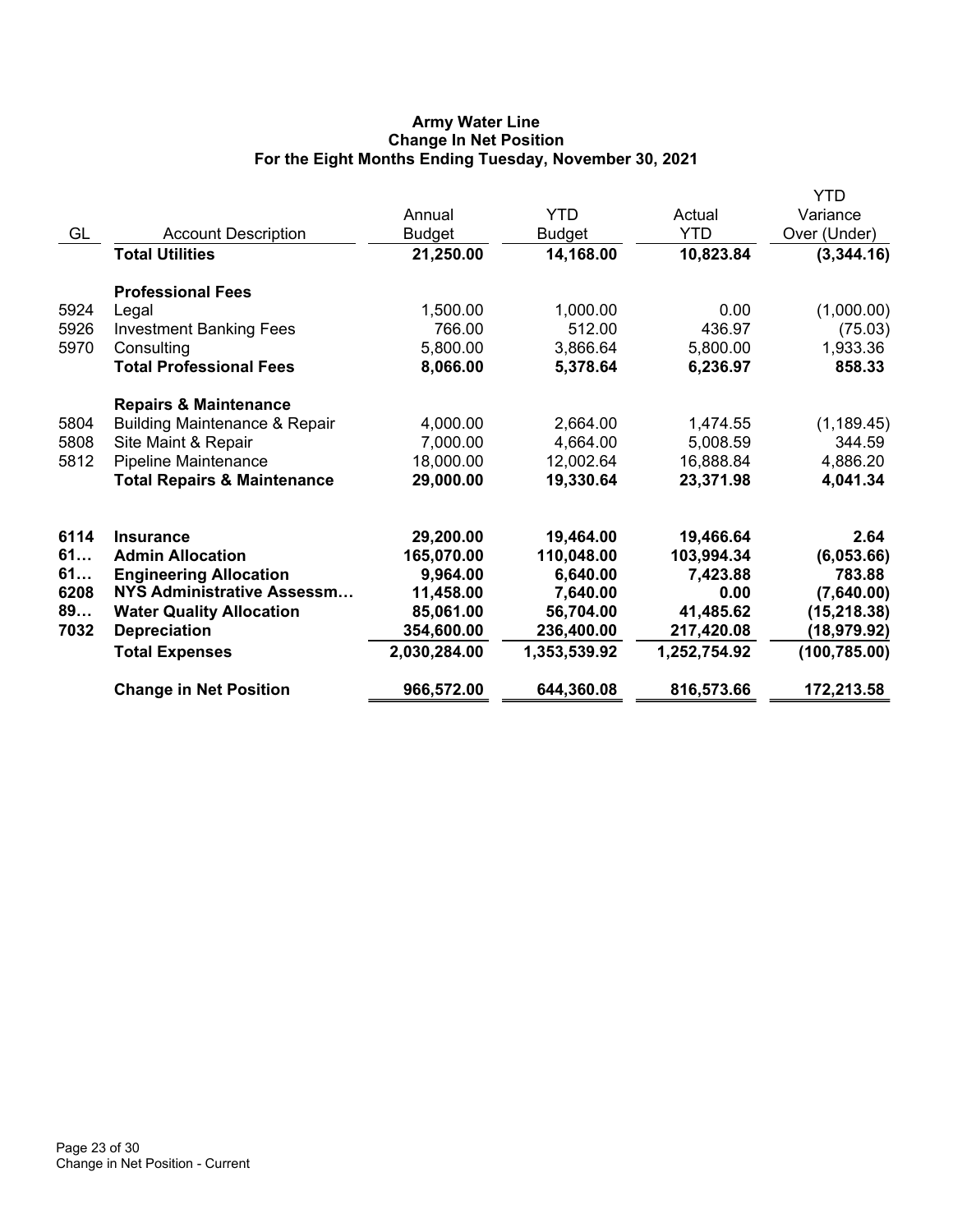# **Army Water Line Change In Net Position For the Eight Months Ending Tuesday, November 30, 2021**

|      |                                          |               |               |              | YTD           |
|------|------------------------------------------|---------------|---------------|--------------|---------------|
|      |                                          | Annual        | YTD           | Actual       | Variance      |
| GL   | <b>Account Description</b>               | <b>Budget</b> | <b>Budget</b> | <b>YTD</b>   | Over (Under)  |
|      | <b>Total Utilities</b>                   | 21,250.00     | 14,168.00     | 10,823.84    | (3,344.16)    |
|      | <b>Professional Fees</b>                 |               |               |              |               |
| 5924 | Legal                                    | 1,500.00      | 1,000.00      | 0.00         | (1,000.00)    |
| 5926 | <b>Investment Banking Fees</b>           | 766.00        | 512.00        | 436.97       | (75.03)       |
| 5970 | Consulting                               | 5,800.00      | 3,866.64      | 5,800.00     | 1,933.36      |
|      | <b>Total Professional Fees</b>           | 8,066.00      | 5,378.64      | 6,236.97     | 858.33        |
|      | <b>Repairs &amp; Maintenance</b>         |               |               |              |               |
| 5804 | <b>Building Maintenance &amp; Repair</b> | 4,000.00      | 2,664.00      | 1,474.55     | (1, 189.45)   |
| 5808 | Site Maint & Repair                      | 7,000.00      | 4,664.00      | 5,008.59     | 344.59        |
| 5812 | Pipeline Maintenance                     | 18,000.00     | 12,002.64     | 16,888.84    | 4,886.20      |
|      | <b>Total Repairs &amp; Maintenance</b>   | 29,000.00     | 19,330.64     | 23,371.98    | 4,041.34      |
| 6114 | <b>Insurance</b>                         | 29,200.00     | 19,464.00     | 19,466.64    | 2.64          |
| 61   | <b>Admin Allocation</b>                  | 165,070.00    | 110,048.00    | 103,994.34   | (6,053.66)    |
| 61   | <b>Engineering Allocation</b>            | 9,964.00      | 6,640.00      | 7,423.88     | 783.88        |
| 6208 | NYS Administrative Assessm               | 11,458.00     | 7,640.00      | 0.00         | (7,640.00)    |
| 89   | <b>Water Quality Allocation</b>          | 85,061.00     | 56,704.00     | 41,485.62    | (15, 218.38)  |
| 7032 | <b>Depreciation</b>                      | 354,600.00    | 236,400.00    | 217,420.08   | (18,979.92)   |
|      | <b>Total Expenses</b>                    | 2,030,284.00  | 1,353,539.92  | 1,252,754.92 | (100, 785.00) |
|      |                                          |               |               |              |               |
|      | <b>Change in Net Position</b>            | 966,572.00    | 644,360.08    | 816,573.66   | 172,213.58    |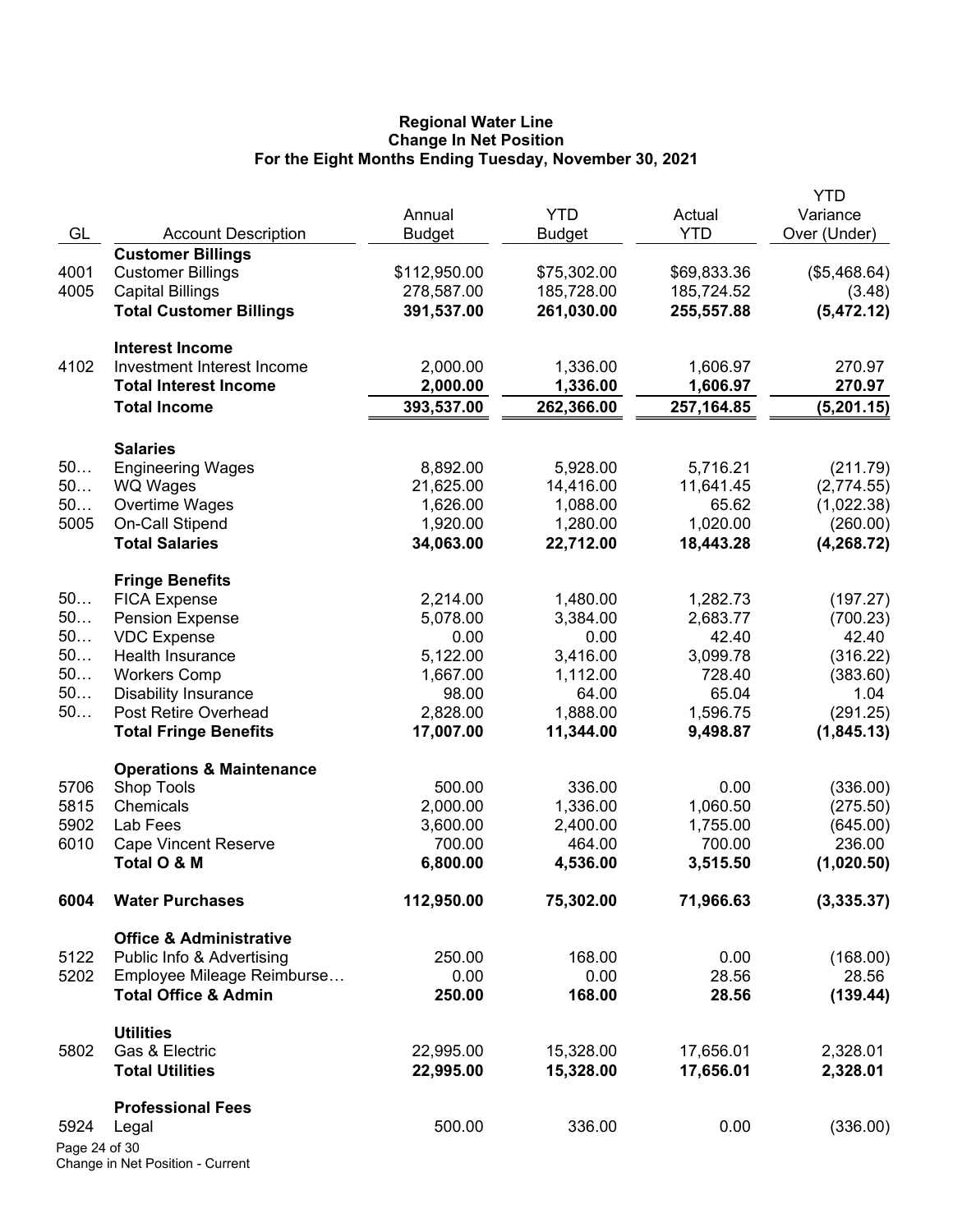### **Regional Water Line Change In Net Position For the Eight Months Ending Tuesday, November 30, 2021**

|                       |                                             |               |               |             | <b>YTD</b>   |
|-----------------------|---------------------------------------------|---------------|---------------|-------------|--------------|
|                       |                                             | Annual        | <b>YTD</b>    | Actual      | Variance     |
| GL                    | <b>Account Description</b>                  | <b>Budget</b> | <b>Budget</b> | <b>YTD</b>  | Over (Under) |
|                       | <b>Customer Billings</b>                    |               |               |             |              |
| 4001                  | <b>Customer Billings</b>                    | \$112,950.00  | \$75,302.00   | \$69,833.36 | (\$5,468.64) |
| 4005                  | <b>Capital Billings</b>                     | 278,587.00    | 185,728.00    | 185,724.52  | (3.48)       |
|                       | <b>Total Customer Billings</b>              | 391,537.00    | 261,030.00    | 255,557.88  | (5,472.12)   |
|                       | <b>Interest Income</b>                      |               |               |             |              |
| 4102                  | Investment Interest Income                  | 2,000.00      | 1,336.00      | 1,606.97    | 270.97       |
|                       | <b>Total Interest Income</b>                | 2,000.00      | 1,336.00      | 1,606.97    | 270.97       |
|                       | <b>Total Income</b>                         | 393,537.00    | 262,366.00    | 257, 164.85 | (5,201.15)   |
|                       |                                             |               |               |             |              |
| 50                    | <b>Salaries</b><br><b>Engineering Wages</b> | 8,892.00      | 5,928.00      | 5,716.21    | (211.79)     |
| 50                    | <b>WQ Wages</b>                             | 21,625.00     | 14,416.00     | 11,641.45   | (2,774.55)   |
| 50                    | Overtime Wages                              | 1,626.00      | 1,088.00      | 65.62       | (1,022.38)   |
| 5005                  | On-Call Stipend                             | 1,920.00      | 1,280.00      | 1,020.00    | (260.00)     |
|                       | <b>Total Salaries</b>                       | 34,063.00     | 22,712.00     | 18,443.28   | (4, 268.72)  |
|                       |                                             |               |               |             |              |
|                       | <b>Fringe Benefits</b>                      |               |               |             |              |
| 50                    | <b>FICA Expense</b>                         | 2,214.00      | 1,480.00      | 1,282.73    | (197.27)     |
| 50                    | <b>Pension Expense</b>                      | 5,078.00      | 3,384.00      | 2,683.77    | (700.23)     |
| 50                    | <b>VDC Expense</b>                          | 0.00          | 0.00          | 42.40       | 42.40        |
| 50                    | Health Insurance                            | 5,122.00      | 3,416.00      | 3,099.78    | (316.22)     |
| 50                    | <b>Workers Comp</b>                         | 1,667.00      | 1,112.00      | 728.40      | (383.60)     |
| 50                    | <b>Disability Insurance</b>                 | 98.00         | 64.00         | 65.04       | 1.04         |
| 50                    | Post Retire Overhead                        | 2,828.00      | 1,888.00      | 1,596.75    | (291.25)     |
|                       | <b>Total Fringe Benefits</b>                | 17,007.00     | 11,344.00     | 9,498.87    | (1,845.13)   |
|                       | <b>Operations &amp; Maintenance</b>         |               |               |             |              |
| 5706                  | <b>Shop Tools</b>                           | 500.00        | 336.00        | 0.00        | (336.00)     |
| 5815                  | Chemicals                                   | 2,000.00      | 1,336.00      | 1,060.50    | (275.50)     |
| 5902                  | Lab Fees                                    | 3,600.00      | 2,400.00      | 1,755.00    | (645.00)     |
| 6010                  | <b>Cape Vincent Reserve</b>                 | 700.00        | 464.00        | 700.00      | 236.00       |
|                       | Total O & M                                 | 6,800.00      | 4,536.00      | 3,515.50    | (1,020.50)   |
| 6004                  | <b>Water Purchases</b>                      | 112,950.00    | 75,302.00     | 71,966.63   | (3,335.37)   |
|                       | <b>Office &amp; Administrative</b>          |               |               |             |              |
| 5122                  | Public Info & Advertising                   | 250.00        | 168.00        | 0.00        | (168.00)     |
| 5202                  | Employee Mileage Reimburse                  | 0.00          | 0.00          | 28.56       | 28.56        |
|                       | <b>Total Office &amp; Admin</b>             | 250.00        | 168.00        | 28.56       | (139.44)     |
|                       | <b>Utilities</b>                            |               |               |             |              |
| 5802                  | Gas & Electric                              | 22,995.00     | 15,328.00     | 17,656.01   | 2,328.01     |
|                       | <b>Total Utilities</b>                      | 22,995.00     | 15,328.00     | 17,656.01   | 2,328.01     |
|                       |                                             |               |               |             |              |
|                       | <b>Professional Fees</b>                    | 500.00        | 336.00        | 0.00        |              |
| 5924<br>Page 24 of 30 | Legal                                       |               |               |             | (336.00)     |
|                       |                                             |               |               |             |              |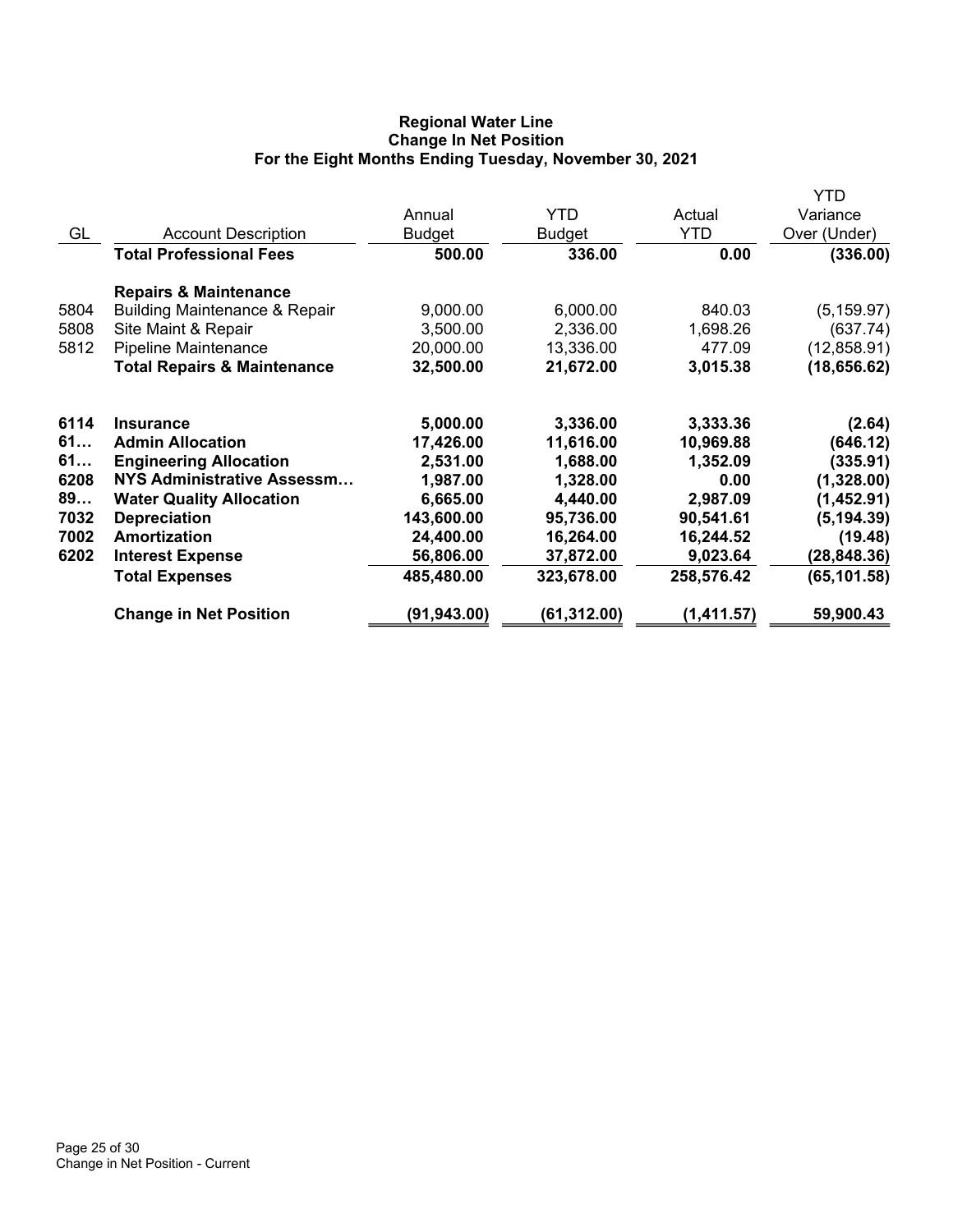# **Regional Water Line Change In Net Position For the Eight Months Ending Tuesday, November 30, 2021**

|                                          |               |               |            | YTD          |
|------------------------------------------|---------------|---------------|------------|--------------|
|                                          | Annual        | <b>YTD</b>    | Actual     | Variance     |
| <b>Account Description</b>               | <b>Budget</b> | <b>Budget</b> | <b>YTD</b> | Over (Under) |
| <b>Total Professional Fees</b>           | 500.00        | 336.00        | 0.00       | (336.00)     |
| <b>Repairs &amp; Maintenance</b>         |               |               |            |              |
| <b>Building Maintenance &amp; Repair</b> | 9,000.00      | 6,000.00      | 840.03     | (5, 159.97)  |
| Site Maint & Repair                      | 3,500.00      | 2,336.00      | 1,698.26   | (637.74)     |
| Pipeline Maintenance                     | 20,000.00     | 13,336.00     | 477.09     | (12, 858.91) |
| <b>Total Repairs &amp; Maintenance</b>   | 32,500.00     | 21,672.00     | 3,015.38   | (18, 656.62) |
| <b>Insurance</b>                         | 5,000.00      | 3,336.00      | 3,333.36   | (2.64)       |
| <b>Admin Allocation</b>                  | 17,426.00     | 11,616.00     | 10,969.88  | (646.12)     |
| <b>Engineering Allocation</b>            | 2,531.00      | 1,688.00      | 1,352.09   | (335.91)     |
| NYS Administrative Assessm               | 1,987.00      | 1,328.00      | 0.00       | (1,328.00)   |
| <b>Water Quality Allocation</b>          | 6,665.00      | 4,440.00      | 2,987.09   | (1,452.91)   |
| <b>Depreciation</b>                      | 143,600.00    | 95,736.00     | 90,541.61  | (5, 194.39)  |
| Amortization                             | 24,400.00     | 16,264.00     | 16,244.52  | (19.48)      |
| <b>Interest Expense</b>                  | 56,806.00     | 37,872.00     | 9,023.64   | (28, 848.36) |
| <b>Total Expenses</b>                    | 485,480.00    | 323,678.00    | 258,576.42 | (65, 101.58) |
| <b>Change in Net Position</b>            | (91,943.00)   | (61,312.00)   | (1,411.57) | 59,900.43    |
|                                          |               |               |            |              |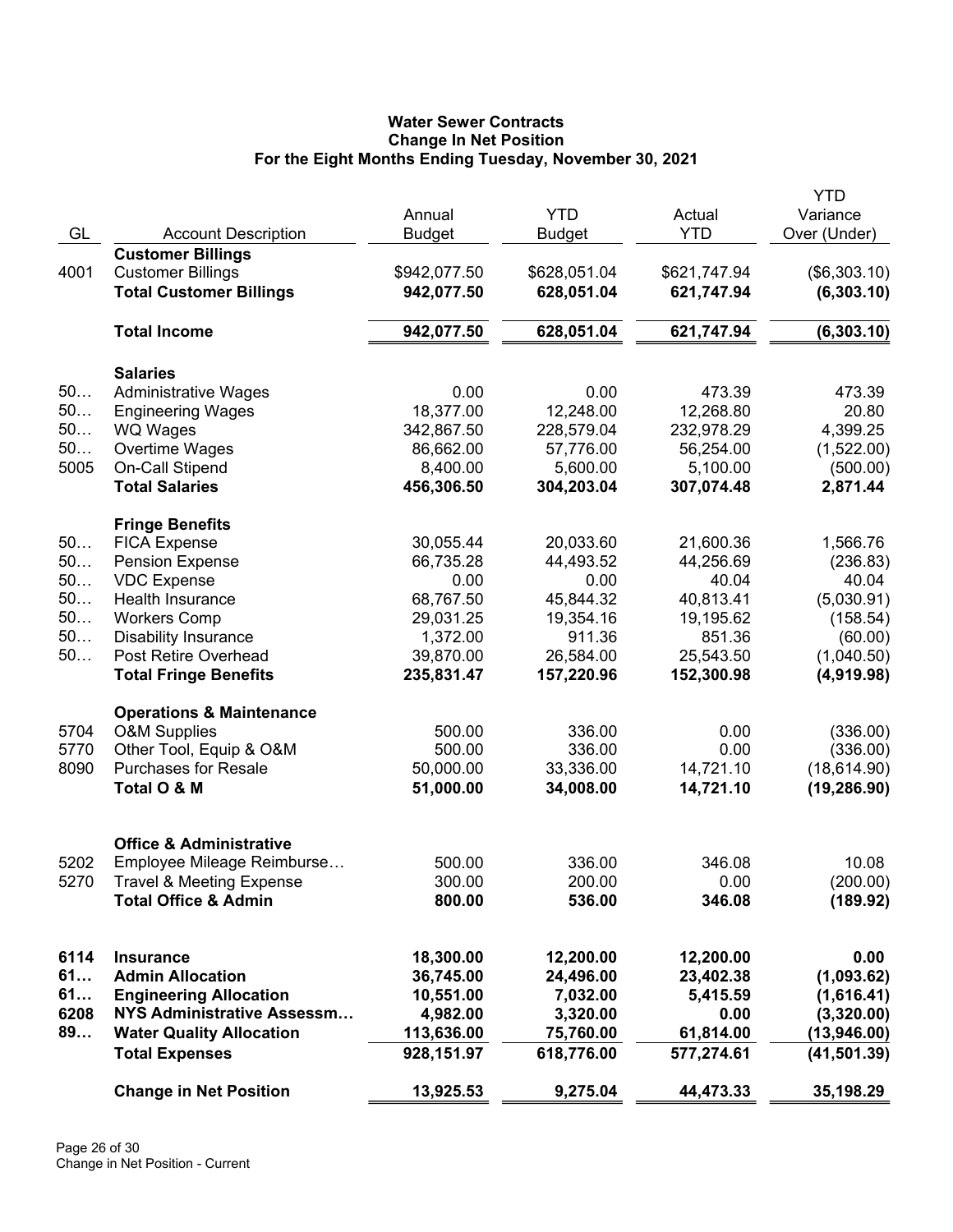# **Water Sewer Contracts Change In Net Position For the Eight Months Ending Tuesday, November 30, 2021**

| GL         | <b>Account Description</b>                                             | Annual<br><b>Budget</b>  | <b>YTD</b><br><b>Budget</b> | Actual<br><b>YTD</b>   | <b>YTD</b><br>Variance<br>Over (Under) |
|------------|------------------------------------------------------------------------|--------------------------|-----------------------------|------------------------|----------------------------------------|
|            | <b>Customer Billings</b>                                               |                          |                             |                        |                                        |
| 4001       | <b>Customer Billings</b>                                               | \$942,077.50             | \$628,051.04                | \$621,747.94           | (\$6,303.10)                           |
|            | <b>Total Customer Billings</b>                                         | 942,077.50               | 628,051.04                  | 621,747.94             | (6,303.10)                             |
|            | <b>Total Income</b>                                                    | 942,077.50               | 628,051.04                  | 621,747.94             | (6, 303.10)                            |
|            | <b>Salaries</b>                                                        |                          |                             |                        |                                        |
| 50         | <b>Administrative Wages</b>                                            | 0.00                     | 0.00                        | 473.39                 | 473.39                                 |
| 50         | <b>Engineering Wages</b>                                               | 18,377.00                | 12,248.00                   | 12,268.80              | 20.80                                  |
| 50         | <b>WQ Wages</b>                                                        | 342,867.50               | 228,579.04                  | 232,978.29             | 4,399.25                               |
| 50         | Overtime Wages                                                         | 86,662.00                | 57,776.00                   | 56,254.00              | (1,522.00)                             |
| 5005       | On-Call Stipend                                                        | 8,400.00                 | 5,600.00                    | 5,100.00               | (500.00)                               |
|            | <b>Total Salaries</b>                                                  | 456,306.50               | 304,203.04                  | 307,074.48             | 2,871.44                               |
|            | <b>Fringe Benefits</b>                                                 |                          |                             |                        |                                        |
| 50         | <b>FICA Expense</b>                                                    | 30,055.44                | 20,033.60                   | 21,600.36              | 1,566.76                               |
| 50         | <b>Pension Expense</b>                                                 | 66,735.28                | 44,493.52                   | 44,256.69              | (236.83)                               |
| 50         | <b>VDC Expense</b>                                                     | 0.00                     | 0.00                        | 40.04                  | 40.04                                  |
| 50         | Health Insurance                                                       | 68,767.50                | 45,844.32                   | 40,813.41              | (5,030.91)                             |
| 50         | <b>Workers Comp</b>                                                    | 29,031.25                | 19,354.16                   | 19,195.62              | (158.54)                               |
| 50         | <b>Disability Insurance</b>                                            | 1,372.00                 | 911.36                      | 851.36                 | (60.00)                                |
| 50         | Post Retire Overhead                                                   | 39,870.00                | 26,584.00                   | 25,543.50              | (1,040.50)                             |
|            | <b>Total Fringe Benefits</b>                                           | 235,831.47               | 157,220.96                  | 152,300.98             | (4,919.98)                             |
|            | <b>Operations &amp; Maintenance</b>                                    |                          |                             |                        |                                        |
| 5704       | <b>O&amp;M Supplies</b>                                                | 500.00                   | 336.00                      | 0.00                   | (336.00)                               |
| 5770       | Other Tool, Equip & O&M                                                | 500.00                   | 336.00                      | 0.00                   | (336.00)                               |
| 8090       | <b>Purchases for Resale</b>                                            | 50,000.00                | 33,336.00                   | 14,721.10              | (18, 614.90)                           |
|            | Total O & M                                                            | 51,000.00                | 34,008.00                   | 14,721.10              | (19, 286.90)                           |
|            | <b>Office &amp; Administrative</b>                                     |                          |                             |                        |                                        |
| 5202       |                                                                        | 500.00                   | 336.00                      | 346.08                 | 10.08                                  |
|            | Employee Mileage Reimburse                                             |                          |                             | 0.00                   |                                        |
| 5270       | <b>Travel &amp; Meeting Expense</b><br><b>Total Office &amp; Admin</b> | 300.00<br>800.00         | 200.00<br>536.00            | 346.08                 | (200.00)<br>(189.92)                   |
|            |                                                                        |                          |                             |                        |                                        |
| 6114<br>61 | <b>Insurance</b><br><b>Admin Allocation</b>                            | 18,300.00<br>36,745.00   | 12,200.00<br>24,496.00      | 12,200.00<br>23,402.38 | 0.00                                   |
| 61         |                                                                        |                          |                             |                        | (1,093.62)                             |
| 6208       | <b>Engineering Allocation</b><br>NYS Administrative Assessm            | 10,551.00                | 7,032.00<br>3,320.00        | 5,415.59<br>0.00       | (1,616.41)                             |
| 89         | <b>Water Quality Allocation</b>                                        | 4,982.00                 |                             | 61,814.00              | (3,320.00)                             |
|            | <b>Total Expenses</b>                                                  | 113,636.00<br>928,151.97 | 75,760.00<br>618,776.00     | 577,274.61             | (13,946.00)<br>(41, 501.39)            |
|            | <b>Change in Net Position</b>                                          | 13,925.53                | 9,275.04                    | 44,473.33              | 35,198.29                              |
|            |                                                                        |                          |                             |                        |                                        |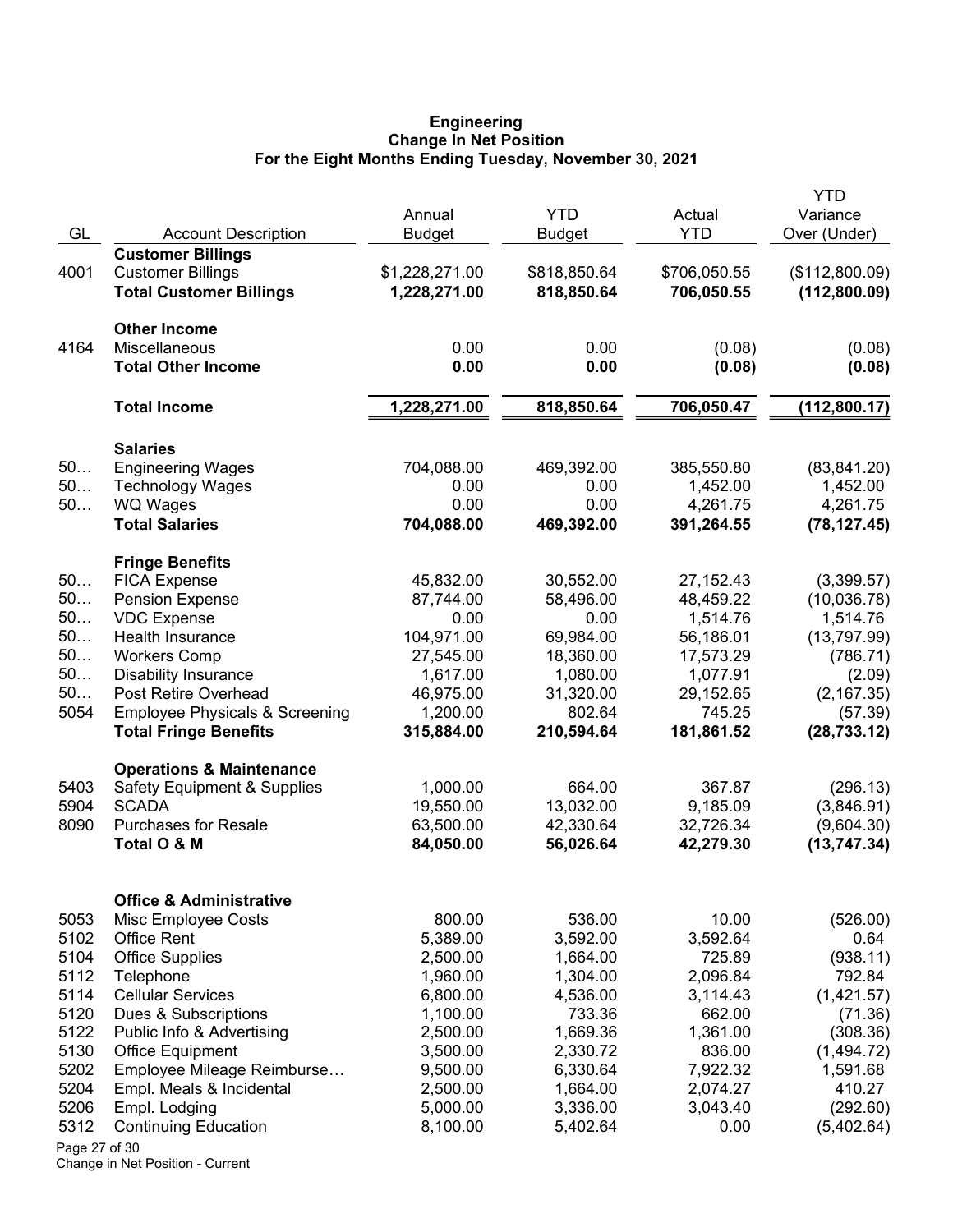#### **Engineering Change In Net Position For the Eight Months Ending Tuesday, November 30, 2021**

|               |                                                           |                |               |              | YTD            |
|---------------|-----------------------------------------------------------|----------------|---------------|--------------|----------------|
|               |                                                           | Annual         | <b>YTD</b>    | Actual       | Variance       |
| GL            | <b>Account Description</b>                                | <b>Budget</b>  | <b>Budget</b> | <b>YTD</b>   | Over (Under)   |
|               | <b>Customer Billings</b>                                  |                |               |              |                |
| 4001          | <b>Customer Billings</b>                                  | \$1,228,271.00 | \$818,850.64  | \$706,050.55 | (\$112,800.09) |
|               | <b>Total Customer Billings</b>                            | 1,228,271.00   | 818,850.64    | 706,050.55   | (112,800.09)   |
|               | <b>Other Income</b>                                       |                |               |              |                |
| 4164          | Miscellaneous                                             | 0.00           | 0.00          | (0.08)       | (0.08)         |
|               | <b>Total Other Income</b>                                 | 0.00           | 0.00          | (0.08)       | (0.08)         |
|               | <b>Total Income</b>                                       | 1,228,271.00   | 818,850.64    | 706,050.47   | (112,800.17)   |
|               | <b>Salaries</b>                                           |                |               |              |                |
| 50            | <b>Engineering Wages</b>                                  | 704,088.00     | 469,392.00    | 385,550.80   | (83, 841.20)   |
| 50            | <b>Technology Wages</b>                                   | 0.00           | 0.00          | 1,452.00     | 1,452.00       |
| 50            | <b>WQ Wages</b>                                           | 0.00           | 0.00          | 4,261.75     | 4,261.75       |
|               | <b>Total Salaries</b>                                     | 704,088.00     | 469,392.00    | 391,264.55   | (78, 127.45)   |
|               | <b>Fringe Benefits</b>                                    |                |               |              |                |
| 50            | <b>FICA Expense</b>                                       | 45,832.00      | 30,552.00     | 27, 152. 43  | (3,399.57)     |
| 50            | <b>Pension Expense</b>                                    | 87,744.00      | 58,496.00     | 48,459.22    | (10,036.78)    |
| 50            | <b>VDC Expense</b>                                        | 0.00           | 0.00          | 1,514.76     | 1,514.76       |
| 50            | Health Insurance                                          | 104,971.00     | 69,984.00     | 56,186.01    | (13,797.99)    |
| 50            | <b>Workers Comp</b>                                       | 27,545.00      | 18,360.00     | 17,573.29    | (786.71)       |
| 50            | <b>Disability Insurance</b>                               | 1,617.00       | 1,080.00      | 1,077.91     | (2.09)         |
| 50            | Post Retire Overhead                                      | 46,975.00      | 31,320.00     | 29,152.65    | (2, 167.35)    |
| 5054          | <b>Employee Physicals &amp; Screening</b>                 | 1,200.00       | 802.64        | 745.25       | (57.39)        |
|               | <b>Total Fringe Benefits</b>                              | 315,884.00     | 210,594.64    | 181,861.52   | (28, 733.12)   |
|               | <b>Operations &amp; Maintenance</b>                       |                |               |              |                |
| 5403          | <b>Safety Equipment &amp; Supplies</b>                    | 1,000.00       | 664.00        | 367.87       | (296.13)       |
| 5904          | <b>SCADA</b>                                              | 19,550.00      | 13,032.00     | 9,185.09     | (3,846.91)     |
| 8090          | <b>Purchases for Resale</b>                               | 63,500.00      | 42,330.64     | 32,726.34    | (9,604.30)     |
|               | Total O & M                                               | 84,050.00      | 56,026.64     | 42,279.30    | (13, 747.34)   |
|               |                                                           |                |               |              |                |
| 5053          | <b>Office &amp; Administrative</b><br>Misc Employee Costs | 800.00         | 536.00        | 10.00        | (526.00)       |
| 5102          | <b>Office Rent</b>                                        | 5,389.00       | 3,592.00      | 3,592.64     | 0.64           |
| 5104          | <b>Office Supplies</b>                                    | 2,500.00       | 1,664.00      | 725.89       | (938.11)       |
| 5112          | Telephone                                                 | 1,960.00       | 1,304.00      | 2,096.84     | 792.84         |
| 5114          | <b>Cellular Services</b>                                  | 6,800.00       | 4,536.00      | 3,114.43     | (1,421.57)     |
| 5120          | Dues & Subscriptions                                      | 1,100.00       | 733.36        | 662.00       | (71.36)        |
| 5122          | Public Info & Advertising                                 | 2,500.00       | 1,669.36      | 1,361.00     | (308.36)       |
| 5130          | <b>Office Equipment</b>                                   | 3,500.00       | 2,330.72      | 836.00       | (1,494.72)     |
| 5202          | Employee Mileage Reimburse                                | 9,500.00       | 6,330.64      | 7,922.32     | 1,591.68       |
| 5204          | Empl. Meals & Incidental                                  | 2,500.00       | 1,664.00      | 2,074.27     | 410.27         |
| 5206          | Empl. Lodging                                             | 5,000.00       | 3,336.00      | 3,043.40     | (292.60)       |
| 5312          | <b>Continuing Education</b>                               | 8,100.00       | 5,402.64      | 0.00         | (5,402.64)     |
| Page 27 of 30 |                                                           |                |               |              |                |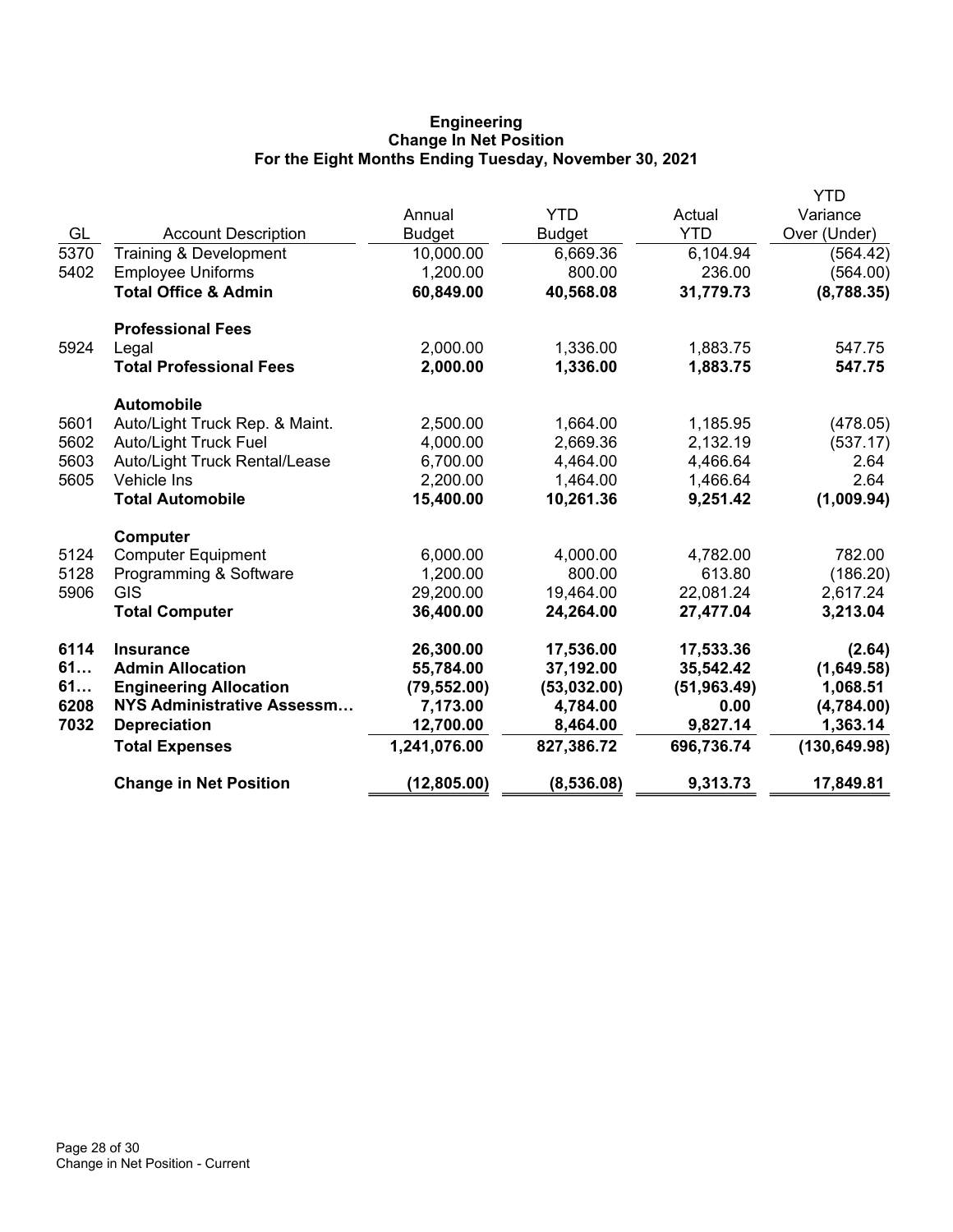# **Engineering Change In Net Position For the Eight Months Ending Tuesday, November 30, 2021**

|      |                                 |               |               |              | YTD           |
|------|---------------------------------|---------------|---------------|--------------|---------------|
|      |                                 | Annual        | <b>YTD</b>    | Actual       | Variance      |
| GL   | <b>Account Description</b>      | <b>Budget</b> | <b>Budget</b> | <b>YTD</b>   | Over (Under)  |
| 5370 | Training & Development          | 10,000.00     | 6,669.36      | 6,104.94     | (564.42)      |
| 5402 | <b>Employee Uniforms</b>        | 1,200.00      | 800.00        | 236.00       | (564.00)      |
|      | <b>Total Office &amp; Admin</b> | 60,849.00     | 40,568.08     | 31,779.73    | (8,788.35)    |
|      | <b>Professional Fees</b>        |               |               |              |               |
| 5924 | Legal                           | 2,000.00      | 1,336.00      | 1,883.75     | 547.75        |
|      | <b>Total Professional Fees</b>  | 2,000.00      | 1,336.00      | 1,883.75     | 547.75        |
|      | <b>Automobile</b>               |               |               |              |               |
| 5601 | Auto/Light Truck Rep. & Maint.  | 2,500.00      | 1,664.00      | 1,185.95     | (478.05)      |
| 5602 | <b>Auto/Light Truck Fuel</b>    | 4,000.00      | 2,669.36      | 2,132.19     | (537.17)      |
| 5603 | Auto/Light Truck Rental/Lease   | 6,700.00      | 4,464.00      | 4,466.64     | 2.64          |
| 5605 | Vehicle Ins                     | 2,200.00      | 1,464.00      | 1,466.64     | 2.64          |
|      | <b>Total Automobile</b>         | 15,400.00     | 10,261.36     | 9,251.42     | (1,009.94)    |
|      | Computer                        |               |               |              |               |
| 5124 | <b>Computer Equipment</b>       | 6,000.00      | 4,000.00      | 4,782.00     | 782.00        |
| 5128 | Programming & Software          | 1,200.00      | 800.00        | 613.80       | (186.20)      |
| 5906 | <b>GIS</b>                      | 29,200.00     | 19,464.00     | 22,081.24    | 2,617.24      |
|      | <b>Total Computer</b>           | 36,400.00     | 24,264.00     | 27,477.04    | 3,213.04      |
| 6114 | <b>Insurance</b>                | 26,300.00     | 17,536.00     | 17,533.36    | (2.64)        |
| 61   | <b>Admin Allocation</b>         | 55,784.00     | 37,192.00     | 35,542.42    | (1,649.58)    |
| 61   | <b>Engineering Allocation</b>   | (79, 552.00)  | (53,032.00)   | (51, 963.49) | 1,068.51      |
| 6208 | NYS Administrative Assessm      | 7,173.00      | 4,784.00      | 0.00         | (4,784.00)    |
| 7032 | <b>Depreciation</b>             | 12,700.00     | 8,464.00      | 9,827.14     | 1,363.14      |
|      | <b>Total Expenses</b>           | 1,241,076.00  | 827,386.72    | 696,736.74   | (130, 649.98) |
|      | <b>Change in Net Position</b>   | (12, 805.00)  | (8,536.08)    | 9,313.73     | 17,849.81     |
|      |                                 |               |               |              |               |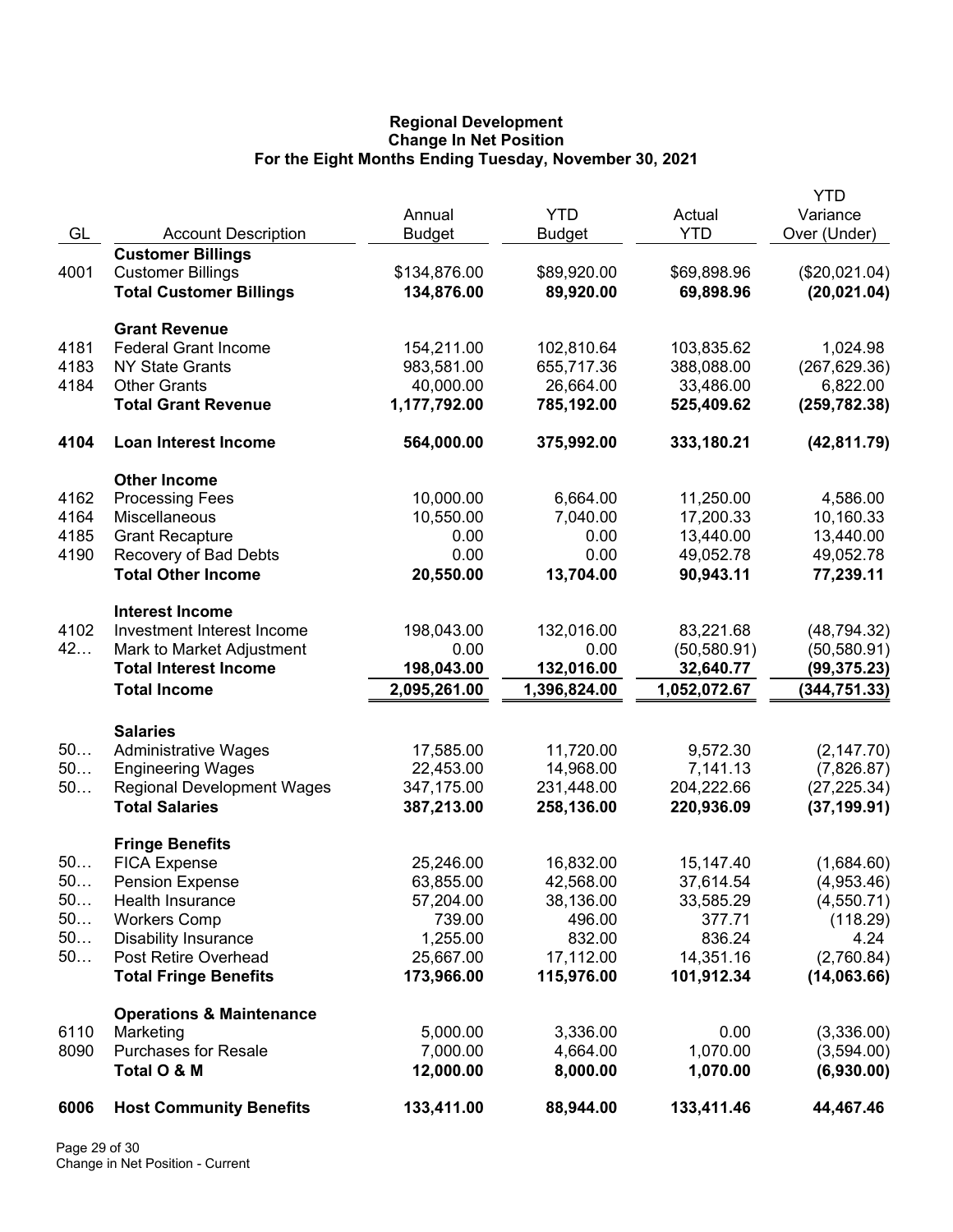## **Regional Development Change In Net Position For the Eight Months Ending Tuesday, November 30, 2021**

|      |                                     |               |               |              | <b>YTD</b>    |
|------|-------------------------------------|---------------|---------------|--------------|---------------|
|      |                                     | Annual        | <b>YTD</b>    | Actual       | Variance      |
| GL   | <b>Account Description</b>          | <b>Budget</b> | <b>Budget</b> | <b>YTD</b>   | Over (Under)  |
|      | <b>Customer Billings</b>            |               |               |              |               |
| 4001 | <b>Customer Billings</b>            | \$134,876.00  | \$89,920.00   | \$69,898.96  | (\$20,021.04) |
|      | <b>Total Customer Billings</b>      | 134,876.00    | 89,920.00     | 69,898.96    | (20, 021.04)  |
|      | <b>Grant Revenue</b>                |               |               |              |               |
| 4181 | <b>Federal Grant Income</b>         | 154,211.00    | 102,810.64    | 103,835.62   | 1,024.98      |
| 4183 | <b>NY State Grants</b>              | 983,581.00    | 655,717.36    | 388,088.00   | (267, 629.36) |
| 4184 | <b>Other Grants</b>                 | 40,000.00     | 26,664.00     | 33,486.00    | 6,822.00      |
|      | <b>Total Grant Revenue</b>          | 1,177,792.00  | 785,192.00    | 525,409.62   | (259, 782.38) |
| 4104 | <b>Loan Interest Income</b>         | 564,000.00    | 375,992.00    | 333,180.21   | (42, 811.79)  |
|      | <b>Other Income</b>                 |               |               |              |               |
| 4162 | <b>Processing Fees</b>              | 10,000.00     | 6,664.00      | 11,250.00    | 4,586.00      |
| 4164 | Miscellaneous                       | 10,550.00     | 7,040.00      | 17,200.33    | 10,160.33     |
| 4185 | <b>Grant Recapture</b>              | 0.00          | 0.00          | 13,440.00    | 13,440.00     |
| 4190 | Recovery of Bad Debts               | 0.00          | 0.00          | 49,052.78    | 49,052.78     |
|      | <b>Total Other Income</b>           | 20,550.00     | 13,704.00     | 90,943.11    | 77,239.11     |
|      | <b>Interest Income</b>              |               |               |              |               |
| 4102 | Investment Interest Income          | 198,043.00    | 132,016.00    | 83,221.68    | (48, 794.32)  |
| 42   | Mark to Market Adjustment           | 0.00          | 0.00          | (50, 580.91) | (50, 580.91)  |
|      | <b>Total Interest Income</b>        | 198,043.00    | 132,016.00    | 32,640.77    | (99, 375.23)  |
|      | <b>Total Income</b>                 | 2,095,261.00  | 1,396,824.00  | 1,052,072.67 | (344, 751.33) |
|      | <b>Salaries</b>                     |               |               |              |               |
| 50   | <b>Administrative Wages</b>         | 17,585.00     | 11,720.00     | 9,572.30     | (2, 147.70)   |
| 50   | <b>Engineering Wages</b>            | 22,453.00     | 14,968.00     | 7,141.13     | (7,826.87)    |
| 50   | <b>Regional Development Wages</b>   | 347,175.00    | 231,448.00    | 204,222.66   | (27, 225.34)  |
|      | <b>Total Salaries</b>               | 387,213.00    | 258,136.00    | 220,936.09   | (37, 199.91)  |
|      | <b>Fringe Benefits</b>              |               |               |              |               |
| 50   | <b>FICA Expense</b>                 | 25,246.00     | 16,832.00     | 15,147.40    | (1,684.60)    |
| 50.  | <b>Pension Expense</b>              | 63,855.00     | 42,568.00     | 37,614.54    | (4,953.46)    |
| 50   | Health Insurance                    | 57,204.00     | 38,136.00     | 33,585.29    | (4,550.71)    |
| 50   | <b>Workers Comp</b>                 | 739.00        | 496.00        | 377.71       | (118.29)      |
| 50   | <b>Disability Insurance</b>         | 1,255.00      | 832.00        | 836.24       | 4.24          |
| 50   | Post Retire Overhead                | 25,667.00     | 17,112.00     | 14,351.16    | (2,760.84)    |
|      | <b>Total Fringe Benefits</b>        | 173,966.00    | 115,976.00    | 101,912.34   | (14,063.66)   |
|      | <b>Operations &amp; Maintenance</b> |               |               |              |               |
| 6110 | Marketing                           | 5,000.00      | 3,336.00      | 0.00         | (3,336.00)    |
| 8090 | <b>Purchases for Resale</b>         | 7,000.00      | 4,664.00      | 1,070.00     | (3,594.00)    |
|      | Total O & M                         | 12,000.00     | 8,000.00      | 1,070.00     | (6,930.00)    |
| 6006 | <b>Host Community Benefits</b>      | 133,411.00    | 88,944.00     | 133,411.46   | 44,467.46     |